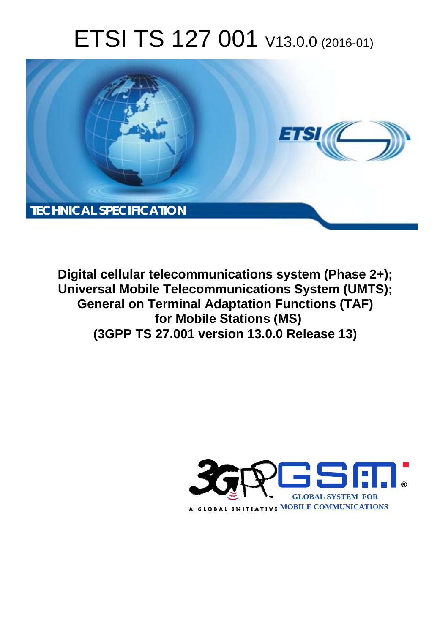# ETSI TS 127 001 V13.0.0 (2016-01)



**Digital cellular telecommunications system (Phase 2+); Universal Mobile Tel elecommunications System ( (UMTS); General on Termi minal Adaptation Functions (T (TAF) for M r Mobile Stations (MS) (3GPP TS 27.0 .001 version 13.0.0 Release 13 13)** 

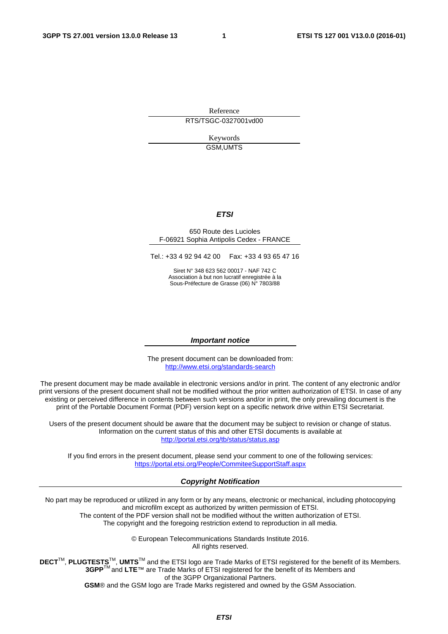Reference RTS/TSGC-0327001vd00

> Keywords GSM,UMTS

### *ETSI*

#### 650 Route des Lucioles F-06921 Sophia Antipolis Cedex - FRANCE

Tel.: +33 4 92 94 42 00 Fax: +33 4 93 65 47 16

Siret N° 348 623 562 00017 - NAF 742 C Association à but non lucratif enregistrée à la Sous-Préfecture de Grasse (06) N° 7803/88

#### *Important notice*

The present document can be downloaded from: <http://www.etsi.org/standards-search>

The present document may be made available in electronic versions and/or in print. The content of any electronic and/or print versions of the present document shall not be modified without the prior written authorization of ETSI. In case of any existing or perceived difference in contents between such versions and/or in print, the only prevailing document is the print of the Portable Document Format (PDF) version kept on a specific network drive within ETSI Secretariat.

Users of the present document should be aware that the document may be subject to revision or change of status. Information on the current status of this and other ETSI documents is available at <http://portal.etsi.org/tb/status/status.asp>

If you find errors in the present document, please send your comment to one of the following services: <https://portal.etsi.org/People/CommiteeSupportStaff.aspx>

#### *Copyright Notification*

No part may be reproduced or utilized in any form or by any means, electronic or mechanical, including photocopying and microfilm except as authorized by written permission of ETSI.

The content of the PDF version shall not be modified without the written authorization of ETSI. The copyright and the foregoing restriction extend to reproduction in all media.

> © European Telecommunications Standards Institute 2016. All rights reserved.

**DECT**TM, **PLUGTESTS**TM, **UMTS**TM and the ETSI logo are Trade Marks of ETSI registered for the benefit of its Members. **3GPP**TM and **LTE**™ are Trade Marks of ETSI registered for the benefit of its Members and of the 3GPP Organizational Partners.

**GSM**® and the GSM logo are Trade Marks registered and owned by the GSM Association.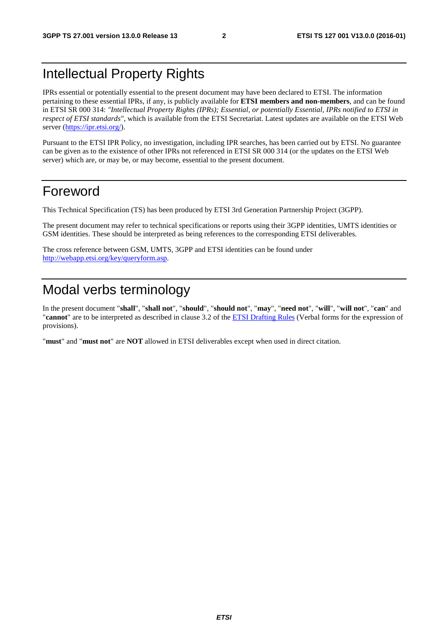## Intellectual Property Rights

IPRs essential or potentially essential to the present document may have been declared to ETSI. The information pertaining to these essential IPRs, if any, is publicly available for **ETSI members and non-members**, and can be found in ETSI SR 000 314: *"Intellectual Property Rights (IPRs); Essential, or potentially Essential, IPRs notified to ETSI in respect of ETSI standards"*, which is available from the ETSI Secretariat. Latest updates are available on the ETSI Web server [\(https://ipr.etsi.org/](https://ipr.etsi.org/)).

Pursuant to the ETSI IPR Policy, no investigation, including IPR searches, has been carried out by ETSI. No guarantee can be given as to the existence of other IPRs not referenced in ETSI SR 000 314 (or the updates on the ETSI Web server) which are, or may be, or may become, essential to the present document.

## Foreword

This Technical Specification (TS) has been produced by ETSI 3rd Generation Partnership Project (3GPP).

The present document may refer to technical specifications or reports using their 3GPP identities, UMTS identities or GSM identities. These should be interpreted as being references to the corresponding ETSI deliverables.

The cross reference between GSM, UMTS, 3GPP and ETSI identities can be found under [http://webapp.etsi.org/key/queryform.as](http://webapp.etsi.org/key/queryform.asp)p.

## Modal verbs terminology

In the present document "**shall**", "**shall not**", "**should**", "**should not**", "**may**", "**need not**", "**will**", "**will not**", "**can**" and "**cannot**" are to be interpreted as described in clause 3.2 of the [ETSI Drafting Rules](http://portal.etsi.org/Help/editHelp!/Howtostart/ETSIDraftingRules.aspx) (Verbal forms for the expression of provisions).

"**must**" and "**must not**" are **NOT** allowed in ETSI deliverables except when used in direct citation.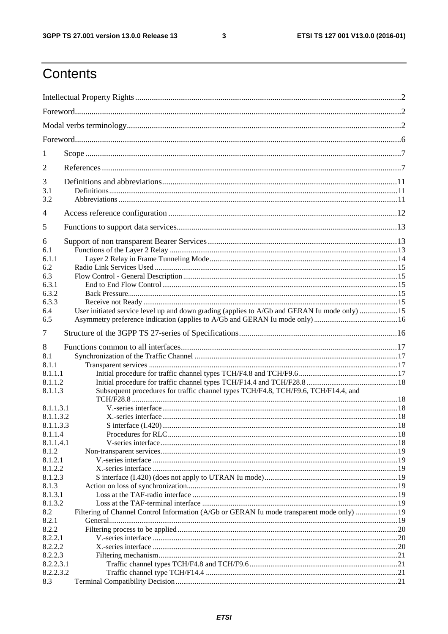$\mathbf{3}$ 

## Contents

| 1                    |                                                                                              |  |  |
|----------------------|----------------------------------------------------------------------------------------------|--|--|
| 2                    |                                                                                              |  |  |
| 3<br>3.1<br>3.2      |                                                                                              |  |  |
| $\overline{4}$       |                                                                                              |  |  |
| 5                    |                                                                                              |  |  |
| 6<br>6.1<br>6.1.1    |                                                                                              |  |  |
| 6.2                  |                                                                                              |  |  |
| 6.3                  |                                                                                              |  |  |
| 6.3.1<br>6.3.2       |                                                                                              |  |  |
| 6.3.3                |                                                                                              |  |  |
| 6.4                  | User initiated service level up and down grading (applies to A/Gb and GERAN Iu mode only) 15 |  |  |
| 6.5                  |                                                                                              |  |  |
| 7                    |                                                                                              |  |  |
| 8                    |                                                                                              |  |  |
| 8.1                  |                                                                                              |  |  |
| 8.1.1                |                                                                                              |  |  |
| 8.1.1.1              |                                                                                              |  |  |
| 8.1.1.2<br>8.1.1.3   | Subsequent procedures for traffic channel types TCH/F4.8, TCH/F9.6, TCH/F14.4, and           |  |  |
| 8.1.1.3.1            |                                                                                              |  |  |
| 8.1.1.3.2            |                                                                                              |  |  |
| 8.1.1.3.3            |                                                                                              |  |  |
| 8.1.1.4<br>8.1.1.4.1 |                                                                                              |  |  |
| 8.1.2                |                                                                                              |  |  |
| 8.1.2.1              |                                                                                              |  |  |
| 8.1.2.2              |                                                                                              |  |  |
| 8.1.2.3              |                                                                                              |  |  |
| 8.1.3                |                                                                                              |  |  |
| 8.1.3.1<br>8.1.3.2   |                                                                                              |  |  |
| 8.2                  | Filtering of Channel Control Information (A/Gb or GERAN Iu mode transparent mode only) 19    |  |  |
| 8.2.1                |                                                                                              |  |  |
| 8.2.2                |                                                                                              |  |  |
| 8.2.2.1              |                                                                                              |  |  |
| 8.2.2.2              |                                                                                              |  |  |
| 8.2.2.3<br>8.2.2.3.1 |                                                                                              |  |  |
| 8.2.2.3.2            |                                                                                              |  |  |
| 8.3                  |                                                                                              |  |  |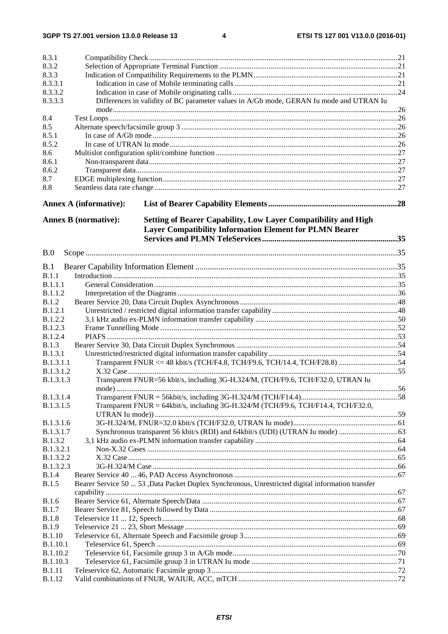$\overline{\mathbf{4}}$ 

| 8.3.1                          |                               |                                                                                                  |  |
|--------------------------------|-------------------------------|--------------------------------------------------------------------------------------------------|--|
| 8.3.2                          |                               |                                                                                                  |  |
| 8.3.3                          |                               |                                                                                                  |  |
| 8.3.3.1                        |                               |                                                                                                  |  |
| 8.3.3.2                        |                               |                                                                                                  |  |
| 8.3.3.3                        |                               | Differences in validity of BC parameter values in A/Gb mode, GERAN Iu mode and UTRAN Iu          |  |
|                                |                               |                                                                                                  |  |
| 8.4                            |                               |                                                                                                  |  |
| 8.5                            |                               |                                                                                                  |  |
| 8.5.1                          |                               |                                                                                                  |  |
| 8.5.2                          |                               |                                                                                                  |  |
| 8.6                            |                               |                                                                                                  |  |
| 8.6.1                          |                               |                                                                                                  |  |
| 8.6.2                          |                               |                                                                                                  |  |
| 8.7                            |                               |                                                                                                  |  |
| 8.8                            |                               |                                                                                                  |  |
|                                | <b>Annex A (informative):</b> |                                                                                                  |  |
|                                |                               |                                                                                                  |  |
|                                | <b>Annex B</b> (normative):   | Setting of Bearer Capability, Low Layer Compatibility and High                                   |  |
|                                |                               | <b>Layer Compatibility Information Element for PLMN Bearer</b>                                   |  |
|                                |                               |                                                                                                  |  |
| B.0                            |                               |                                                                                                  |  |
| B.1                            |                               |                                                                                                  |  |
| B.1.1                          |                               |                                                                                                  |  |
| B.1.1.1                        |                               |                                                                                                  |  |
| <b>B.1.1.2</b>                 |                               |                                                                                                  |  |
| B.1.2                          |                               |                                                                                                  |  |
| B.1.2.1                        |                               |                                                                                                  |  |
| B.1.2.2                        |                               |                                                                                                  |  |
| <b>B.1.2.3</b>                 |                               |                                                                                                  |  |
| B.1.2.4                        |                               |                                                                                                  |  |
| <b>B.1.3</b>                   |                               |                                                                                                  |  |
| <b>B.1.3.1</b>                 |                               |                                                                                                  |  |
| <b>B.1.3.1.1</b>               |                               | Transparent FNUR <= 48 kbit/s (TCH/F4.8, TCH/F9.6, TCH/14.4, TCH/F28.8) 54                       |  |
| B.1.3.1.2                      |                               |                                                                                                  |  |
| B.1.3.1.3                      |                               | Transparent FNUR=56 kbit/s, including 3G-H.324/M, (TCH/F9.6, TCH/F32.0, UTRAN Iu                 |  |
|                                |                               |                                                                                                  |  |
| B.1.3.1.4<br>B.1.3.1.5         |                               | Transparent FNUR = 64kbit/s, including 3G-H.324/M (TCH/F9.6, TCH/F14.4, TCH/F32.0,               |  |
|                                |                               |                                                                                                  |  |
| B.1.3.1.6                      |                               |                                                                                                  |  |
| B.1.3.1.7                      |                               |                                                                                                  |  |
| <b>B.1.3.2</b>                 |                               |                                                                                                  |  |
| B.1.3.2.1                      |                               |                                                                                                  |  |
| B.1.3.2.2                      |                               |                                                                                                  |  |
| B.1.3.2.3                      |                               |                                                                                                  |  |
| B.1.4                          |                               |                                                                                                  |  |
| <b>B.1.5</b>                   |                               | Bearer Service 50  53 ,Data Packet Duplex Synchronous, Unrestricted digital information transfer |  |
|                                |                               |                                                                                                  |  |
| <b>B.1.6</b>                   |                               |                                                                                                  |  |
| <b>B.1.7</b>                   |                               |                                                                                                  |  |
| <b>B.1.8</b>                   |                               |                                                                                                  |  |
| <b>B.1.9</b>                   |                               |                                                                                                  |  |
| <b>B.1.10</b>                  |                               |                                                                                                  |  |
| <b>B.1.10.1</b>                |                               |                                                                                                  |  |
| B.1.10.2                       |                               |                                                                                                  |  |
| B.1.10.3                       |                               |                                                                                                  |  |
| <b>B.1.11</b><br><b>B.1.12</b> |                               |                                                                                                  |  |
|                                |                               |                                                                                                  |  |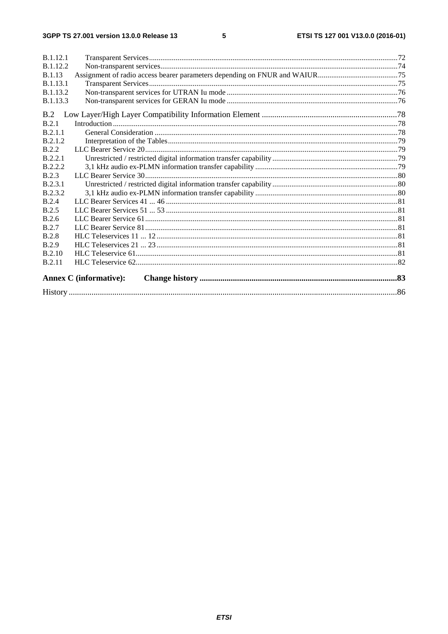| <b>B.1.12.1</b> |                               |  |
|-----------------|-------------------------------|--|
| B.1.12.2        |                               |  |
| <b>B.1.13</b>   |                               |  |
| <b>B.1.13.1</b> |                               |  |
| B.1.13.2        |                               |  |
| <b>B.1.13.3</b> |                               |  |
| B.2             |                               |  |
| B.2.1           |                               |  |
| B.2.1.1         |                               |  |
| B.2.1.2         |                               |  |
| <b>B.2.2</b>    |                               |  |
| B 2.2.1         |                               |  |
| B.2.2.2         |                               |  |
| <b>B.2.3</b>    |                               |  |
| B.2.3.1         |                               |  |
| B.2.3.2         |                               |  |
| <b>B.2.4</b>    |                               |  |
| <b>B.2.5</b>    |                               |  |
| B.2.6           |                               |  |
| <b>B.2.7</b>    |                               |  |
| <b>B.2.8</b>    |                               |  |
| <b>B.2.9</b>    |                               |  |
| <b>B.2.10</b>   |                               |  |
| <b>B.2.11</b>   |                               |  |
|                 | <b>Annex C</b> (informative): |  |
|                 |                               |  |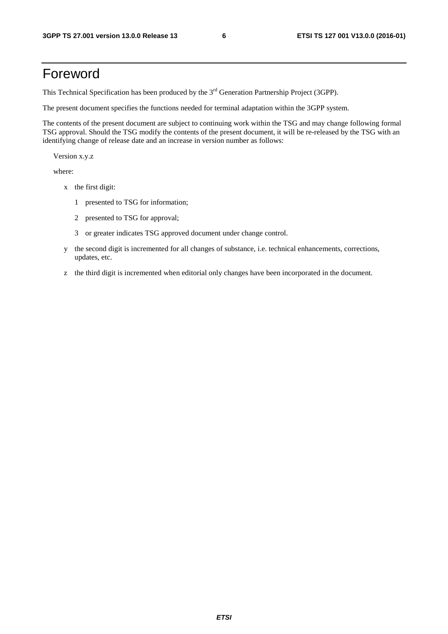## Foreword

This Technical Specification has been produced by the 3<sup>rd</sup> Generation Partnership Project (3GPP).

The present document specifies the functions needed for terminal adaptation within the 3GPP system.

The contents of the present document are subject to continuing work within the TSG and may change following formal TSG approval. Should the TSG modify the contents of the present document, it will be re-released by the TSG with an identifying change of release date and an increase in version number as follows:

Version x.y.z

where:

- x the first digit:
	- 1 presented to TSG for information;
	- 2 presented to TSG for approval;
	- 3 or greater indicates TSG approved document under change control.
- y the second digit is incremented for all changes of substance, i.e. technical enhancements, corrections, updates, etc.
- z the third digit is incremented when editorial only changes have been incorporated in the document.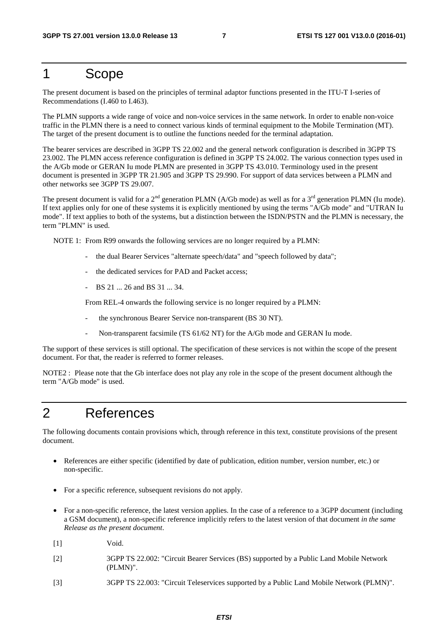## 1 Scope

The present document is based on the principles of terminal adaptor functions presented in the ITU-T I-series of Recommendations (I.460 to I.463).

The PLMN supports a wide range of voice and non-voice services in the same network. In order to enable non-voice traffic in the PLMN there is a need to connect various kinds of terminal equipment to the Mobile Termination (MT). The target of the present document is to outline the functions needed for the terminal adaptation.

The bearer services are described in 3GPP TS 22.002 and the general network configuration is described in 3GPP TS 23.002. The PLMN access reference configuration is defined in 3GPP TS 24.002. The various connection types used in the A/Gb mode or GERAN Iu mode PLMN are presented in 3GPP TS 43.010. Terminology used in the present document is presented in 3GPP TR 21.905 and 3GPP TS 29.990. For support of data services between a PLMN and other networks see 3GPP TS 29.007.

The present document is valid for a  $2<sup>nd</sup>$  generation PLMN (A/Gb mode) as well as for a  $3<sup>rd</sup>$  generation PLMN (Iu mode). If text applies only for one of these systems it is explicitly mentioned by using the terms "A/Gb mode" and "UTRAN Iu mode". If text applies to both of the systems, but a distinction between the ISDN/PSTN and the PLMN is necessary, the term "PLMN" is used.

NOTE 1: From R99 onwards the following services are no longer required by a PLMN:

- the dual Bearer Services "alternate speech/data" and "speech followed by data";
- the dedicated services for PAD and Packet access;
- BS 21 ... 26 and BS 31 ... 34.

From REL-4 onwards the following service is no longer required by a PLMN:

- the synchronous Bearer Service non-transparent (BS 30 NT).
- Non-transparent facsimile (TS 61/62 NT) for the A/Gb mode and GERAN Iu mode.

The support of these services is still optional. The specification of these services is not within the scope of the present document. For that, the reader is referred to former releases.

NOTE2 : Please note that the Gb interface does not play any role in the scope of the present document although the term "A/Gb mode" is used.

## 2 References

The following documents contain provisions which, through reference in this text, constitute provisions of the present document.

- References are either specific (identified by date of publication, edition number, version number, etc.) or non-specific.
- For a specific reference, subsequent revisions do not apply.
- For a non-specific reference, the latest version applies. In the case of a reference to a 3GPP document (including a GSM document), a non-specific reference implicitly refers to the latest version of that document *in the same Release as the present document*.
- [1] Void.
- [2] 3GPP TS 22.002: "Circuit Bearer Services (BS) supported by a Public Land Mobile Network (PLMN)".
- [3] 3GPP TS 22.003: "Circuit Teleservices supported by a Public Land Mobile Network (PLMN)".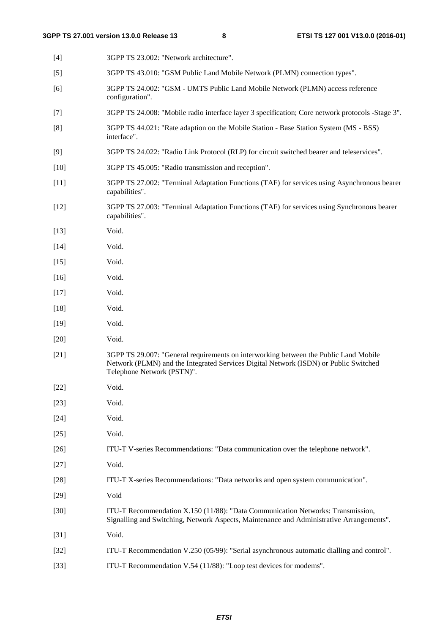| $[4]$  | 3GPP TS 23.002: "Network architecture".                                                                                                                                                                    |
|--------|------------------------------------------------------------------------------------------------------------------------------------------------------------------------------------------------------------|
| $[5]$  | 3GPP TS 43.010: "GSM Public Land Mobile Network (PLMN) connection types".                                                                                                                                  |
| [6]    | 3GPP TS 24.002: "GSM - UMTS Public Land Mobile Network (PLMN) access reference<br>configuration".                                                                                                          |
| $[7]$  | 3GPP TS 24.008: "Mobile radio interface layer 3 specification; Core network protocols -Stage 3".                                                                                                           |
| [8]    | 3GPP TS 44.021: "Rate adaption on the Mobile Station - Base Station System (MS - BSS)<br>interface".                                                                                                       |
| [9]    | 3GPP TS 24.022: "Radio Link Protocol (RLP) for circuit switched bearer and teleservices".                                                                                                                  |
| $[10]$ | 3GPP TS 45.005: "Radio transmission and reception".                                                                                                                                                        |
| $[11]$ | 3GPP TS 27.002: "Terminal Adaptation Functions (TAF) for services using Asynchronous bearer<br>capabilities".                                                                                              |
| $[12]$ | 3GPP TS 27.003: "Terminal Adaptation Functions (TAF) for services using Synchronous bearer<br>capabilities".                                                                                               |
| $[13]$ | Void.                                                                                                                                                                                                      |
| $[14]$ | Void.                                                                                                                                                                                                      |
| $[15]$ | Void.                                                                                                                                                                                                      |
| $[16]$ | Void.                                                                                                                                                                                                      |
| $[17]$ | Void.                                                                                                                                                                                                      |
| $[18]$ | Void.                                                                                                                                                                                                      |
| $[19]$ | Void.                                                                                                                                                                                                      |
| $[20]$ | Void.                                                                                                                                                                                                      |
| $[21]$ | 3GPP TS 29.007: "General requirements on interworking between the Public Land Mobile<br>Network (PLMN) and the Integrated Services Digital Network (ISDN) or Public Switched<br>Telephone Network (PSTN)". |
| $[22]$ | Void.                                                                                                                                                                                                      |
| $[23]$ | Void.                                                                                                                                                                                                      |
| $[24]$ | Void.                                                                                                                                                                                                      |
| $[25]$ | Void.                                                                                                                                                                                                      |
| $[26]$ | ITU-T V-series Recommendations: "Data communication over the telephone network".                                                                                                                           |
| $[27]$ | Void.                                                                                                                                                                                                      |
| $[28]$ | ITU-T X-series Recommendations: "Data networks and open system communication".                                                                                                                             |
| $[29]$ | Void                                                                                                                                                                                                       |
| $[30]$ | ITU-T Recommendation X.150 (11/88): "Data Communication Networks: Transmission,<br>Signalling and Switching, Network Aspects, Maintenance and Administrative Arrangements".                                |
| $[31]$ | Void.                                                                                                                                                                                                      |
| $[32]$ | ITU-T Recommendation V.250 (05/99): "Serial asynchronous automatic dialling and control".                                                                                                                  |
| $[33]$ | ITU-T Recommendation V.54 (11/88): "Loop test devices for modems".                                                                                                                                         |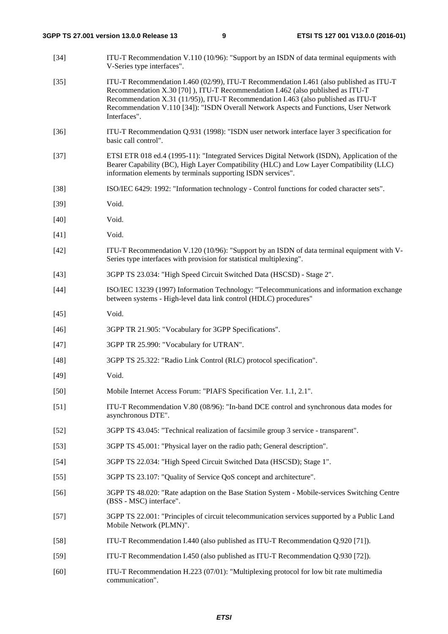- [34] ITU-T Recommendation V.110 (10/96): "Support by an ISDN of data terminal equipments with V-Series type interfaces".
- [35] ITU-T Recommendation I.460 (02/99), ITU-T Recommendation I.461 (also published as ITU-T Recommendation X.30 [70] ), ITU-T Recommendation I.462 (also published as ITU-T Recommendation X.31 (11/95)), ITU-T Recommendation I.463 (also published as ITU-T Recommendation V.110 [34]): "ISDN Overall Network Aspects and Functions, User Network Interfaces".
- [36] ITU-T Recommendation Q.931 (1998): "ISDN user network interface layer 3 specification for basic call control".
- [37] ETSI ETR 018 ed.4 (1995-11): "Integrated Services Digital Network (ISDN), Application of the Bearer Capability (BC), High Layer Compatibility (HLC) and Low Layer Compatibility (LLC) information elements by terminals supporting ISDN services".
- [38] ISO/IEC 6429: 1992: "Information technology Control functions for coded character sets".
- [39] Void.
- [40] **Void.**
- [41] **Void.**
- [42] ITU-T Recommendation V.120 (10/96): "Support by an ISDN of data terminal equipment with V-Series type interfaces with provision for statistical multiplexing".
- [43] 3GPP TS 23.034: "High Speed Circuit Switched Data (HSCSD) Stage 2".
- [44] ISO/IEC 13239 (1997) Information Technology: "Telecommunications and information exchange between systems - High-level data link control (HDLC) procedures"
- [45] Void.
- [46] 3GPP TR 21.905: "Vocabulary for 3GPP Specifications".
- [47] 3GPP TR 25.990: "Vocabulary for UTRAN".
- [48] 3GPP TS 25.322: "Radio Link Control (RLC) protocol specification".
- [49] **Void.**
- [50] Mobile Internet Access Forum: "PIAFS Specification Ver. 1.1, 2.1".
- [51] ITU-T Recommendation V.80 (08/96): "In-band DCE control and synchronous data modes for asynchronous DTE".
- [52] 3GPP TS 43.045: "Technical realization of facsimile group 3 service transparent".
- [53] 3GPP TS 45.001: "Physical layer on the radio path; General description".
- [54] 3GPP TS 22.034: "High Speed Circuit Switched Data (HSCSD); Stage 1".
- [55] 3GPP TS 23.107: "Quality of Service QoS concept and architecture".
- [56] 3GPP TS 48.020: "Rate adaption on the Base Station System Mobile-services Switching Centre (BSS - MSC) interface".
- [57] 3GPP TS 22.001: "Principles of circuit telecommunication services supported by a Public Land Mobile Network (PLMN)".
- [58] ITU-T Recommendation I.440 (also published as ITU-T Recommendation Q.920 [71]).
- [59] ITU-T Recommendation I.450 (also published as ITU-T Recommendation Q.930 [72]).
- [60] ITU-T Recommendation H.223 (07/01): "Multiplexing protocol for low bit rate multimedia communication".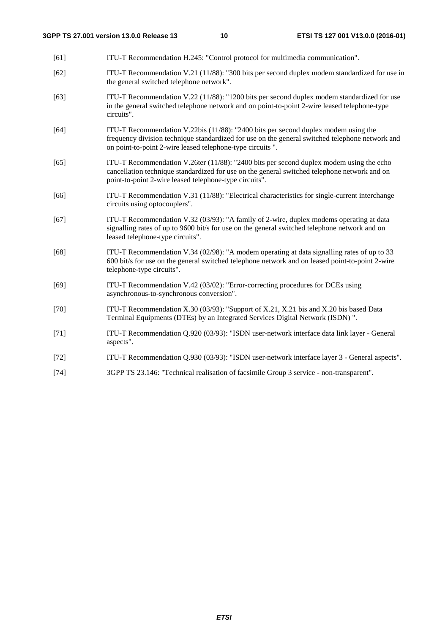| ITU-T Recommendation H.245: "Control protocol for multimedia communication".                                                                                                                                                                        |
|-----------------------------------------------------------------------------------------------------------------------------------------------------------------------------------------------------------------------------------------------------|
| ITU-T Recommendation V.21 (11/88): "300 bits per second duplex modem standardized for use in<br>the general switched telephone network".                                                                                                            |
| ITU-T Recommendation V.22 (11/88): "1200 bits per second duplex modem standardized for use<br>in the general switched telephone network and on point-to-point 2-wire leased telephone-type<br>circuits".                                            |
| ITU-T Recommendation V.22bis (11/88): "2400 bits per second duplex modem using the<br>frequency division technique standardized for use on the general switched telephone network and<br>on point-to-point 2-wire leased telephone-type circuits ". |
| ITU-T Recommendation V.26ter (11/88): "2400 bits per second duplex modem using the echo<br>cancellation technique standardized for use on the general switched telephone network and on<br>point-to-point 2-wire leased telephone-type circuits".   |
| ITU-T Recommendation V.31 (11/88): "Electrical characteristics for single-current interchange<br>circuits using optocouplers".                                                                                                                      |
| ITU-T Recommendation V.32 (03/93): "A family of 2-wire, duplex modems operating at data<br>signalling rates of up to 9600 bit/s for use on the general switched telephone network and on<br>leased telephone-type circuits".                        |
| ITU-T Recommendation V.34 (02/98): "A modem operating at data signalling rates of up to 33<br>600 bit/s for use on the general switched telephone network and on leased point-to-point 2-wire<br>telephone-type circuits".                          |
| ITU-T Recommendation V.42 (03/02): "Error-correcting procedures for DCEs using<br>asynchronous-to-synchronous conversion".                                                                                                                          |
| ITU-T Recommendation X.30 (03/93): "Support of X.21, X.21 bis and X.20 bis based Data<br>Terminal Equipments (DTEs) by an Integrated Services Digital Network (ISDN) ".                                                                             |
| ITU-T Recommendation Q.920 (03/93): "ISDN user-network interface data link layer - General<br>aspects".                                                                                                                                             |
| ITU-T Recommendation Q.930 (03/93): "ISDN user-network interface layer 3 - General aspects".                                                                                                                                                        |
| 3GPP TS 23.146: "Technical realisation of facsimile Group 3 service - non-transparent".                                                                                                                                                             |
|                                                                                                                                                                                                                                                     |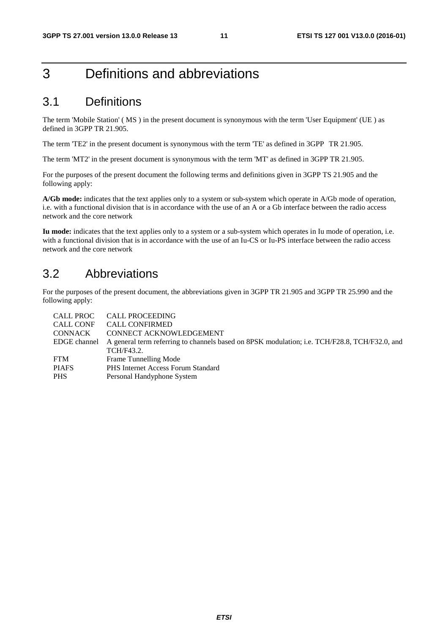## 3 Definitions and abbreviations

## 3.1 Definitions

The term 'Mobile Station' ( MS ) in the present document is synonymous with the term 'User Equipment' (UE ) as defined in 3GPP TR 21.905.

The term 'TE2' in the present document is synonymous with the term 'TE' as defined in 3GPP TR 21.905.

The term 'MT2' in the present document is synonymous with the term 'MT' as defined in 3GPP TR 21.905.

For the purposes of the present document the following terms and definitions given in 3GPP TS 21.905 and the following apply:

**A/Gb mode:** indicates that the text applies only to a system or sub-system which operate in A/Gb mode of operation, i.e. with a functional division that is in accordance with the use of an A or a Gb interface between the radio access network and the core network

**Iu mode:** indicates that the text applies only to a system or a sub-system which operates in Iu mode of operation, i.e. with a functional division that is in accordance with the use of an Iu-CS or Iu-PS interface between the radio access network and the core network

## 3.2 Abbreviations

For the purposes of the present document, the abbreviations given in 3GPP TR 21.905 and 3GPP TR 25.990 and the following apply:

|              | CALL PROC CALL PROCEEDING                                                                     |
|--------------|-----------------------------------------------------------------------------------------------|
| CALL CONF    | <b>CALL CONFIRMED</b>                                                                         |
| CONNACK      | CONNECT ACKNOWLEDGEMENT                                                                       |
| EDGE channel | A general term referring to channels based on 8PSK modulation; i.e. TCH/F28.8, TCH/F32.0, and |
|              | TCH/F43.2.                                                                                    |
| <b>FTM</b>   | Frame Tunnelling Mode                                                                         |
| <b>PIAFS</b> | PHS Internet Access Forum Standard                                                            |
| <b>PHS</b>   | Personal Handyphone System                                                                    |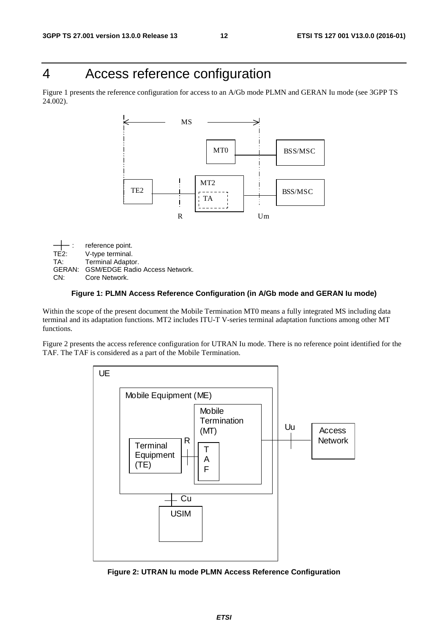## 4 Access reference configuration

Figure 1 presents the reference configuration for access to an A/Gb mode PLMN and GERAN Iu mode (see 3GPP TS 24.002).



─┼─ : reference point.<br>TE2: V-type terminal. TE2: V-type terminal.<br>TA: Terminal Adapto Terminal Adaptor. GERAN: GSM/EDGE Radio Access Network.<br>CN: Core Network. Core Network

### **Figure 1: PLMN Access Reference Configuration (in A/Gb mode and GERAN Iu mode)**

Within the scope of the present document the Mobile Termination MT0 means a fully integrated MS including data terminal and its adaptation functions. MT2 includes ITU-T V-series terminal adaptation functions among other MT functions.

Figure 2 presents the access reference configuration for UTRAN Iu mode. There is no reference point identified for the TAF. The TAF is considered as a part of the Mobile Termination.



**Figure 2: UTRAN Iu mode PLMN Access Reference Configuration**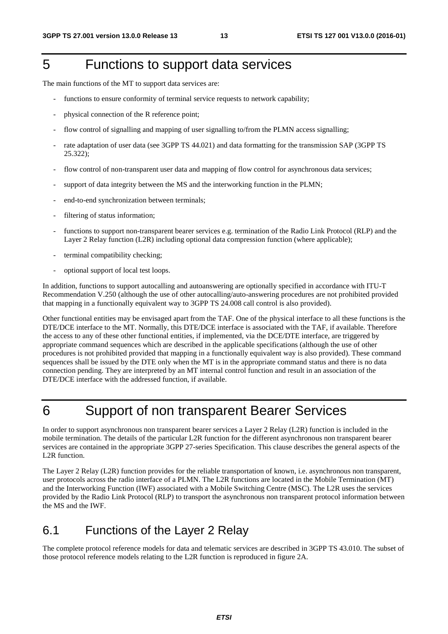## 5 Functions to support data services

The main functions of the MT to support data services are:

- functions to ensure conformity of terminal service requests to network capability;
- physical connection of the R reference point;
- flow control of signalling and mapping of user signalling to/from the PLMN access signalling;
- rate adaptation of user data (see 3GPP TS 44.021) and data formatting for the transmission SAP (3GPP TS 25.322);
- flow control of non-transparent user data and mapping of flow control for asynchronous data services;
- support of data integrity between the MS and the interworking function in the PLMN;
- end-to-end synchronization between terminals;
- filtering of status information;
- functions to support non-transparent bearer services e.g. termination of the Radio Link Protocol (RLP) and the Layer 2 Relay function (L2R) including optional data compression function (where applicable);
- terminal compatibility checking;
- optional support of local test loops.

In addition, functions to support autocalling and autoanswering are optionally specified in accordance with ITU-T Recommendation V.250 (although the use of other autocalling/auto-answering procedures are not prohibited provided that mapping in a functionally equivalent way to 3GPP TS 24.008 call control is also provided).

Other functional entities may be envisaged apart from the TAF. One of the physical interface to all these functions is the DTE/DCE interface to the MT. Normally, this DTE/DCE interface is associated with the TAF, if available. Therefore the access to any of these other functional entities, if implemented, via the DCE/DTE interface, are triggered by appropriate command sequences which are described in the applicable specifications (although the use of other procedures is not prohibited provided that mapping in a functionally equivalent way is also provided). These command sequences shall be issued by the DTE only when the MT is in the appropriate command status and there is no data connection pending. They are interpreted by an MT internal control function and result in an association of the DTE/DCE interface with the addressed function, if available.

## 6 Support of non transparent Bearer Services

In order to support asynchronous non transparent bearer services a Layer 2 Relay (L2R) function is included in the mobile termination. The details of the particular L2R function for the different asynchronous non transparent bearer services are contained in the appropriate 3GPP 27-series Specification. This clause describes the general aspects of the L2R function.

The Layer 2 Relay (L2R) function provides for the reliable transportation of known, i.e. asynchronous non transparent, user protocols across the radio interface of a PLMN. The L2R functions are located in the Mobile Termination (MT) and the Interworking Function (IWF) associated with a Mobile Switching Centre (MSC). The L2R uses the services provided by the Radio Link Protocol (RLP) to transport the asynchronous non transparent protocol information between the MS and the IWF.

## 6.1 Functions of the Layer 2 Relay

The complete protocol reference models for data and telematic services are described in 3GPP TS 43.010. The subset of those protocol reference models relating to the L2R function is reproduced in figure 2A.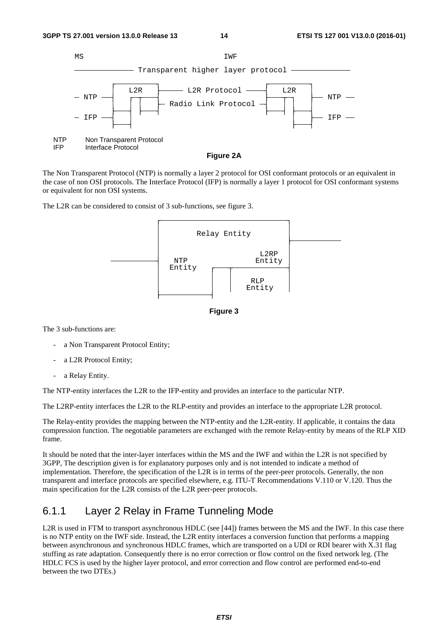

The Non Transparent Protocol (NTP) is normally a layer 2 protocol for OSI conformant protocols or an equivalent in the case of non OSI protocols. The Interface Protocol (IFP) is normally a layer 1 protocol for OSI conformant systems or equivalent for non OSI systems.

The L2R can be considered to consist of 3 sub-functions, see figure 3.





The 3 sub-functions are:

- a Non Transparent Protocol Entity;
- a L2R Protocol Entity;
- a Relay Entity.

The NTP-entity interfaces the L2R to the IFP-entity and provides an interface to the particular NTP.

The L2RP-entity interfaces the L2R to the RLP-entity and provides an interface to the appropriate L2R protocol.

The Relay-entity provides the mapping between the NTP-entity and the L2R-entity. If applicable, it contains the data compression function. The negotiable parameters are exchanged with the remote Relay-entity by means of the RLP XID frame.

It should be noted that the inter-layer interfaces within the MS and the IWF and within the L2R is not specified by 3GPP, The description given is for explanatory purposes only and is not intended to indicate a method of implementation. Therefore, the specification of the L2R is in terms of the peer-peer protocols. Generally, the non transparent and interface protocols are specified elsewhere, e.g. ITU-T Recommendations V.110 or V.120. Thus the main specification for the L2R consists of the L2R peer-peer protocols.

## 6.1.1 Layer 2 Relay in Frame Tunneling Mode

L2R is used in FTM to transport asynchronous HDLC (see [44]) frames between the MS and the IWF. In this case there is no NTP entity on the IWF side. Instead, the L2R entity interfaces a conversion function that performs a mapping between asynchronous and synchronous HDLC frames, which are transported on a UDI or RDI bearer with X.31 flag stuffing as rate adaptation. Consequently there is no error correction or flow control on the fixed network leg. (The HDLC FCS is used by the higher layer protocol, and error correction and flow control are performed end-to-end between the two DTEs.)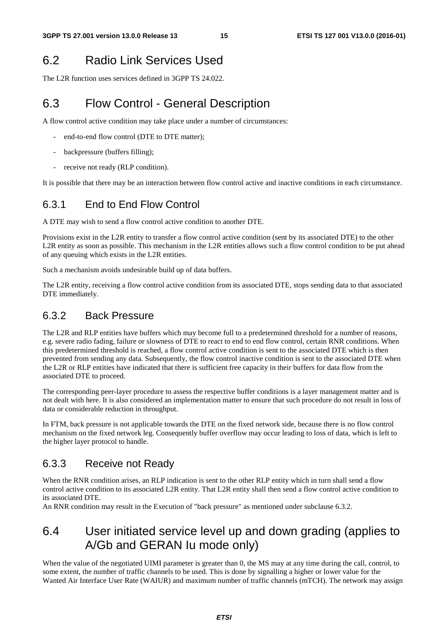## 6.2 Radio Link Services Used

The L2R function uses services defined in 3GPP TS 24.022.

## 6.3 Flow Control - General Description

A flow control active condition may take place under a number of circumstances:

- end-to-end flow control (DTE to DTE matter);
- backpressure (buffers filling);
- receive not ready (RLP condition).

It is possible that there may be an interaction between flow control active and inactive conditions in each circumstance.

## 6.3.1 End to End Flow Control

A DTE may wish to send a flow control active condition to another DTE.

Provisions exist in the L2R entity to transfer a flow control active condition (sent by its associated DTE) to the other L2R entity as soon as possible. This mechanism in the L2R entities allows such a flow control condition to be put ahead of any queuing which exists in the L2R entities.

Such a mechanism avoids undesirable build up of data buffers.

The L2R entity, receiving a flow control active condition from its associated DTE, stops sending data to that associated DTE immediately.

## 6.3.2 Back Pressure

The L2R and RLP entities have buffers which may become full to a predetermined threshold for a number of reasons, e.g. severe radio fading, failure or slowness of DTE to react to end to end flow control, certain RNR conditions. When this predetermined threshold is reached, a flow control active condition is sent to the associated DTE which is then prevented from sending any data. Subsequently, the flow control inactive condition is sent to the associated DTE when the L2R or RLP entities have indicated that there is sufficient free capacity in their buffers for data flow from the associated DTE to proceed.

The corresponding peer-layer procedure to assess the respective buffer conditions is a layer management matter and is not dealt with here. It is also considered an implementation matter to ensure that such procedure do not result in loss of data or considerable reduction in throughput.

In FTM, back pressure is not applicable towards the DTE on the fixed network side, because there is no flow control mechanism on the fixed network leg. Consequently buffer overflow may occur leading to loss of data, which is left to the higher layer protocol to handle.

## 6.3.3 Receive not Ready

When the RNR condition arises, an RLP indication is sent to the other RLP entity which in turn shall send a flow control active condition to its associated L2R entity. That L2R entity shall then send a flow control active condition to its associated DTE.

An RNR condition may result in the Execution of "back pressure" as mentioned under subclause 6.3.2.

## 6.4 User initiated service level up and down grading (applies to A/Gb and GERAN Iu mode only)

When the value of the negotiated UIMI parameter is greater than 0, the MS may at any time during the call, control, to some extent, the number of traffic channels to be used. This is done by signalling a higher or lower value for the Wanted Air Interface User Rate (WAIUR) and maximum number of traffic channels (mTCH). The network may assign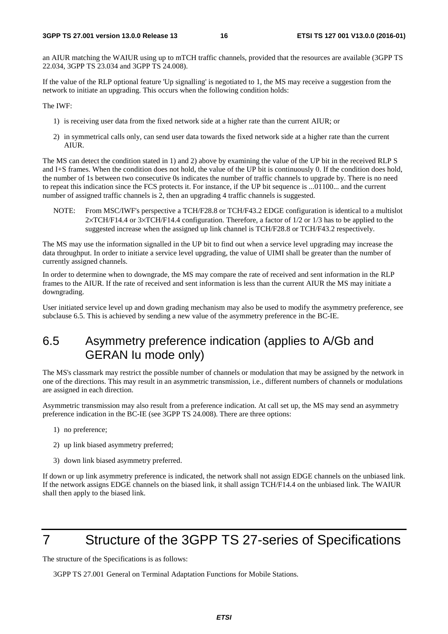an AIUR matching the WAIUR using up to mTCH traffic channels, provided that the resources are available (3GPP TS 22.034, 3GPP TS 23.034 and 3GPP TS 24.008).

If the value of the RLP optional feature 'Up signalling' is negotiated to 1, the MS may receive a suggestion from the network to initiate an upgrading. This occurs when the following condition holds:

The IWF:

- 1) is receiving user data from the fixed network side at a higher rate than the current AIUR; or
- 2) in symmetrical calls only, can send user data towards the fixed network side at a higher rate than the current AIUR.

The MS can detect the condition stated in 1) and 2) above by examining the value of the UP bit in the received RLP S and I+S frames. When the condition does not hold, the value of the UP bit is continuously 0. If the condition does hold, the number of 1s between two consecutive 0s indicates the number of traffic channels to upgrade by. There is no need to repeat this indication since the FCS protects it. For instance, if the UP bit sequence is ...01100... and the current number of assigned traffic channels is 2, then an upgrading 4 traffic channels is suggested.

NOTE: From MSC/IWF's perspective a TCH/F28.8 or TCH/F43.2 EDGE configuration is identical to a multislot 2×TCH/F14.4 or 3×TCH/F14.4 configuration. Therefore, a factor of 1/2 or 1/3 has to be applied to the suggested increase when the assigned up link channel is TCH/F28.8 or TCH/F43.2 respectively.

The MS may use the information signalled in the UP bit to find out when a service level upgrading may increase the data throughput. In order to initiate a service level upgrading, the value of UIMI shall be greater than the number of currently assigned channels.

In order to determine when to downgrade, the MS may compare the rate of received and sent information in the RLP frames to the AIUR. If the rate of received and sent information is less than the current AIUR the MS may initiate a downgrading.

User initiated service level up and down grading mechanism may also be used to modify the asymmetry preference, see subclause 6.5. This is achieved by sending a new value of the asymmetry preference in the BC-IE.

## 6.5 Asymmetry preference indication (applies to A/Gb and GERAN Iu mode only)

The MS's classmark may restrict the possible number of channels or modulation that may be assigned by the network in one of the directions. This may result in an asymmetric transmission, i.e., different numbers of channels or modulations are assigned in each direction.

Asymmetric transmission may also result from a preference indication. At call set up, the MS may send an asymmetry preference indication in the BC-IE (see 3GPP TS 24.008). There are three options:

- 1) no preference;
- 2) up link biased asymmetry preferred;
- 3) down link biased asymmetry preferred.

If down or up link asymmetry preference is indicated, the network shall not assign EDGE channels on the unbiased link. If the network assigns EDGE channels on the biased link, it shall assign TCH/F14.4 on the unbiased link. The WAIUR shall then apply to the biased link.

## 7 Structure of the 3GPP TS 27-series of Specifications

The structure of the Specifications is as follows:

3GPP TS 27.001 General on Terminal Adaptation Functions for Mobile Stations.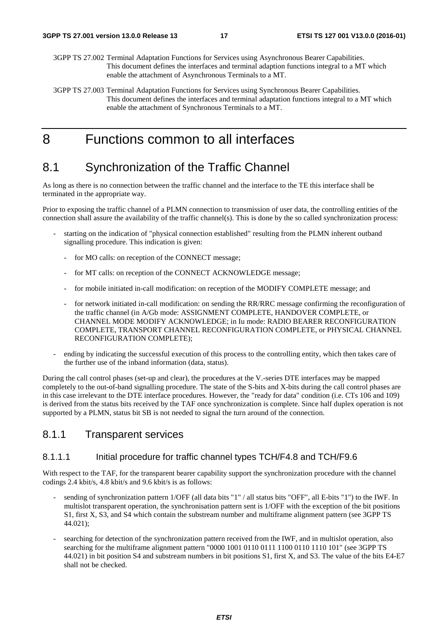- 3GPP TS 27.002 Terminal Adaptation Functions for Services using Asynchronous Bearer Capabilities. This document defines the interfaces and terminal adaption functions integral to a MT which enable the attachment of Asynchronous Terminals to a MT.
- 3GPP TS 27.003 Terminal Adaptation Functions for Services using Synchronous Bearer Capabilities. This document defines the interfaces and terminal adaptation functions integral to a MT which enable the attachment of Synchronous Terminals to a MT.

## 8 Functions common to all interfaces

## 8.1 Synchronization of the Traffic Channel

As long as there is no connection between the traffic channel and the interface to the TE this interface shall be terminated in the appropriate way.

Prior to exposing the traffic channel of a PLMN connection to transmission of user data, the controlling entities of the connection shall assure the availability of the traffic channel(s). This is done by the so called synchronization process:

- starting on the indication of "physical connection established" resulting from the PLMN inherent outband signalling procedure. This indication is given:
	- for MO calls: on reception of the CONNECT message;
	- for MT calls: on reception of the CONNECT ACKNOWLEDGE message;
	- for mobile initiated in-call modification: on reception of the MODIFY COMPLETE message; and
	- for network initiated in-call modification: on sending the RR/RRC message confirming the reconfiguration of the traffic channel (in A/Gb mode: ASSIGNMENT COMPLETE, HANDOVER COMPLETE, or CHANNEL MODE MODIFY ACKNOWLEDGE; in Iu mode: RADIO BEARER RECONFIGURATION COMPLETE, TRANSPORT CHANNEL RECONFIGURATION COMPLETE, or PHYSICAL CHANNEL RECONFIGURATION COMPLETE);
- ending by indicating the successful execution of this process to the controlling entity, which then takes care of the further use of the inband information (data, status).

During the call control phases (set-up and clear), the procedures at the V.-series DTE interfaces may be mapped completely to the out-of-band signalling procedure. The state of the S-bits and X-bits during the call control phases are in this case irrelevant to the DTE interface procedures. However, the "ready for data" condition (i.e. CTs 106 and 109) is derived from the status bits received by the TAF once synchronization is complete. Since half duplex operation is not supported by a PLMN, status bit SB is not needed to signal the turn around of the connection.

## 8.1.1 Transparent services

### 8.1.1.1 Initial procedure for traffic channel types TCH/F4.8 and TCH/F9.6

With respect to the TAF, for the transparent bearer capability support the synchronization procedure with the channel codings 2.4 kbit/s, 4.8 kbit/s and 9.6 kbit/s is as follows:

- sending of synchronization pattern 1/OFF (all data bits "1" / all status bits "OFF", all E-bits "1") to the IWF. In multislot transparent operation, the synchronisation pattern sent is 1/OFF with the exception of the bit positions S1, first X, S3, and S4 which contain the substream number and multiframe alignment pattern (see 3GPP TS 44.021);
- searching for detection of the synchronization pattern received from the IWF, and in multislot operation, also searching for the multiframe alignment pattern "0000 1001 0110 0111 1100 0110 1110 101" (see 3GPP TS 44.021) in bit position S4 and substream numbers in bit positions S1, first X, and S3. The value of the bits E4-E7 shall not be checked.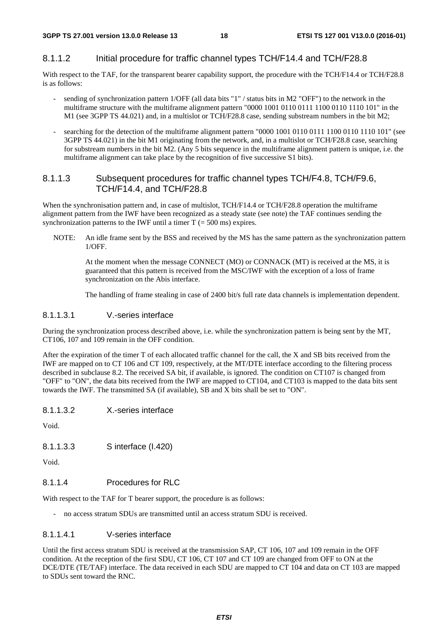## 8.1.1.2 Initial procedure for traffic channel types TCH/F14.4 and TCH/F28.8

With respect to the TAF, for the transparent bearer capability support, the procedure with the TCH/F14.4 or TCH/F28.8 is as follows:

- sending of synchronization pattern 1/OFF (all data bits "1" / status bits in M2 "OFF") to the network in the multiframe structure with the multiframe alignment pattern "0000 1001 0110 0111 1100 0110 1110 101" in the M1 (see 3GPP TS 44.021) and, in a multislot or TCH/F28.8 case, sending substream numbers in the bit M2;
- searching for the detection of the multiframe alignment pattern "0000 1001 0110 0111 1100 0110 1110 101" (see 3GPP TS 44.021) in the bit M1 originating from the network, and, in a multislot or TCH/F28.8 case, searching for substream numbers in the bit M2. (Any 5 bits sequence in the multiframe alignment pattern is unique, i.e. the multiframe alignment can take place by the recognition of five successive S1 bits).

### 8.1.1.3 Subsequent procedures for traffic channel types TCH/F4.8, TCH/F9.6, TCH/F14.4, and TCH/F28.8

When the synchronisation pattern and, in case of multislot, TCH/F14.4 or TCH/F28.8 operation the multiframe alignment pattern from the IWF have been recognized as a steady state (see note) the TAF continues sending the synchronization patterns to the IWF until a timer  $T = 500$  ms) expires.

NOTE: An idle frame sent by the BSS and received by the MS has the same pattern as the synchronization pattern 1/OFF.

 At the moment when the message CONNECT (MO) or CONNACK (MT) is received at the MS, it is guaranteed that this pattern is received from the MSC/IWF with the exception of a loss of frame synchronization on the Abis interface.

The handling of frame stealing in case of 2400 bit/s full rate data channels is implementation dependent.

### 8.1.1.3.1 V.-series interface

During the synchronization process described above, i.e. while the synchronization pattern is being sent by the MT, CT106, 107 and 109 remain in the OFF condition.

After the expiration of the timer T of each allocated traffic channel for the call, the X and SB bits received from the IWF are mapped on to CT 106 and CT 109, respectively, at the MT/DTE interface according to the filtering process described in subclause 8.2. The received SA bit, if available, is ignored. The condition on CT107 is changed from "OFF" to "ON", the data bits received from the IWF are mapped to CT104, and CT103 is mapped to the data bits sent towards the IWF. The transmitted SA (if available), SB and X bits shall be set to "ON".

8.1.1.3.2 X.-series interface

Void.

8.1.1.3.3 S interface (I.420)

Void.

### 8.1.1.4 Procedures for RLC

With respect to the TAF for T bearer support, the procedure is as follows:

- no access stratum SDUs are transmitted until an access stratum SDU is received.

### 8.1.1.4.1 V-series interface

Until the first access stratum SDU is received at the transmission SAP, CT 106, 107 and 109 remain in the OFF condition. At the reception of the first SDU, CT 106, CT 107 and CT 109 are changed from OFF to ON at the DCE/DTE (TE/TAF) interface. The data received in each SDU are mapped to CT 104 and data on CT 103 are mapped to SDUs sent toward the RNC.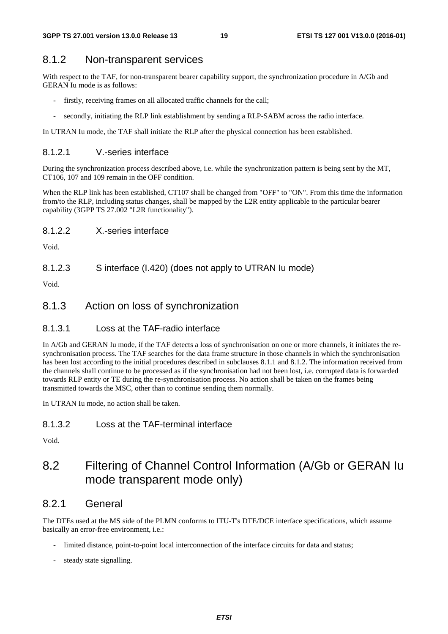## 8.1.2 Non-transparent services

With respect to the TAF, for non-transparent bearer capability support, the synchronization procedure in A/Gb and GERAN Iu mode is as follows:

- firstly, receiving frames on all allocated traffic channels for the call;
- secondly, initiating the RLP link establishment by sending a RLP-SABM across the radio interface.

In UTRAN Iu mode, the TAF shall initiate the RLP after the physical connection has been established.

## 8.1.2.1 V.-series interface

During the synchronization process described above, i.e. while the synchronization pattern is being sent by the MT, CT106, 107 and 109 remain in the OFF condition.

When the RLP link has been established, CT107 shall be changed from "OFF" to "ON". From this time the information from/to the RLP, including status changes, shall be mapped by the L2R entity applicable to the particular bearer capability (3GPP TS 27.002 "L2R functionality").

### 8.1.2.2 X.-series interface

Void.

8.1.2.3 S interface (I.420) (does not apply to UTRAN Iu mode)

Void.

## 8.1.3 Action on loss of synchronization

## 8.1.3.1 Loss at the TAF-radio interface

In A/Gb and GERAN Iu mode, if the TAF detects a loss of synchronisation on one or more channels, it initiates the resynchronisation process. The TAF searches for the data frame structure in those channels in which the synchronisation has been lost according to the initial procedures described in subclauses 8.1.1 and 8.1.2. The information received from the channels shall continue to be processed as if the synchronisation had not been lost, i.e. corrupted data is forwarded towards RLP entity or TE during the re-synchronisation process. No action shall be taken on the frames being transmitted towards the MSC, other than to continue sending them normally.

In UTRAN Iu mode, no action shall be taken.

## 8.1.3.2 Loss at the TAF-terminal interface

Void.

## 8.2 Filtering of Channel Control Information (A/Gb or GERAN Iu mode transparent mode only)

## 8.2.1 General

The DTEs used at the MS side of the PLMN conforms to ITU-T's DTE/DCE interface specifications, which assume basically an error-free environment, i.e.:

- limited distance, point-to-point local interconnection of the interface circuits for data and status;
- steady state signalling.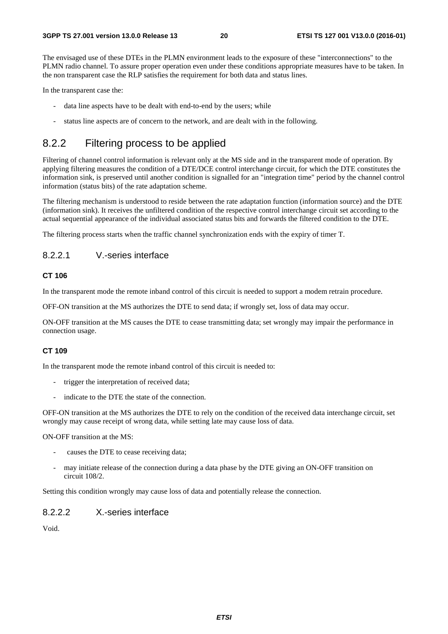The envisaged use of these DTEs in the PLMN environment leads to the exposure of these "interconnections" to the PLMN radio channel. To assure proper operation even under these conditions appropriate measures have to be taken. In the non transparent case the RLP satisfies the requirement for both data and status lines.

In the transparent case the:

- data line aspects have to be dealt with end-to-end by the users; while
- status line aspects are of concern to the network, and are dealt with in the following.

## 8.2.2 Filtering process to be applied

Filtering of channel control information is relevant only at the MS side and in the transparent mode of operation. By applying filtering measures the condition of a DTE/DCE control interchange circuit, for which the DTE constitutes the information sink, is preserved until another condition is signalled for an "integration time" period by the channel control information (status bits) of the rate adaptation scheme.

The filtering mechanism is understood to reside between the rate adaptation function (information source) and the DTE (information sink). It receives the unfiltered condition of the respective control interchange circuit set according to the actual sequential appearance of the individual associated status bits and forwards the filtered condition to the DTE.

The filtering process starts when the traffic channel synchronization ends with the expiry of timer T.

### 8.2.2.1 V.-series interface

### **CT 106**

In the transparent mode the remote inband control of this circuit is needed to support a modem retrain procedure.

OFF-ON transition at the MS authorizes the DTE to send data; if wrongly set, loss of data may occur.

ON-OFF transition at the MS causes the DTE to cease transmitting data; set wrongly may impair the performance in connection usage.

### **CT 109**

In the transparent mode the remote inband control of this circuit is needed to:

- trigger the interpretation of received data;
- indicate to the DTE the state of the connection.

OFF-ON transition at the MS authorizes the DTE to rely on the condition of the received data interchange circuit, set wrongly may cause receipt of wrong data, while setting late may cause loss of data.

ON-OFF transition at the MS:

- causes the DTE to cease receiving data;
- may initiate release of the connection during a data phase by the DTE giving an ON-OFF transition on circuit 108/2.

Setting this condition wrongly may cause loss of data and potentially release the connection.

## 8.2.2.2 X.-series interface

Void.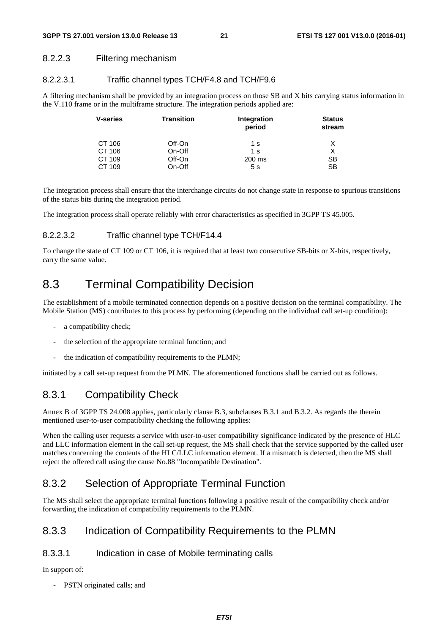## 8.2.2.3 Filtering mechanism

## 8.2.2.3.1 Traffic channel types TCH/F4.8 and TCH/F9.6

A filtering mechanism shall be provided by an integration process on those SB and X bits carrying status information in the V.110 frame or in the multiframe structure. The integration periods applied are:

| <b>V-series</b> | <b>Transition</b> | Integration<br>period | <b>Status</b><br>stream |
|-----------------|-------------------|-----------------------|-------------------------|
| CT 106          | Off-On            | 1 s                   | X                       |
| CT 106          | On-Off            | 1 s                   | х                       |
| CT 109          | Off-On            | 200 ms                | <b>SB</b>               |
| CT 109          | On-Off            | 5 <sub>s</sub>        | <b>SB</b>               |

The integration process shall ensure that the interchange circuits do not change state in response to spurious transitions of the status bits during the integration period.

The integration process shall operate reliably with error characteristics as specified in 3GPP TS 45.005.

## 8.2.2.3.2 Traffic channel type TCH/F14.4

To change the state of CT 109 or CT 106, it is required that at least two consecutive SB-bits or X-bits, respectively, carry the same value.

## 8.3 Terminal Compatibility Decision

The establishment of a mobile terminated connection depends on a positive decision on the terminal compatibility. The Mobile Station (MS) contributes to this process by performing (depending on the individual call set-up condition):

- a compatibility check;
- the selection of the appropriate terminal function; and
- the indication of compatibility requirements to the PLMN;

initiated by a call set-up request from the PLMN. The aforementioned functions shall be carried out as follows.

## 8.3.1 Compatibility Check

Annex B of 3GPP TS 24.008 applies, particularly clause B.3, subclauses B.3.1 and B.3.2. As regards the therein mentioned user-to-user compatibility checking the following applies:

When the calling user requests a service with user-to-user compatibility significance indicated by the presence of HLC and LLC information element in the call set-up request, the MS shall check that the service supported by the called user matches concerning the contents of the HLC/LLC information element. If a mismatch is detected, then the MS shall reject the offered call using the cause No.88 "Incompatible Destination".

## 8.3.2 Selection of Appropriate Terminal Function

The MS shall select the appropriate terminal functions following a positive result of the compatibility check and/or forwarding the indication of compatibility requirements to the PLMN.

## 8.3.3 Indication of Compatibility Requirements to the PLMN

### 8.3.3.1 Indication in case of Mobile terminating calls

In support of:

- PSTN originated calls; and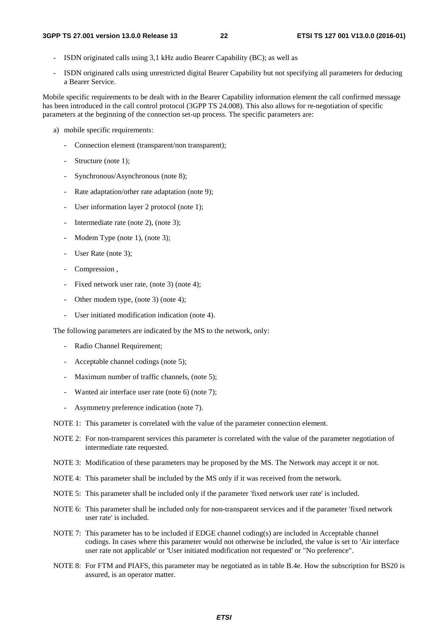#### **3GPP TS 27.001 version 13.0.0 Release 13 22 ETSI TS 127 001 V13.0.0 (2016-01)**

- ISDN originated calls using 3,1 kHz audio Bearer Capability (BC); as well as
- ISDN originated calls using unrestricted digital Bearer Capability but not specifying all parameters for deducing a Bearer Service.

Mobile specific requirements to be dealt with in the Bearer Capability information element the call confirmed message has been introduced in the call control protocol (3GPP TS 24.008). This also allows for re-negotiation of specific parameters at the beginning of the connection set-up process. The specific parameters are:

- a) mobile specific requirements:
	- Connection element (transparent/non transparent);
	- Structure (note 1);
	- Synchronous/Asynchronous (note 8);
	- Rate adaptation/other rate adaptation (note 9);
	- User information layer 2 protocol (note 1);
	- Intermediate rate (note 2), (note 3);
	- Modem Type (note 1), (note 3);
	- User Rate (note 3):
	- Compression,
	- Fixed network user rate, (note 3) (note 4);
	- Other modem type, (note 3) (note 4);
	- User initiated modification indication (note 4).

The following parameters are indicated by the MS to the network, only:

- Radio Channel Requirement;
- Acceptable channel codings (note 5);
- Maximum number of traffic channels, (note 5);
- Wanted air interface user rate (note 6) (note 7);
- Asymmetry preference indication (note 7).
- NOTE 1: This parameter is correlated with the value of the parameter connection element.
- NOTE 2: For non-transparent services this parameter is correlated with the value of the parameter negotiation of intermediate rate requested.
- NOTE 3: Modification of these parameters may be proposed by the MS. The Network may accept it or not.
- NOTE 4: This parameter shall be included by the MS only if it was received from the network.
- NOTE 5: This parameter shall be included only if the parameter 'fixed network user rate' is included.
- NOTE 6: This parameter shall be included only for non-transparent services and if the parameter 'fixed network user rate' is included.
- NOTE 7: This parameter has to be included if EDGE channel coding(s) are included in Acceptable channel codings. In cases where this parameter would not otherwise be included, the value is set to 'Air interface user rate not applicable' or 'User initiated modification not requested' or "No preference".
- NOTE 8: For FTM and PIAFS, this parameter may be negotiated as in table B.4e. How the subscription for BS20 is assured, is an operator matter.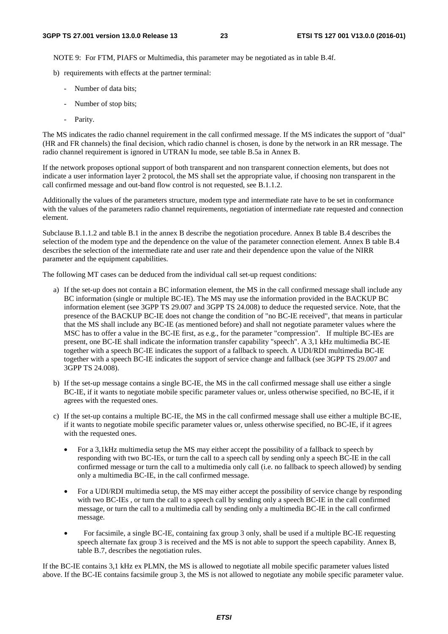NOTE 9: For FTM, PIAFS or Multimedia, this parameter may be negotiated as in table B.4f.

b) requirements with effects at the partner terminal:

- Number of data bits;
- Number of stop bits;
- Parity.

The MS indicates the radio channel requirement in the call confirmed message. If the MS indicates the support of "dual" (HR and FR channels) the final decision, which radio channel is chosen, is done by the network in an RR message. The radio channel requirement is ignored in UTRAN Iu mode, see table B.5a in Annex B.

If the network proposes optional support of both transparent and non transparent connection elements, but does not indicate a user information layer 2 protocol, the MS shall set the appropriate value, if choosing non transparent in the call confirmed message and out-band flow control is not requested, see B.1.1.2.

Additionally the values of the parameters structure, modem type and intermediate rate have to be set in conformance with the values of the parameters radio channel requirements, negotiation of intermediate rate requested and connection element.

Subclause B.1.1.2 and table B.1 in the annex B describe the negotiation procedure. Annex B table B.4 describes the selection of the modem type and the dependence on the value of the parameter connection element. Annex B table B.4 describes the selection of the intermediate rate and user rate and their dependence upon the value of the NIRR parameter and the equipment capabilities.

The following MT cases can be deduced from the individual call set-up request conditions:

- a) If the set-up does not contain a BC information element, the MS in the call confirmed message shall include any BC information (single or multiple BC-IE). The MS may use the information provided in the BACKUP BC information element (see 3GPP TS 29.007 and 3GPP TS 24.008) to deduce the requested service. Note, that the presence of the BACKUP BC-IE does not change the condition of "no BC-IE received", that means in particular that the MS shall include any BC-IE (as mentioned before) and shall not negotiate parameter values where the MSC has to offer a value in the BC-IE first, as e.g., for the parameter "compression". If multiple BC-IEs are present, one BC-IE shall indicate the information transfer capability "speech". A 3,1 kHz multimedia BC-IE together with a speech BC-IE indicates the support of a fallback to speech. A UDI/RDI multimedia BC-IE together with a speech BC-IE indicates the support of service change and fallback (see 3GPP TS 29.007 and 3GPP TS 24.008).
- b) If the set-up message contains a single BC-IE, the MS in the call confirmed message shall use either a single BC-IE, if it wants to negotiate mobile specific parameter values or, unless otherwise specified, no BC-IE, if it agrees with the requested ones.
- c) If the set-up contains a multiple BC-IE, the MS in the call confirmed message shall use either a multiple BC-IE, if it wants to negotiate mobile specific parameter values or, unless otherwise specified, no BC-IE, if it agrees with the requested ones.
	- For a 3,1kHz multimedia setup the MS may either accept the possibility of a fallback to speech by responding with two BC-IEs, or turn the call to a speech call by sending only a speech BC-IE in the call confirmed message or turn the call to a multimedia only call (i.e. no fallback to speech allowed) by sending only a multimedia BC-IE, in the call confirmed message.
	- For a UDI/RDI multimedia setup, the MS may either accept the possibility of service change by responding with two BC-IEs , or turn the call to a speech call by sending only a speech BC-IE in the call confirmed message, or turn the call to a multimedia call by sending only a multimedia BC-IE in the call confirmed message.
	- For facsimile, a single BC-IE, containing fax group 3 only, shall be used if a multiple BC-IE requesting speech alternate fax group 3 is received and the MS is not able to support the speech capability. Annex B, table B.7, describes the negotiation rules.

If the BC-IE contains 3,1 kHz ex PLMN, the MS is allowed to negotiate all mobile specific parameter values listed above. If the BC-IE contains facsimile group 3, the MS is not allowed to negotiate any mobile specific parameter value.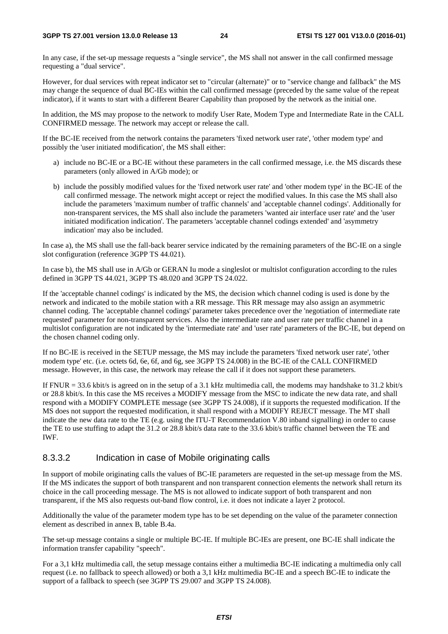In any case, if the set-up message requests a "single service", the MS shall not answer in the call confirmed message requesting a "dual service".

However, for dual services with repeat indicator set to "circular (alternate)" or to "service change and fallback" the MS may change the sequence of dual BC-IEs within the call confirmed message (preceded by the same value of the repeat indicator), if it wants to start with a different Bearer Capability than proposed by the network as the initial one.

In addition, the MS may propose to the network to modify User Rate, Modem Type and Intermediate Rate in the CALL CONFIRMED message. The network may accept or release the call.

If the BC-IE received from the network contains the parameters 'fixed network user rate', 'other modem type' and possibly the 'user initiated modification', the MS shall either:

- a) include no BC-IE or a BC-IE without these parameters in the call confirmed message, i.e. the MS discards these parameters (only allowed in A/Gb mode); or
- b) include the possibly modified values for the 'fixed network user rate' and 'other modem type' in the BC-IE of the call confirmed message. The network might accept or reject the modified values. In this case the MS shall also include the parameters 'maximum number of traffic channels' and 'acceptable channel codings'. Additionally for non-transparent services, the MS shall also include the parameters 'wanted air interface user rate' and the 'user initiated modification indication'. The parameters 'acceptable channel codings extended' and 'asymmetry indication' may also be included.

In case a), the MS shall use the fall-back bearer service indicated by the remaining parameters of the BC-IE on a single slot configuration (reference 3GPP TS 44.021).

In case b), the MS shall use in A/Gb or GERAN Iu mode a singleslot or multislot configuration according to the rules defined in 3GPP TS 44.021, 3GPP TS 48.020 and 3GPP TS 24.022.

If the 'acceptable channel codings' is indicated by the MS, the decision which channel coding is used is done by the network and indicated to the mobile station with a RR message. This RR message may also assign an asymmetric channel coding. The 'acceptable channel codings' parameter takes precedence over the 'negotiation of intermediate rate requested' parameter for non-transparent services. Also the intermediate rate and user rate per traffic channel in a multislot configuration are not indicated by the 'intermediate rate' and 'user rate' parameters of the BC-IE, but depend on the chosen channel coding only.

If no BC-IE is received in the SETUP message, the MS may include the parameters 'fixed network user rate', 'other modem type' etc. (i.e. octets 6d, 6e, 6f, and 6g, see 3GPP TS 24.008) in the BC-IE of the CALL CONFIRMED message. However, in this case, the network may release the call if it does not support these parameters.

If FNUR = 33.6 kbit/s is agreed on in the setup of a 3.1 kHz multimedia call, the modems may handshake to 31.2 kbit/s or 28.8 kbit/s. In this case the MS receives a MODIFY message from the MSC to indicate the new data rate, and shall respond with a MODIFY COMPLETE message (see 3GPP TS 24.008), if it supports the requested modification. If the MS does not support the requested modification, it shall respond with a MODIFY REJECT message. The MT shall indicate the new data rate to the TE (e.g. using the ITU-T Recommendation V.80 inband signalling) in order to cause the TE to use stuffing to adapt the 31.2 or 28.8 kbit/s data rate to the 33.6 kbit/s traffic channel between the TE and IWF.

### 8.3.3.2 Indication in case of Mobile originating calls

In support of mobile originating calls the values of BC-IE parameters are requested in the set-up message from the MS. If the MS indicates the support of both transparent and non transparent connection elements the network shall return its choice in the call proceeding message. The MS is not allowed to indicate support of both transparent and non transparent, if the MS also requests out-band flow control, i.e. it does not indicate a layer 2 protocol.

Additionally the value of the parameter modem type has to be set depending on the value of the parameter connection element as described in annex B, table B.4a.

The set-up message contains a single or multiple BC-IE. If multiple BC-IEs are present, one BC-IE shall indicate the information transfer capability "speech".

For a 3,1 kHz multimedia call, the setup message contains either a multimedia BC-IE indicating a multimedia only call request (i.e. no fallback to speech allowed) or both a 3,1 kHz multimedia BC-IE and a speech BC-IE to indicate the support of a fallback to speech (see 3GPP TS 29.007 and 3GPP TS 24.008).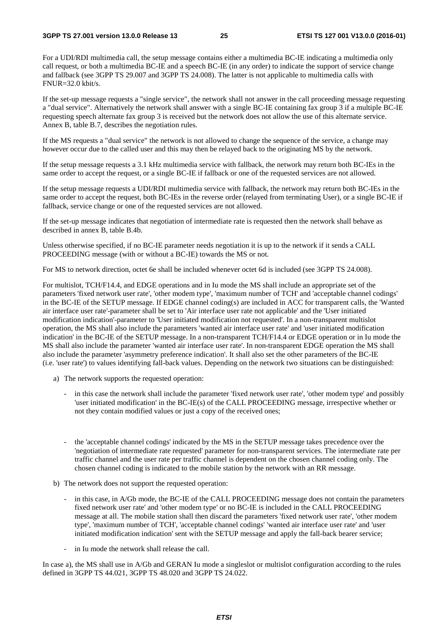For a UDI/RDI multimedia call, the setup message contains either a multimedia BC-IE indicating a multimedia only call request, or both a multimedia BC-IE and a speech BC-IE (in any order) to indicate the support of service change and fallback (see 3GPP TS 29.007 and 3GPP TS 24.008). The latter is not applicable to multimedia calls with FNUR=32.0 kbit/s.

If the set-up message requests a "single service", the network shall not answer in the call proceeding message requesting a "dual service". Alternatively the network shall answer with a single BC-IE containing fax group 3 if a multiple BC-IE requesting speech alternate fax group 3 is received but the network does not allow the use of this alternate service. Annex B, table B.7, describes the negotiation rules.

If the MS requests a "dual service" the network is not allowed to change the sequence of the service, a change may however occur due to the called user and this may then be relayed back to the originating MS by the network.

If the setup message requests a 3.1 kHz multimedia service with fallback, the network may return both BC-IEs in the same order to accept the request, or a single BC-IE if fallback or one of the requested services are not allowed.

If the setup message requests a UDI/RDI multimedia service with fallback, the network may return both BC-IEs in the same order to accept the request, both BC-IEs in the reverse order (relayed from terminating User), or a single BC-IE if fallback, service change or one of the requested services are not allowed.

If the set-up message indicates that negotiation of intermediate rate is requested then the network shall behave as described in annex B, table B.4b.

Unless otherwise specified, if no BC-IE parameter needs negotiation it is up to the network if it sends a CALL PROCEEDING message (with or without a BC-IE) towards the MS or not.

For MS to network direction, octet 6e shall be included whenever octet 6d is included (see 3GPP TS 24.008).

For multislot, TCH/F14.4, and EDGE operations and in Iu mode the MS shall include an appropriate set of the parameters 'fixed network user rate', 'other modem type', 'maximum number of TCH' and 'acceptable channel codings' in the BC-IE of the SETUP message. If EDGE channel coding(s) are included in ACC for transparent calls, the 'Wanted air interface user rate'-parameter shall be set to 'Air interface user rate not applicable' and the 'User initiated modification indication'-parameter to 'User initiated modification not requested'. In a non-transparent multislot operation, the MS shall also include the parameters 'wanted air interface user rate' and 'user initiated modification indication' in the BC-IE of the SETUP message. In a non-transparent TCH/F14.4 or EDGE operation or in Iu mode the MS shall also include the parameter 'wanted air interface user rate'. In non-transparent EDGE operation the MS shall also include the parameter 'asymmetry preference indication'. It shall also set the other parameters of the BC-IE (i.e. 'user rate') to values identifying fall-back values. Depending on the network two situations can be distinguished:

- a) The network supports the requested operation:
	- in this case the network shall include the parameter 'fixed network user rate', 'other modem type' and possibly 'user initiated modification' in the BC-IE(s) of the CALL PROCEEDING message, irrespective whether or not they contain modified values or just a copy of the received ones;
	- the 'acceptable channel codings' indicated by the MS in the SETUP message takes precedence over the 'negotiation of intermediate rate requested' parameter for non-transparent services. The intermediate rate per traffic channel and the user rate per traffic channel is dependent on the chosen channel coding only. The chosen channel coding is indicated to the mobile station by the network with an RR message.
- b) The network does not support the requested operation:
	- in this case, in A/Gb mode, the BC-IE of the CALL PROCEEDING message does not contain the parameters fixed network user rate' and 'other modem type' or no BC-IE is included in the CALL PROCEEDING message at all. The mobile station shall then discard the parameters 'fixed network user rate', 'other modem type', 'maximum number of TCH', 'acceptable channel codings' 'wanted air interface user rate' and 'user initiated modification indication' sent with the SETUP message and apply the fall-back bearer service;
	- in Iu mode the network shall release the call.

In case a), the MS shall use in A/Gb and GERAN Iu mode a singleslot or multislot configuration according to the rules defined in 3GPP TS 44.021, 3GPP TS 48.020 and 3GPP TS 24.022.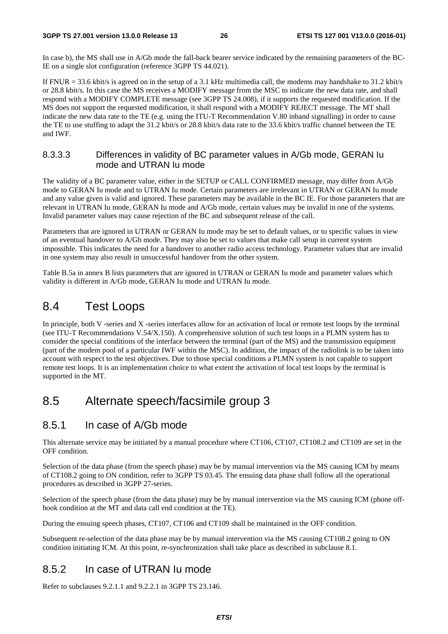In case b), the MS shall use in A/Gb mode the fall-back bearer service indicated by the remaining parameters of the BC-IE on a single slot configuration (reference 3GPP TS 44.021).

If FNUR = 33.6 kbit/s is agreed on in the setup of a 3.1 kHz multimedia call, the modems may handshake to 31.2 kbit/s or 28.8 kbit/s. In this case the MS receives a MODIFY message from the MSC to indicate the new data rate, and shall respond with a MODIFY COMPLETE message (see 3GPP TS 24.008), if it supports the requested modification. If the MS does not support the requested modification, it shall respond with a MODIFY REJECT message. The MT shall indicate the new data rate to the TE (e.g. using the ITU-T Recommendation V.80 inband signalling) in order to cause the TE to use stuffing to adapt the 31.2 kbit/s or 28.8 kbit/s data rate to the 33.6 kbit/s traffic channel between the TE and IWF.

### 8.3.3.3 Differences in validity of BC parameter values in A/Gb mode, GERAN Iu mode and UTRAN Iu mode

The validity of a BC parameter value, either in the SETUP or CALL CONFIRMED message, may differ from A/Gb mode to GERAN Iu mode and to UTRAN Iu mode. Certain parameters are irrelevant in UTRAN or GERAN Iu mode and any value given is valid and ignored. These parameters may be available in the BC IE. For those parameters that are relevant in UTRAN Iu mode, GERAN Iu mode and A/Gb mode, certain values may be invalid in one of the systems. Invalid parameter values may cause rejection of the BC and subsequent release of the call.

Parameters that are ignored in UTRAN or GERAN Iu mode may be set to default values, or to specific values in view of an eventual handover to A/Gb mode. They may also be set to values that make call setup in current system impossible. This indicates the need for a handover to another radio access technology. Parameter values that are invalid in one system may also result in unsuccessful handover from the other system.

Table B.5a in annex B lists parameters that are ignored in UTRAN or GERAN Iu mode and parameter values which validity is different in A/Gb mode, GERAN Iu mode and UTRAN Iu mode.

## 8.4 Test Loops

In principle, both V -series and X -series interfaces allow for an activation of local or remote test loops by the terminal (see ITU-T Recommendations V.54/X.150). A comprehensive solution of such test loops in a PLMN system has to consider the special conditions of the interface between the terminal (part of the MS) and the transmission equipment (part of the modem pool of a particular IWF within the MSC). In addition, the impact of the radiolink is to be taken into account with respect to the test objectives. Due to those special conditions a PLMN system is not capable to support remote test loops. It is an implementation choice to what extent the activation of local test loops by the terminal is supported in the MT.

## 8.5 Alternate speech/facsimile group 3

## 8.5.1 In case of A/Gb mode

This alternate service may be initiated by a manual procedure where CT106, CT107, CT108.2 and CT109 are set in the OFF condition.

Selection of the data phase (from the speech phase) may be by manual intervention via the MS causing ICM by means of CT108.2 going to ON condition, refer to 3GPP TS 03.45. The ensuing data phase shall follow all the operational procedures as described in 3GPP 27-series.

Selection of the speech phase (from the data phase) may be by manual intervention via the MS causing ICM (phone offhook condition at the MT and data call end condition at the TE).

During the ensuing speech phases, CT107, CT106 and CT109 shall be maintained in the OFF condition.

Subsequent re-selection of the data phase may be by manual intervention via the MS causing CT108.2 going to ON condition initiating ICM. At this point, re-synchronization shall take place as described in subclause 8.1.

## 8.5.2 In case of UTRAN Iu mode

Refer to subclauses 9.2.1.1 and 9.2.2.1 in 3GPP TS 23.146.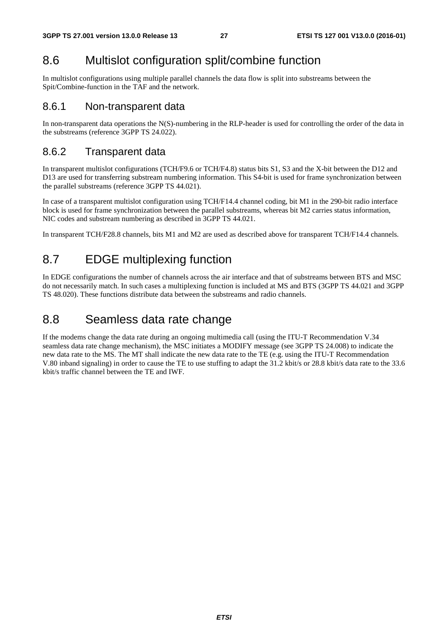## 8.6 Multislot configuration split/combine function

In multislot configurations using multiple parallel channels the data flow is split into substreams between the Spit/Combine-function in the TAF and the network.

## 8.6.1 Non-transparent data

In non-transparent data operations the N(S)-numbering in the RLP-header is used for controlling the order of the data in the substreams (reference 3GPP TS 24.022).

## 8.6.2 Transparent data

In transparent multislot configurations (TCH/F9.6 or TCH/F4.8) status bits S1, S3 and the X-bit between the D12 and D13 are used for transferring substream numbering information. This S4-bit is used for frame synchronization between the parallel substreams (reference 3GPP TS 44.021).

In case of a transparent multislot configuration using TCH/F14.4 channel coding, bit M1 in the 290-bit radio interface block is used for frame synchronization between the parallel substreams, whereas bit M2 carries status information, NIC codes and substream numbering as described in 3GPP TS 44.021.

In transparent TCH/F28.8 channels, bits M1 and M2 are used as described above for transparent TCH/F14.4 channels.

## 8.7 EDGE multiplexing function

In EDGE configurations the number of channels across the air interface and that of substreams between BTS and MSC do not necessarily match. In such cases a multiplexing function is included at MS and BTS (3GPP TS 44.021 and 3GPP TS 48.020). These functions distribute data between the substreams and radio channels.

## 8.8 Seamless data rate change

If the modems change the data rate during an ongoing multimedia call (using the ITU-T Recommendation V.34 seamless data rate change mechanism), the MSC initiates a MODIFY message (see 3GPP TS 24.008) to indicate the new data rate to the MS. The MT shall indicate the new data rate to the TE (e.g. using the ITU-T Recommendation V.80 inband signaling) in order to cause the TE to use stuffing to adapt the 31.2 kbit/s or 28.8 kbit/s data rate to the 33.6 kbit/s traffic channel between the TE and IWF.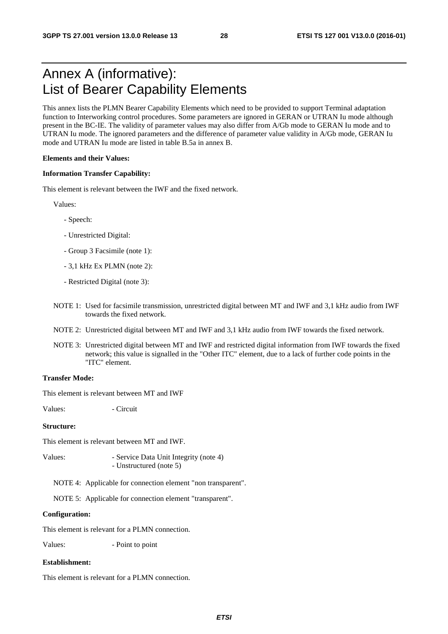## Annex A (informative): List of Bearer Capability Elements

This annex lists the PLMN Bearer Capability Elements which need to be provided to support Terminal adaptation function to Interworking control procedures. Some parameters are ignored in GERAN or UTRAN Iu mode although present in the BC-IE. The validity of parameter values may also differ from A/Gb mode to GERAN Iu mode and to UTRAN Iu mode. The ignored parameters and the difference of parameter value validity in A/Gb mode, GERAN Iu mode and UTRAN Iu mode are listed in table B.5a in annex B.

#### **Elements and their Values:**

#### **Information Transfer Capability:**

This element is relevant between the IWF and the fixed network.

Values:

- Speech:
- Unrestricted Digital:
- Group 3 Facsimile (note 1):
- 3,1 kHz Ex PLMN (note 2):
- Restricted Digital (note 3):
- NOTE 1: Used for facsimile transmission, unrestricted digital between MT and IWF and 3,1 kHz audio from IWF towards the fixed network.
- NOTE 2: Unrestricted digital between MT and IWF and 3,1 kHz audio from IWF towards the fixed network.
- NOTE 3: Unrestricted digital between MT and IWF and restricted digital information from IWF towards the fixed network; this value is signalled in the "Other ITC" element, due to a lack of further code points in the "ITC" element.

#### **Transfer Mode:**

This element is relevant between MT and IWF

Values: - Circuit

#### **Structure:**

This element is relevant between MT and IWF.

Values: - Service Data Unit Integrity (note 4) - Unstructured (note 5)

NOTE 4: Applicable for connection element "non transparent".

NOTE 5: Applicable for connection element "transparent".

### **Configuration:**

This element is relevant for a PLMN connection.

Values:  $\overline{\phantom{a}}$  - Point to point

#### **Establishment:**

This element is relevant for a PLMN connection.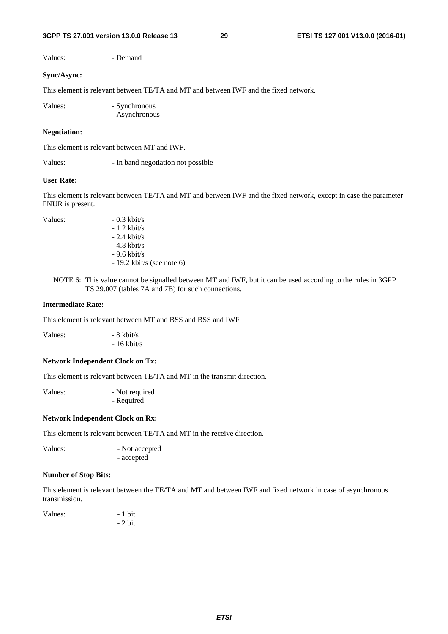#### **3GPP TS 27.001 version 13.0.0 Release 13 29 ETSI TS 127 001 V13.0.0 (2016-01)**

Values: - Demand

### **Sync/Async:**

This element is relevant between TE/TA and MT and between IWF and the fixed network.

Values: - Synchronous - Asynchronous

#### **Negotiation:**

This element is relevant between MT and IWF.

Values:  $\blacksquare$  - In band negotiation not possible

### **User Rate:**

This element is relevant between TE/TA and MT and between IWF and the fixed network, except in case the parameter FNUR is present.

- Values:  $-0.3 \text{ kbit/s}$ - 1.2 kbit/s - 2.4 kbit/s - 4.8 kbit/s - 9.6 kbit/s - 19.2 kbit/s (see note 6)
	- NOTE 6: This value cannot be signalled between MT and IWF, but it can be used according to the rules in 3GPP TS 29.007 (tables 7A and 7B) for such connections.

### **Intermediate Rate:**

This element is relevant between MT and BSS and BSS and IWF

Values:  $-8 \text{ kbit/s}$ - 16 kbit/s

### **Network Independent Clock on Tx:**

This element is relevant between TE/TA and MT in the transmit direction.

Values:  $\qquad \qquad$  - Not required - Required

### **Network Independent Clock on Rx:**

This element is relevant between TE/TA and MT in the receive direction.

Values:  $\qquad \qquad$  - Not accepted - accepted

### **Number of Stop Bits:**

This element is relevant between the TE/TA and MT and between IWF and fixed network in case of asynchronous transmission.

| Values: | $-1$ bit |
|---------|----------|
|         | $-2$ bit |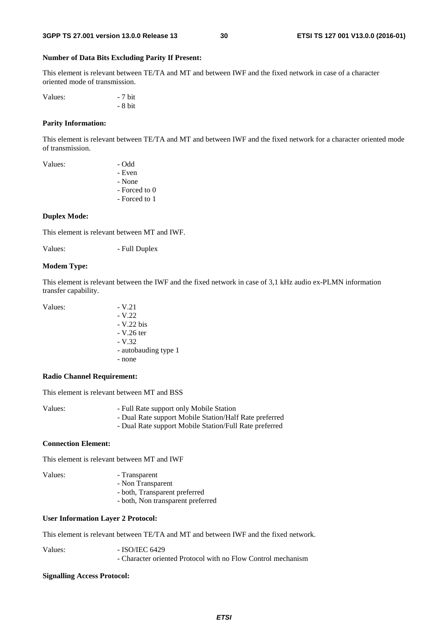### **Number of Data Bits Excluding Parity If Present:**

This element is relevant between TE/TA and MT and between IWF and the fixed network in case of a character oriented mode of transmission.

Values:  $-7$  bit - 8 bit

### **Parity Information:**

This element is relevant between TE/TA and MT and between IWF and the fixed network for a character oriented mode of transmission.

| Values: | - Odd         |
|---------|---------------|
|         | - Even        |
|         | - None        |
|         | - Forced to 0 |
|         | - Forced to 1 |
|         |               |

#### **Duplex Mode:**

This element is relevant between MT and IWF.

Values: - Full Duplex

#### **Modem Type:**

This element is relevant between the IWF and the fixed network in case of 3,1 kHz audio ex-PLMN information transfer capability.

| Values: | $-V.21$              |
|---------|----------------------|
|         | $-V.22$              |
|         | $-V.22$ bis          |
|         | $- V.26$ ter         |
|         | $-V.32$              |
|         | - autobauding type 1 |
|         | - none               |

#### **Radio Channel Requirement:**

This element is relevant between MT and BSS

- Dual Rate support Mobile Station/Half Rate preferred
- Dual Rate support Mobile Station/Full Rate preferred

### **Connection Element:**

This element is relevant between MT and IWF

- Values: Transparent
	- Non Transparent
	- both, Transparent preferred
	- both, Non transparent preferred

### **User Information Layer 2 Protocol:**

This element is relevant between TE/TA and MT and between IWF and the fixed network.

Values: - ISO/IEC 6429

- Character oriented Protocol with no Flow Control mechanism

#### **Signalling Access Protocol:**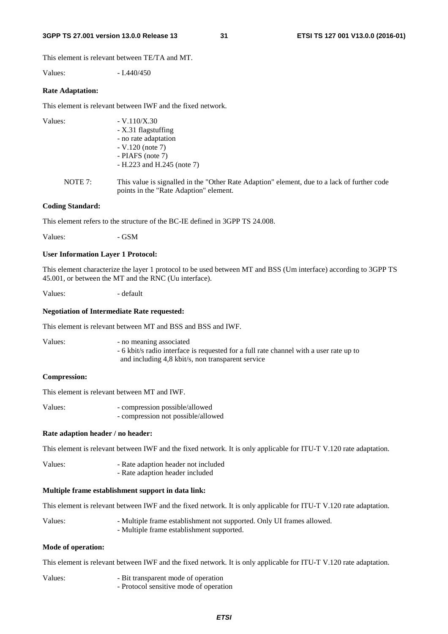#### **3GPP TS 27.001 version 13.0.0 Release 13 31 ETSI TS 127 001 V13.0.0 (2016-01)**

This element is relevant between TE/TA and MT.

Values: - I.440/450

#### **Rate Adaptation:**

This element is relevant between IWF and the fixed network.

| Values: | $-V.110/X.30$<br>- X.31 flagstuffing<br>- no rate adaptation                                                                          |
|---------|---------------------------------------------------------------------------------------------------------------------------------------|
|         | $-V.120$ (note 7)<br>$-$ PIAFS (note 7)<br>$-H.223$ and H.245 (note 7)                                                                |
| NOTE 7: | This value is signalled in the "Other Rate Adaption" element, due to a lack of further code<br>points in the "Rate Adaption" element. |

#### **Coding Standard:**

This element refers to the structure of the BC-IE defined in 3GPP TS 24.008.

Values: GSM

### **User Information Layer 1 Protocol:**

This element characterize the layer 1 protocol to be used between MT and BSS (Um interface) according to 3GPP TS 45.001, or between the MT and the RNC (Uu interface).

Values:  $\qquad \qquad -$  default

### **Negotiation of Intermediate Rate requested:**

This element is relevant between MT and BSS and BSS and IWF.

Values:  $\blacksquare$  - no meaning associated - 6 kbit/s radio interface is requested for a full rate channel with a user rate up to and including 4,8 kbit/s, non transparent service

### **Compression:**

This element is relevant between MT and IWF.

Values: - compression possible/allowed - compression not possible/allowed

### **Rate adaption header / no header:**

This element is relevant between IWF and the fixed network. It is only applicable for ITU-T V.120 rate adaptation.

Values: - Rate adaption header not included - Rate adaption header included

#### **Multiple frame establishment support in data link:**

This element is relevant between IWF and the fixed network. It is only applicable for ITU-T V.120 rate adaptation.

Values: - Multiple frame establishment not supported. Only UI frames allowed. - Multiple frame establishment supported.

### **Mode of operation:**

This element is relevant between IWF and the fixed network. It is only applicable for ITU-T V.120 rate adaptation.

Values: - Bit transparent mode of operation - Protocol sensitive mode of operation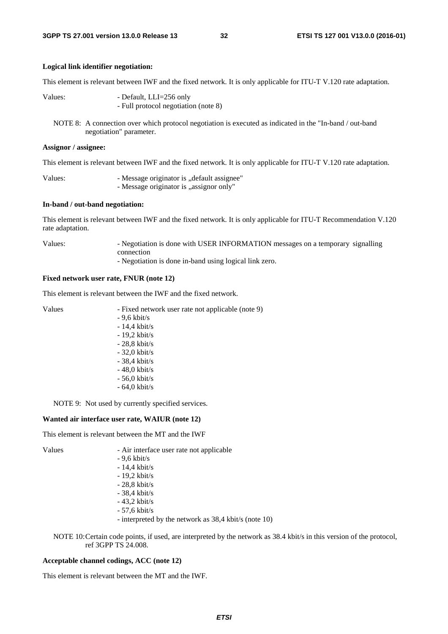#### **Logical link identifier negotiation:**

This element is relevant between IWF and the fixed network. It is only applicable for ITU-T V.120 rate adaptation.

Values: - Default, LLI=256 only - Full protocol negotiation (note 8)

NOTE 8: A connection over which protocol negotiation is executed as indicated in the "In-band / out-band negotiation" parameter.

#### **Assignor / assignee:**

This element is relevant between IWF and the fixed network. It is only applicable for ITU-T V.120 rate adaptation.

Values: - Message originator is "default assignee" - Message originator is "assignor only"

#### **In-band / out-band negotiation:**

This element is relevant between IWF and the fixed network. It is only applicable for ITU-T Recommendation V.120 rate adaptation.

Values: - Negotiation is done with USER INFORMATION messages on a temporary signalling connection

- Negotiation is done in-band using logical link zero.

#### **Fixed network user rate, FNUR (note 12)**

This element is relevant between the IWF and the fixed network.

| Values | - Fixed network user rate not applicable (note 9) |
|--------|---------------------------------------------------|
|        | $-9.6$ kbit/s                                     |
|        | $-14.4$ kbit/s                                    |
|        | $-19.2$ kbit/s                                    |
|        | $-28.8$ kbit/s                                    |
|        | $-32.0$ kbit/s                                    |
|        | $-38.4$ kbit/s                                    |
|        | $-48,0$ kbit/s                                    |
|        | $-56.0$ kbit/s                                    |
|        | $-64.0 \text{ kbit/s}$                            |

NOTE 9: Not used by currently specified services.

### **Wanted air interface user rate, WAIUR (note 12)**

This element is relevant between the MT and the IWF

- Values Air interface user rate not applicable - 9,6 kbit/s - 14,4 kbit/s
	- 19,2 kbit/s - 28,8 kbit/s
	- 38,4 kbit/s
	- 43,2 kbit/s
	- 57,6 kbit/s

- interpreted by the network as 38,4 kbit/s (note 10)

NOTE 10: Certain code points, if used, are interpreted by the network as 38.4 kbit/s in this version of the protocol, ref 3GPP TS 24.008.

#### **Acceptable channel codings, ACC (note 12)**

This element is relevant between the MT and the IWF.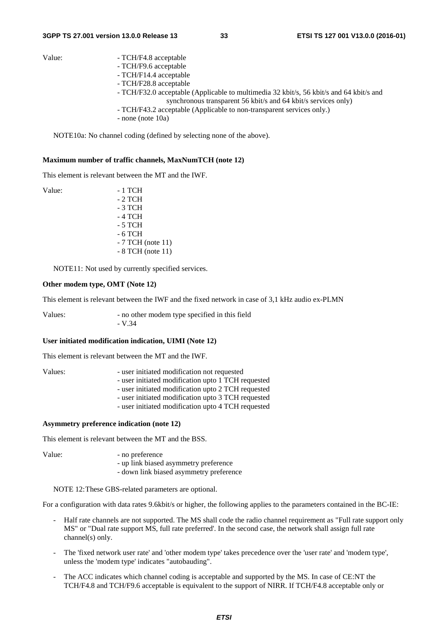#### **3GPP TS 27.001 version 13.0.0 Release 13 33 ETSI TS 127 001 V13.0.0 (2016-01)**

- Value: TCH/F4.8 acceptable
	- TCH/F9.6 acceptable
	- TCH/F14.4 acceptable
	- TCH/F28.8 acceptable
	- TCH/F32.0 acceptable (Applicable to multimedia 32 kbit/s, 56 kbit/s and 64 kbit/s and synchronous transparent 56 kbit/s and 64 kbit/s services only)
	- TCH/F43.2 acceptable (Applicable to non-transparent services only.)
	- none (note 10a)

NOTE10a: No channel coding (defined by selecting none of the above).

### **Maximum number of traffic channels, MaxNumTCH (note 12)**

This element is relevant between the MT and the IWF.

| Value: | - 1 TCH            |
|--------|--------------------|
|        | - 2 TCH            |
|        | - 3 TCH            |
|        | - 4 TCH            |
|        | - 5 TCH            |
|        | - 6 TCH            |
|        | $-7$ TCH (note 11) |
|        | $-8$ TCH (note 11) |

NOTE11: Not used by currently specified services.

#### **Other modem type, OMT (Note 12)**

This element is relevant between the IWF and the fixed network in case of 3,1 kHz audio ex-PLMN

Values: - no other modem type specified in this field - V.34

#### **User initiated modification indication, UIMI (Note 12)**

This element is relevant between the MT and the IWF.

| Values: | - user initiated modification not requested        |
|---------|----------------------------------------------------|
|         | - user initiated modification upto 1 TCH requested |
|         | - user initiated modification upto 2 TCH requested |
|         | - user initiated modification upto 3 TCH requested |
|         | - user initiated modification upto 4 TCH requested |

#### **Asymmetry preference indication (note 12)**

This element is relevant between the MT and the BSS.

Value: - no preference - up link biased asymmetry preference

- down link biased asymmetry preference

NOTE 12: These GBS-related parameters are optional.

For a configuration with data rates 9.6kbit/s or higher, the following applies to the parameters contained in the BC-IE:

- Half rate channels are not supported. The MS shall code the radio channel requirement as "Full rate support only MS" or "Dual rate support MS, full rate preferred'. In the second case, the network shall assign full rate channel(s) only.
- The 'fixed network user rate' and 'other modem type' takes precedence over the 'user rate' and 'modem type', unless the 'modem type' indicates "autobauding".
- The ACC indicates which channel coding is acceptable and supported by the MS. In case of CE:NT the TCH/F4.8 and TCH/F9.6 acceptable is equivalent to the support of NIRR. If TCH/F4.8 acceptable only or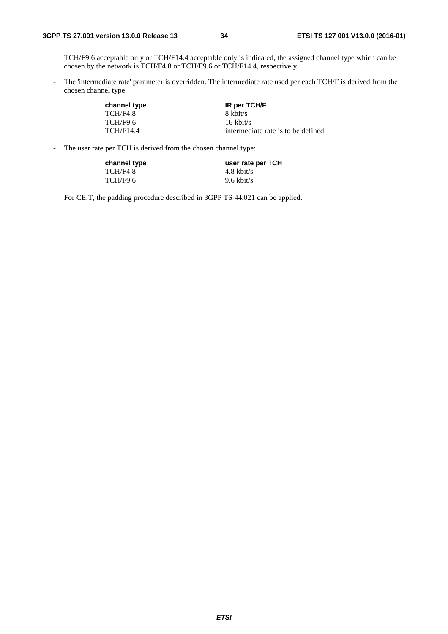TCH/F9.6 acceptable only or TCH/F14.4 acceptable only is indicated, the assigned channel type which can be chosen by the network is TCH/F4.8 or TCH/F9.6 or TCH/F14.4, respectively.

- The 'intermediate rate' parameter is overridden. The intermediate rate used per each TCH/F is derived from the chosen channel type:

| channel type     | <b>IR per TCH/F</b>                |
|------------------|------------------------------------|
| TCH/F4.8         | 8 kbit/s                           |
| <b>TCH/F9.6</b>  | $16 \text{ kbit/s}$                |
| <b>TCH/F14.4</b> | intermediate rate is to be defined |

- The user rate per TCH is derived from the chosen channel type:

| channel type | user rate per TCH    |
|--------------|----------------------|
| TCH/F4.8     | $4.8 \text{ kbit/s}$ |
| TCH/F9.6     | $9.6 \text{ kbit/s}$ |

For CE:T, the padding procedure described in 3GPP TS 44.021 can be applied.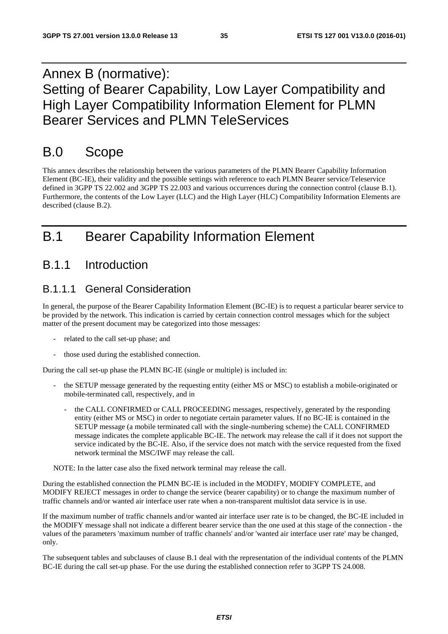## Annex B (normative): Setting of Bearer Capability, Low Layer Compatibility and High Layer Compatibility Information Element for PLMN Bearer Services and PLMN TeleServices

## B.0 Scope

This annex describes the relationship between the various parameters of the PLMN Bearer Capability Information Element (BC-IE), their validity and the possible settings with reference to each PLMN Bearer service/Teleservice defined in 3GPP TS 22.002 and 3GPP TS 22.003 and various occurrences during the connection control (clause B.1). Furthermore, the contents of the Low Layer (LLC) and the High Layer (HLC) Compatibility Information Elements are described (clause B.2).

## B.1 Bearer Capability Information Element

## B.1.1 Introduction

## B.1.1.1 General Consideration

In general, the purpose of the Bearer Capability Information Element (BC-IE) is to request a particular bearer service to be provided by the network. This indication is carried by certain connection control messages which for the subject matter of the present document may be categorized into those messages:

- related to the call set-up phase; and
- those used during the established connection.

During the call set-up phase the PLMN BC-IE (single or multiple) is included in:

- the SETUP message generated by the requesting entity (either MS or MSC) to establish a mobile-originated or mobile-terminated call, respectively, and in
	- the CALL CONFIRMED or CALL PROCEEDING messages, respectively, generated by the responding entity (either MS or MSC) in order to negotiate certain parameter values. If no BC-IE is contained in the SETUP message (a mobile terminated call with the single-numbering scheme) the CALL CONFIRMED message indicates the complete applicable BC-IE. The network may release the call if it does not support the service indicated by the BC-IE. Also, if the service does not match with the service requested from the fixed network terminal the MSC/IWF may release the call.

NOTE: In the latter case also the fixed network terminal may release the call.

During the established connection the PLMN BC-IE is included in the MODIFY, MODIFY COMPLETE, and MODIFY REJECT messages in order to change the service (bearer capability) or to change the maximum number of traffic channels and/or wanted air interface user rate when a non-transparent multislot data service is in use.

If the maximum number of traffic channels and/or wanted air interface user rate is to be changed, the BC-IE included in the MODIFY message shall not indicate a different bearer service than the one used at this stage of the connection - the values of the parameters 'maximum number of traffic channels' and/or 'wanted air interface user rate' may be changed, only.

The subsequent tables and subclauses of clause B.1 deal with the representation of the individual contents of the PLMN BC-IE during the call set-up phase. For the use during the established connection refer to 3GPP TS 24.008.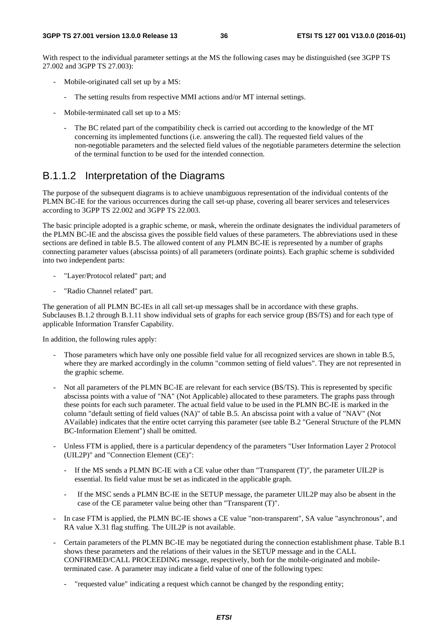With respect to the individual parameter settings at the MS the following cases may be distinguished (see 3GPP TS 27.002 and 3GPP TS 27.003):

- Mobile-originated call set up by a MS:
	- The setting results from respective MMI actions and/or MT internal settings.
- Mobile-terminated call set up to a MS:
	- The BC related part of the compatibility check is carried out according to the knowledge of the MT concerning its implemented functions (i.e. answering the call). The requested field values of the non-negotiable parameters and the selected field values of the negotiable parameters determine the selection of the terminal function to be used for the intended connection.

## B.1.1.2 Interpretation of the Diagrams

The purpose of the subsequent diagrams is to achieve unambiguous representation of the individual contents of the PLMN BC-IE for the various occurrences during the call set-up phase, covering all bearer services and teleservices according to 3GPP TS 22.002 and 3GPP TS 22.003.

The basic principle adopted is a graphic scheme, or mask, wherein the ordinate designates the individual parameters of the PLMN BC-IE and the abscissa gives the possible field values of these parameters. The abbreviations used in these sections are defined in table B.5. The allowed content of any PLMN BC-IE is represented by a number of graphs connecting parameter values (abscissa points) of all parameters (ordinate points). Each graphic scheme is subdivided into two independent parts:

- "Layer/Protocol related" part; and
- "Radio Channel related" part.

The generation of all PLMN BC-IEs in all call set-up messages shall be in accordance with these graphs. Subclauses B.1.2 through B.1.11 show individual sets of graphs for each service group (BS/TS) and for each type of applicable Information Transfer Capability.

In addition, the following rules apply:

- Those parameters which have only one possible field value for all recognized services are shown in table B.5, where they are marked accordingly in the column "common setting of field values". They are not represented in the graphic scheme.
- Not all parameters of the PLMN BC-IE are relevant for each service (BS/TS). This is represented by specific abscissa points with a value of "NA" (Not Applicable) allocated to these parameters. The graphs pass through these points for each such parameter. The actual field value to be used in the PLMN BC-IE is marked in the column "default setting of field values (NA)" of table B.5. An abscissa point with a value of "NAV" (Not AVailable) indicates that the entire octet carrying this parameter (see table B.2 "General Structure of the PLMN BC-Information Element") shall be omitted.
- Unless FTM is applied, there is a particular dependency of the parameters "User Information Layer 2 Protocol (UIL2P)" and "Connection Element (CE)":
	- If the MS sends a PLMN BC-IE with a CE value other than "Transparent  $(T)$ ", the parameter UIL2P is essential. Its field value must be set as indicated in the applicable graph.
	- If the MSC sends a PLMN BC-IE in the SETUP message, the parameter UIL2P may also be absent in the case of the CE parameter value being other than "Transparent (T)".
- In case FTM is applied, the PLMN BC-IE shows a CE value "non-transparent", SA value "asynchronous", and RA value X.31 flag stuffing. The UIL2P is not available.
- Certain parameters of the PLMN BC-IE may be negotiated during the connection establishment phase. Table B.1 shows these parameters and the relations of their values in the SETUP message and in the CALL CONFIRMED/CALL PROCEEDING message, respectively, both for the mobile-originated and mobileterminated case. A parameter may indicate a field value of one of the following types:
	- "requested value" indicating a request which cannot be changed by the responding entity;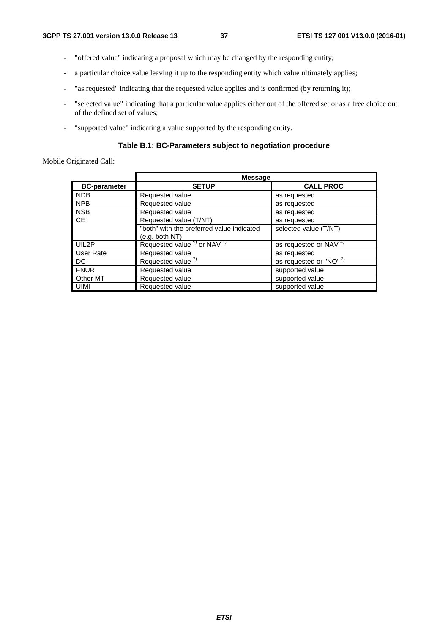- "offered value" indicating a proposal which may be changed by the responding entity;
- a particular choice value leaving it up to the responding entity which value ultimately applies;
- "as requested" indicating that the requested value applies and is confirmed (by returning it);
- "selected value" indicating that a particular value applies either out of the offered set or as a free choice out of the defined set of values;
- "supported value" indicating a value supported by the responding entity.

### **Table B.1: BC-Parameters subject to negotiation procedure**

Mobile Originated Call:

|                     | <b>Message</b>                                              |                                   |
|---------------------|-------------------------------------------------------------|-----------------------------------|
| <b>BC-parameter</b> | <b>SETUP</b>                                                | <b>CALL PROC</b>                  |
| <b>NDB</b>          | Requested value                                             | as requested                      |
| <b>NPB</b>          | Requested value                                             | as requested                      |
| <b>NSB</b>          | Requested value                                             | as requested                      |
| <b>CE</b>           | Requested value (T/NT)                                      | as requested                      |
|                     | "both" with the preferred value indicated<br>(e.g. both NT) | selected value (T/NT)             |
| UIL2P               | Requested value <sup>9)</sup> or NAV <sup>1)</sup>          | as requested or NAV <sup>4)</sup> |
| User Rate           | Requested value                                             | as requested                      |
| DC                  | Requested value <sup>2)</sup>                               | as requested or "NO" 7)           |
| <b>FNUR</b>         | Requested value                                             | supported value                   |
| Other MT            | Requested value                                             | supported value                   |
| UIMI                | Requested value                                             | supported value                   |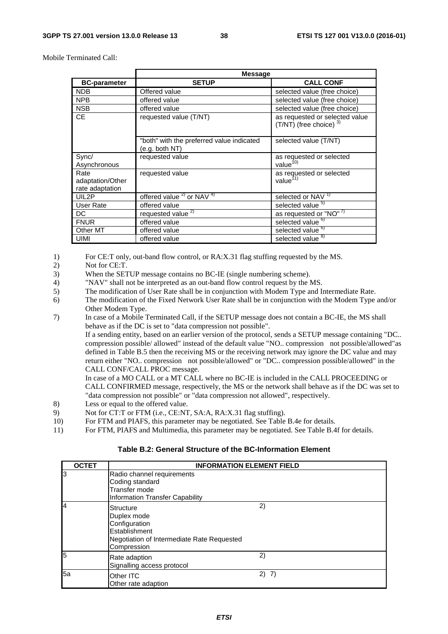Mobile Terminated Call:

|                                             | <b>Message</b>                                              |                                                               |
|---------------------------------------------|-------------------------------------------------------------|---------------------------------------------------------------|
| <b>BC-parameter</b>                         | <b>SETUP</b>                                                | <b>CALL CONF</b>                                              |
| <b>NDB</b>                                  | Offered value                                               | selected value (free choice)                                  |
| <b>NPB</b>                                  | offered value                                               | selected value (free choice)                                  |
| <b>NSB</b>                                  | offered value                                               | selected value (free choice)                                  |
| CЕ                                          | requested value (T/NT)                                      | as requested or selected value<br>$(T/NT)$ (free choice) $3)$ |
|                                             | "both" with the preferred value indicated<br>(e.g. both NT) | selected value (T/NT)                                         |
| Sync/<br>Asynchronous                       | requested value                                             | as requested or selected<br>value <sup>10)</sup>              |
| Rate<br>adaptation/Other<br>rate adaptation | requested value                                             | as requested or selected<br>value <sup>11)</sup>              |
| UIL2P                                       | offered value $2)$ or NAV $4)$                              | selected or NAV <sup>1)</sup>                                 |
| <b>User Rate</b>                            | offered value                                               | selected value <sup>5)</sup>                                  |
| DC                                          | requested value <sup>2)</sup>                               | as requested or "NO" 7)                                       |
| <b>FNUR</b>                                 | offered value                                               | selected value <sup>6)</sup>                                  |
| Other MT                                    | offered value                                               | selected value <sup>6)</sup>                                  |
| <b>UIMI</b>                                 | offered value                                               | selected value <sup>8)</sup>                                  |

1) For CE:T only, out-band flow control, or RA:X.31 flag stuffing requested by the MS.<br>2) Not for CE:T.

- Not for CE:T.
- 3) When the SETUP message contains no BC-IE (single numbering scheme).
- 4) "NAV" shall not be interpreted as an out-band flow control request by the MS.
- 5) The modification of User Rate shall be in conjunction with Modem Type and Intermediate Rate.
- 6) The modification of the Fixed Network User Rate shall be in conjunction with the Modem Type and/or Other Modem Type.
- 7) In case of a Mobile Terminated Call, if the SETUP message does not contain a BC-IE, the MS shall behave as if the DC is set to "data compression not possible".

 If a sending entity, based on an earlier version of the protocol, sends a SETUP message containing "DC.. compression possible/ allowed" instead of the default value "NO.. compression not possible/allowed"as defined in Table B.5 then the receiving MS or the receiving network may ignore the DC value and may return either "NO.. compression not possible/allowed" or "DC.. compression possible/allowed" in the CALL CONF/CALL PROC message.

 In case of a MO CALL or a MT CALL where no BC-IE is included in the CALL PROCEEDING or CALL CONFIRMED message, respectively, the MS or the network shall behave as if the DC was set to "data compression not possible" or "data compression not allowed", respectively.

- 8) Less or equal to the offered value.<br>9) Not for CT:T or FTM (i.e., CE:NT
- Not for CT:T or FTM (i.e., CE:NT, SA:A, RA:X.31 flag stuffing).
- 10) For FTM and PIAFS, this parameter may be negotiated. See Table B.4e for details.
- 11) For FTM, PIAFS and Multimedia, this parameter may be negotiated. See Table B.4f for details.

### **Table B.2: General Structure of the BC-Information Element**

| <b>OCTET</b> | <b>INFORMATION ELEMENT FIELD</b>                                                                                               |       |
|--------------|--------------------------------------------------------------------------------------------------------------------------------|-------|
| Iз           | Radio channel requirements<br>Coding standard<br>Transfer mode<br><b>Information Transfer Capability</b>                       |       |
| 4            | <b>Structure</b><br>Duplex mode<br>Configuration<br>Establishment<br>Negotiation of Intermediate Rate Requested<br>Compression | 2)    |
| 5            | Rate adaption<br>Signalling access protocol                                                                                    | 2)    |
| 5a           | <b>Other ITC</b><br>Other rate adaption                                                                                        | 2) 7) |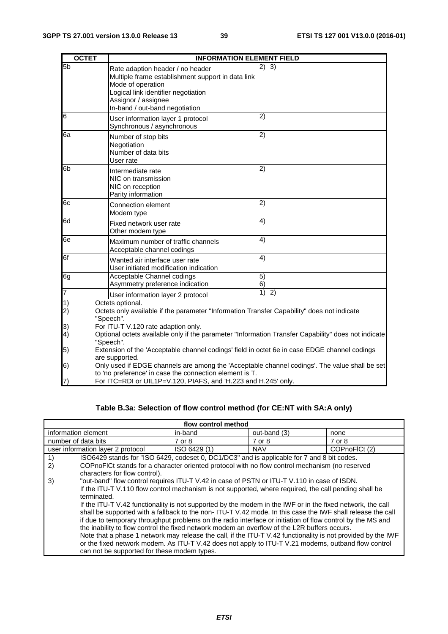| <b>OCTET</b>         | <b>INFORMATION ELEMENT FIELD</b>                                                                                                                                                                           |                                   |
|----------------------|------------------------------------------------------------------------------------------------------------------------------------------------------------------------------------------------------------|-----------------------------------|
| $\overline{5b}$      | Rate adaption header / no header<br>Multiple frame establishment support in data link<br>Mode of operation<br>Logical link identifier negotiation<br>Assignor / assignee<br>In-band / out-band negotiation | 2) 3)                             |
| $\overline{6}$       | User information layer 1 protocol<br>Synchronous / asynchronous                                                                                                                                            | 2)                                |
| 6a                   | Number of stop bits<br>Negotiation<br>Number of data bits<br>User rate                                                                                                                                     | 2)                                |
| 6b                   | Intermediate rate<br>NIC on transmission<br>NIC on reception<br>Parity information                                                                                                                         | 2)                                |
| 6c                   | Connection element<br>Modem type                                                                                                                                                                           | 2)                                |
| 6d                   | Fixed network user rate<br>Other modem type                                                                                                                                                                | 4)                                |
| 6e                   | Maximum number of traffic channels<br>Acceptable channel codings                                                                                                                                           | $\overline{4}$                    |
| 6f                   | Wanted air interface user rate<br>User initiated modification indication                                                                                                                                   | 4)                                |
| 6g                   | Acceptable Channel codings<br>Asymmetry preference indication                                                                                                                                              | 5)<br>6)                          |
| 7                    | User information layer 2 protocol                                                                                                                                                                          | $\overline{1}$<br>$\overline{2)}$ |
| $\overline{1}$<br>2) | Octets optional.<br>Octets only available if the parameter "Information Transfer Capability" does not indicate<br>"Speech".                                                                                |                                   |
| 3)                   | For ITU-T V.120 rate adaption only.                                                                                                                                                                        |                                   |
| 4)                   | Optional octets available only if the parameter "Information Transfer Capability" does not indicate<br>"Speech".                                                                                           |                                   |
| 5)                   | Extension of the 'Acceptable channel codings' field in octet 6e in case EDGE channel codings                                                                                                               |                                   |
| 6)                   | are supported.<br>Only used if EDGE channels are among the 'Acceptable channel codings'. The value shall be set<br>to 'no preference' in case the connection element is T.                                 |                                   |
| 7)                   | For ITC=RDI or UIL1P=V.120, PIAFS, and 'H.223 and H.245' only.                                                                                                                                             |                                   |

### **Table B.3a: Selection of flow control method (for CE:NT with SA:A only)**

|                                                                                                              | flow control method |              |               |
|--------------------------------------------------------------------------------------------------------------|---------------------|--------------|---------------|
| information element                                                                                          | in-band             | out-band (3) | none          |
| number of data bits                                                                                          | 7 or 8              | 7 or 8       | 7 or 8        |
| user information layer 2 protocol                                                                            | ISO 6429 (1)        | <b>NAV</b>   | COPnoFICt (2) |
| 1)<br>ISO6429 stands for "ISO 6429, codeset 0, DC1/DC3" and is applicable for 7 and 8 bit codes.             |                     |              |               |
| 2)<br>COPnoFICt stands for a character oriented protocol with no flow control mechanism (no reserved         |                     |              |               |
| characters for flow control).                                                                                |                     |              |               |
| 3)<br>"out-band" flow control requires ITU-T V.42 in case of PSTN or ITU-T V.110 in case of ISDN.            |                     |              |               |
| If the ITU-T V.110 flow control mechanism is not supported, where required, the call pending shall be        |                     |              |               |
| terminated.                                                                                                  |                     |              |               |
| If the ITU-T V.42 functionality is not supported by the modem in the IWF or in the fixed network, the call   |                     |              |               |
| shall be supported with a fallback to the non- ITU-T V.42 mode. In this case the IWF shall release the call  |                     |              |               |
| if due to temporary throughput problems on the radio interface or initiation of flow control by the MS and   |                     |              |               |
| the inability to flow control the fixed network modem an overflow of the L2R buffers occurs.                 |                     |              |               |
| Note that a phase 1 network may release the call, if the ITU-T V.42 functionality is not provided by the IWF |                     |              |               |
| or the fixed network modem. As ITU-T V.42 does not apply to ITU-T V.21 modems, outband flow control          |                     |              |               |
| can not be supported for these modem types.                                                                  |                     |              |               |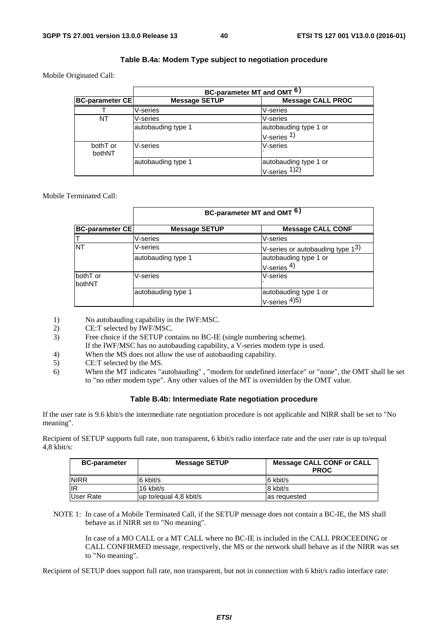### **Table B.4a: Modem Type subject to negotiation procedure**

Mobile Originated Call:

|                        |                      | BC-parameter MT and OMT <sup>6)</sup> |
|------------------------|----------------------|---------------------------------------|
| <b>BC-parameter CE</b> | <b>Message SETUP</b> | <b>Message CALL PROC</b>              |
|                        | V-series             | V-series                              |
| NT                     | V-series             | V-series                              |
|                        | autobauding type 1   | autobauding type 1 or                 |
|                        |                      | $V$ -series $1)$                      |
| bothT or               | V-series             | V-series                              |
| bothNT                 |                      |                                       |
|                        | autobauding type 1   | autobauding type 1 or                 |
|                        |                      | $V\text{-series}$ 1)2)                |

### Mobile Terminated Call:

|                        |                      | BC-parameter MT and OMT <sup>6)</sup>        |
|------------------------|----------------------|----------------------------------------------|
| <b>BC-parameter CE</b> | <b>Message SETUP</b> | <b>Message CALL CONF</b>                     |
|                        | V-series             | V-series                                     |
| <b>NT</b>              | V-series             | V-series or autobauding type 1 <sup>3)</sup> |
|                        | autobauding type 1   | autobauding type 1 or                        |
|                        |                      | V-series $4)$                                |
| bothT or               | V-series             | V-series                                     |
| bothNT                 |                      |                                              |
|                        | autobauding type 1   | autobauding type 1 or                        |
|                        |                      | $V\text{-series}$ 4)5)                       |

- 1) No autobauding capability in the IWF:MSC.
- 2) CE:T selected by IWF/MSC.<br>3) Free choice if the SETUP com-
- Free choice if the SETUP contains no BC-IE (single numbering scheme).
	- If the IWF/MSC has no autobauding capability, a V-series modem type is used.
- 4) When the MS does not allow the use of autobauding capability.
- 5) CE:T selected by the MS.
- 6) When the MT indicates "autobauding" , "modem for undefined interface" or "none", the OMT shall be set to "no other modem type". Any other values of the MT is overridden by the OMT value.

### **Table B.4b: Intermediate Rate negotiation procedure**

If the user rate is 9.6 kbit/s the intermediate rate negotiation procedure is not applicable and NIRR shall be set to "No meaning".

Recipient of SETUP supports full rate, non transparent, 6 kbit/s radio interface rate and the user rate is up to/equal 4,8 kbit/s:

| <b>BC-parameter</b> | <b>Message SETUP</b>   | <b>Message CALL CONF or CALL</b><br><b>PROC</b> |
|---------------------|------------------------|-------------------------------------------------|
| <b>NIRR</b>         | 6 kbit/s               | 6 kbit/s                                        |
| lIR                 | 16 kbit/s              | 8 kbit/s                                        |
| User Rate           | up to/equal 4.8 kbit/s | as requested                                    |

NOTE 1: In case of a Mobile Terminated Call, if the SETUP message does not contain a BC-IE, the MS shall behave as if NIRR set to "No meaning".

 In case of a MO CALL or a MT CALL where no BC-IE is included in the CALL PROCEEDING or CALL CONFIRMED message, respectively, the MS or the network shall behave as if the NIRR was set to "No meaning".

Recipient of SETUP does support full rate, non transparent, but not in connection with 6 kbit/s radio interface rate: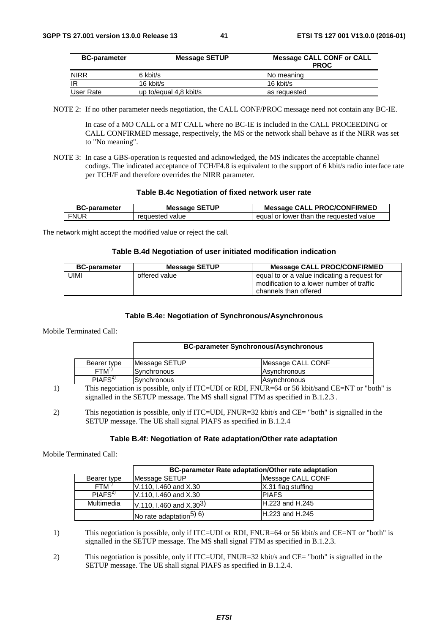| <b>BC-parameter</b> | <b>Message SETUP</b>   | <b>Message CALL CONF or CALL</b><br><b>PROC</b> |
|---------------------|------------------------|-------------------------------------------------|
| <b>NIRR</b>         | 6 kbit/s               | INo meaning                                     |
| <b>IR</b>           | 16 kbit/s              | 16 kbit/s                                       |
| User Rate           | up to/equal 4,8 kbit/s | as requested                                    |

NOTE 2: If no other parameter needs negotiation, the CALL CONF/PROC message need not contain any BC-IE.

 In case of a MO CALL or a MT CALL where no BC-IE is included in the CALL PROCEEDING or CALL CONFIRMED message, respectively, the MS or the network shall behave as if the NIRR was set to "No meaning".

NOTE 3: In case a GBS-operation is requested and acknowledged, the MS indicates the acceptable channel codings. The indicated acceptance of TCH/F4.8 is equivalent to the support of 6 kbit/s radio interface rate per TCH/F and therefore overrides the NIRR parameter.

### **Table B.4c Negotiation of fixed network user rate**

| <b>BC-parameter</b> | <b>Message SETUP</b> | <b>Message CALL PROC/CONFIRMED</b>      |
|---------------------|----------------------|-----------------------------------------|
| <b>FNUR</b>         | requested value      | equal or lower than the requested value |

The network might accept the modified value or reject the call.

### **Table B.4d Negotiation of user initiated modification indication**

| <b>BC-parameter</b> | <b>Message SETUP</b> | <b>Message CALL PROC/CONFIRMED</b>                                                                                 |
|---------------------|----------------------|--------------------------------------------------------------------------------------------------------------------|
| JIMI                | offered value        | equal to or a value indicating a request for<br>modification to a lower number of traffic<br>channels than offered |

### **Table B.4e: Negotiation of Synchronous/Asynchronous**

Mobile Terminated Call:

| <b>BC-parameter Synchronous/Asynchronous</b> |                     |
|----------------------------------------------|---------------------|
| Message SETUP                                | Message CALL CONF   |
| Synchronous                                  | <b>Asynchronous</b> |
| Synchronous                                  | <b>Asynchronous</b> |
|                                              |                     |

1) This negotiation is possible, only if ITC=UDI or RDI, FNUR=64 or 56 kbit/sand CE=NT or "both" is signalled in the SETUP message. The MS shall signal FTM as specified in B.1.2.3 .

2) This negotiation is possible, only if ITC=UDI, FNUR=32 kbit/s and CE= "both" is signalled in the SETUP message. The UE shall signal PIAFS as specified in B.1.2.4

### **Table B.4f: Negotiation of Rate adaptation/Other rate adaptation**

Mobile Terminated Call:

|                    | <b>BC-parameter Rate adaptation/Other rate adaptation</b> |                        |  |  |  |  |  |  |
|--------------------|-----------------------------------------------------------|------------------------|--|--|--|--|--|--|
| Bearer type        | Message SETUP                                             | Message CALL CONF      |  |  |  |  |  |  |
| FTM <sup>1</sup>   | V.110, I.460 and X.30                                     | X.31 flag stuffing     |  |  |  |  |  |  |
| PIAFS <sup>2</sup> | V.110, I.460 and X.30                                     | <b>PIAFS</b>           |  |  |  |  |  |  |
| Multimedia         | V.110, I.460 and $X.30^{3}$                               | <b>H.223 and H.245</b> |  |  |  |  |  |  |
|                    | No rate adaptation <sup>5)</sup> $6$ )                    | <b>H.223 and H.245</b> |  |  |  |  |  |  |

1) This negotiation is possible, only if ITC=UDI or RDI, FNUR=64 or 56 kbit/s and CE=NT or "both" is signalled in the SETUP message. The MS shall signal FTM as specified in B.1.2.3.

2) This negotiation is possible, only if ITC=UDI, FNUR=32 kbit/s and CE= "both" is signalled in the SETUP message. The UE shall signal PIAFS as specified in B.1.2.4.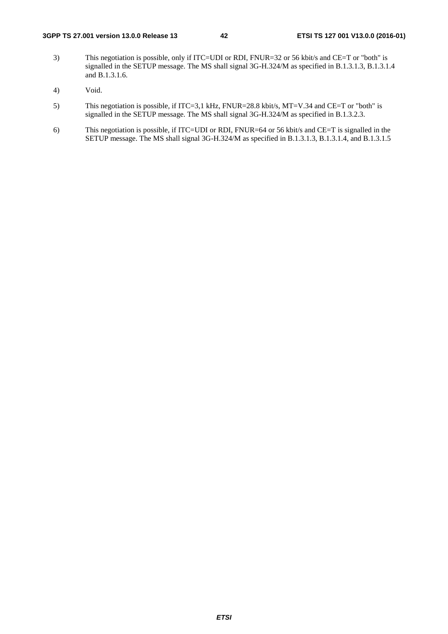- 3) This negotiation is possible, only if ITC=UDI or RDI, FNUR=32 or 56 kbit/s and CE=T or "both" is signalled in the SETUP message. The MS shall signal 3G-H.324/M as specified in B.1.3.1.3, B.1.3.1.4 and B.1.3.1.6.
- 4) Void.
- 5) This negotiation is possible, if ITC=3,1 kHz, FNUR=28.8 kbit/s, MT=V.34 and CE=T or "both" is signalled in the SETUP message. The MS shall signal 3G-H.324/M as specified in B.1.3.2.3.
- 6) This negotiation is possible, if ITC=UDI or RDI, FNUR=64 or 56 kbit/s and CE=T is signalled in the SETUP message. The MS shall signal 3G-H.324/M as specified in B.1.3.1.3, B.1.3.1.4, and B.1.3.1.5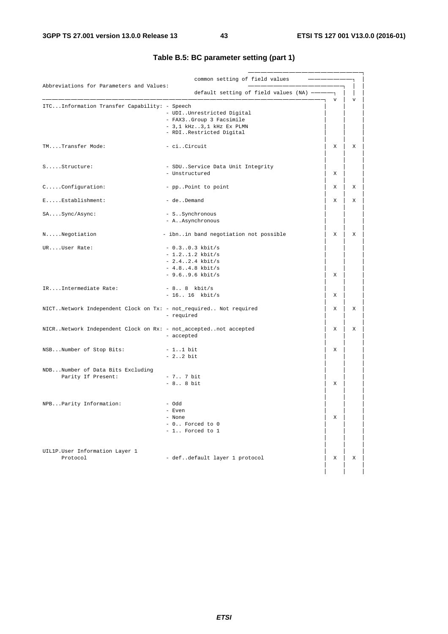|                                                                  | common setting of field values                                                                               |          |   |
|------------------------------------------------------------------|--------------------------------------------------------------------------------------------------------------|----------|---|
| Abbreviations for Parameters and Values:                         |                                                                                                              |          |   |
|                                                                  | default setting of field values (NA)                                                                         | ٦Ī.<br>v | v |
| ITCInformation Transfer Capability: - Speech                     | - UDIUnrestricted Digital<br>- FAX3Group 3 Facsimile<br>$-3,1$ kHz3,1 kHz Ex PLMN<br>- RDIRestricted Digital |          |   |
| TMTransfer Mode:                                                 | - ciCircuit                                                                                                  | Χ        | X |
| SStructure:                                                      | - SDUService Data Unit Integrity<br>- Unstructured                                                           | Χ        |   |
| CConfiguration:                                                  | - ppPoint to point                                                                                           | х        | Χ |
| EEstablishment:                                                  | - deDemand                                                                                                   | X        | х |
| SASync/Async:                                                    | - SSynchronous<br>- A. . Asynchronous                                                                        |          |   |
| NNegotiation                                                     | - ibnin band negotiation not possible                                                                        | Χ        | Χ |
| URUser Rate:                                                     | $-0.3.00.3$ kbit/s<br>$-1.2.1.2$ kbit/s<br>$-2.4. .2.4$ kbit/s<br>$-4.84.8$ kbit/s<br>$-9.6. .9.6$ kbit/s    | Χ        |   |
| IRIntermediate Rate:                                             | - 8 8 kbit/s<br>$-1616$ kbit/s                                                                               | Х        |   |
| NICTNetwork Independent Clock on Tx: - not_required Not required | - required                                                                                                   | X        | X |
| NICRNetwork Independent Clock on Rx: - not_acceptednot accepted  | - accepted                                                                                                   | Х        | Χ |
| NSBNumber of Stop Bits:                                          | $-1.1$ bit<br>$-2.2 bit$                                                                                     | Χ        |   |
| NDBNumber of Data Bits Excluding<br>Parity If Present:           | $-7.7$ bit<br>$-88 \text{ bit}$                                                                              | Χ        |   |
| NPBParity Information:                                           | - Odd<br>- Even<br>- None<br>- 0 Forced to 0<br>- 1 Forced to 1                                              | Χ        |   |
| UIL1P.User Information Layer 1<br>Protocol                       | - defdefault layer 1 protocol                                                                                | Χ        | X |

### **Table B.5: BC parameter setting (part 1)**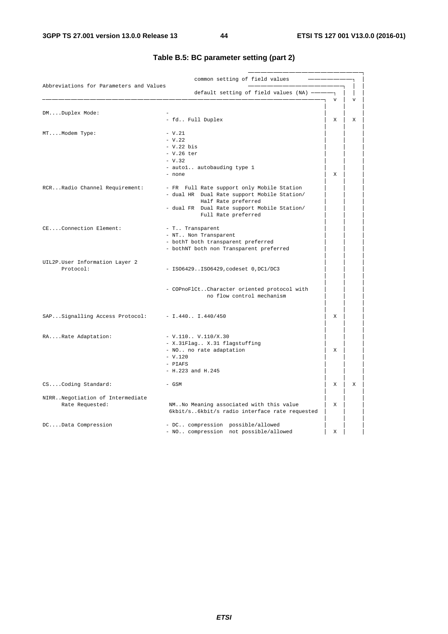|                                                  | common setting of field values                |                |                |
|--------------------------------------------------|-----------------------------------------------|----------------|----------------|
| Abbreviations for Parameters and Values          | default setting of field values (NA) -        |                |                |
|                                                  |                                               | $\overline{V}$ | $\overline{V}$ |
| DMDuplex Mode:                                   |                                               |                |                |
|                                                  | - fd Full Duplex                              | X              | Χ              |
| MTModem Type:                                    | $- V.21$                                      |                |                |
|                                                  | $- V.22$                                      |                |                |
|                                                  | $- V.22 bis$                                  |                |                |
|                                                  | $-$ V.26 ter                                  |                |                |
|                                                  | $- V.32$                                      |                |                |
|                                                  |                                               |                |                |
|                                                  | - autol autobauding type 1                    |                |                |
|                                                  | - none                                        | X              |                |
| RCRRadio Channel Requirement:                    | - FR Full Rate support only Mobile Station    |                |                |
|                                                  | - dual HR Dual Rate support Mobile Station/   |                |                |
|                                                  | Half Rate preferred                           |                |                |
|                                                  | - dual FR Dual Rate support Mobile Station/   |                |                |
|                                                  | Full Rate preferred                           |                |                |
| CEConnection Element:                            | - T Transparent                               |                |                |
|                                                  |                                               |                |                |
|                                                  | - NT Non Transparent                          |                |                |
|                                                  | - bothT both transparent preferred            |                |                |
|                                                  | - bothNT both non Transparent preferred       |                |                |
| UIL2P.User Information Layer 2                   |                                               |                |                |
| Protocol:                                        | - ISO6429ISO6429, codeset 0, DC1/DC3          |                |                |
|                                                  |                                               |                |                |
|                                                  | - COPnoFlCtCharacter oriented protocol with   |                |                |
|                                                  | no flow control mechanism                     |                |                |
| SAPSignalling Access Protocol: - I.440 I.440/450 |                                               | X              |                |
|                                                  |                                               |                |                |
| RARate Adaptation:                               | $-V.110.$ . $V.110/X.30$                      |                |                |
|                                                  | - X.31Flag X.31 flagstuffing                  |                |                |
|                                                  |                                               | X              |                |
|                                                  | - NO no rate adaptation                       |                |                |
|                                                  | $- V.120$                                     |                |                |
|                                                  | - PIAFS                                       |                |                |
|                                                  | $- H.223$ and $H.245$                         |                |                |
| CSCoding Standard:                               | - GSM                                         | X              | X              |
| NIRRNegotiation of Intermediate                  |                                               |                |                |
| Rate Requested:                                  | NM No Meaning associated with this value      | X              |                |
|                                                  | 6kbit/s6kbit/s radio interface rate requested |                |                |
|                                                  |                                               |                |                |
| DCData Compression                               | - DC compression possible/allowed             |                |                |
|                                                  | - NO compression not possible/allowed         | X              |                |

### **Table B.5: BC parameter setting (part 2)**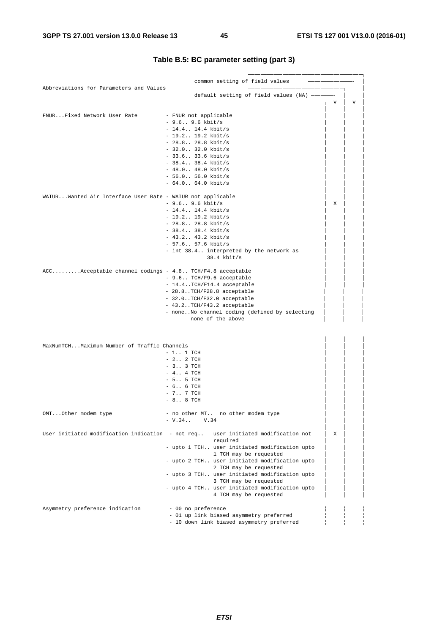| Abbreviations for Parameters and Values                    | common setting of field values                                                   |   |
|------------------------------------------------------------|----------------------------------------------------------------------------------|---|
|                                                            | default setting of field values (NA)                                             | v |
|                                                            |                                                                                  |   |
| FNURFixed Network User Rate                                | - FNUR not applicable                                                            |   |
|                                                            | $-9.6.$ . 9.6 kbit/s                                                             |   |
|                                                            | $-14.4$ 14.4 kbit/s                                                              |   |
|                                                            | $-19.2.$ . 19.2 kbit/s                                                           |   |
|                                                            | $-28.8 28.8$ kbit/s                                                              |   |
|                                                            | $-32.0 32.0 kbit/s$                                                              |   |
|                                                            | $-33.633.6$ kbit/s                                                               |   |
|                                                            | $-38.4.$ $38.4$ kbit/s                                                           |   |
|                                                            | $-48.048.0 kbit/s$                                                               |   |
|                                                            | $-56.0.$ . 56.0 kbit/s                                                           |   |
|                                                            | $-64.0 64.0 kbit/s$                                                              |   |
| WAIURWanted Air Interface User Rate - WAIUR not applicable |                                                                                  |   |
|                                                            | $-9.6.$ . $9.6$ kbit/s                                                           | X |
|                                                            | $-14.4$ 14.4 kbit/s                                                              |   |
|                                                            |                                                                                  |   |
|                                                            | $-19.2.$ . 19.2 kbit/s                                                           |   |
|                                                            | $-28.8 28.8$ kbit/s                                                              |   |
|                                                            | $-38.4.$ . 38.4 kbit/s                                                           |   |
|                                                            | $-43.2.$ . $43.2$ kbit/s                                                         |   |
|                                                            | $-57.6 57.6 kbit/s$                                                              |   |
|                                                            | - int 38.4 interpreted by the network as<br>$38.4$ kbit/s                        |   |
| $ACC$ Acceptable channel codings - 4.8 TCH/F4.8 acceptable |                                                                                  |   |
|                                                            | - 9.6 TCH/F9.6 acceptable                                                        |   |
|                                                            |                                                                                  |   |
|                                                            | - 14.4TCH/F14.4 acceptable                                                       |   |
|                                                            | - 28.8TCH/F28.8 acceptable                                                       |   |
|                                                            | - 32.0TCH/F32.0 acceptable                                                       |   |
|                                                            | - 43.2TCH/F43.2 acceptable                                                       |   |
|                                                            | - noneNo channel coding (defined by selecting<br>none of the above               |   |
|                                                            |                                                                                  |   |
| MaxNumTCHMaximum Number of Traffic Channels                |                                                                                  |   |
|                                                            | $-1.$ 1 TCH                                                                      |   |
|                                                            | $-2.2$ TCH                                                                       |   |
|                                                            | $-3.03$ TCH                                                                      |   |
|                                                            | $-4.74$ TCH                                                                      |   |
|                                                            | $-5.5$ TCH                                                                       |   |
|                                                            |                                                                                  |   |
|                                                            | $-66$ TCH                                                                        |   |
|                                                            | $-7.7$ TCH<br>$-88$ TCH                                                          |   |
|                                                            |                                                                                  |   |
| OMTOther modem type                                        | - no other MT no other modem type                                                |   |
|                                                            | $-V.34$<br>V.34                                                                  |   |
|                                                            | User initiated modification indication - not req user initiated modification not | X |
|                                                            | required<br>- upto 1 TCH user initiated modification upto                        |   |
|                                                            | 1 TCH may be requested                                                           |   |
|                                                            | - upto 2 TCH user initiated modification upto                                    |   |
|                                                            | 2 TCH may be requested                                                           |   |
|                                                            | - upto 3 TCH user initiated modification upto                                    |   |
|                                                            | 3 TCH may be requested                                                           |   |
|                                                            | - upto 4 TCH user initiated modification upto                                    |   |
|                                                            | 4 TCH may be requested                                                           |   |
| Asymmetry preference indication                            | - 00 no preference                                                               |   |
|                                                            | - 01 up link biased asymmetry preferred                                          |   |
|                                                            | - 10 down link biased asymmetry preferred                                        |   |
|                                                            |                                                                                  |   |

### **Table B.5: BC parameter setting (part 3)**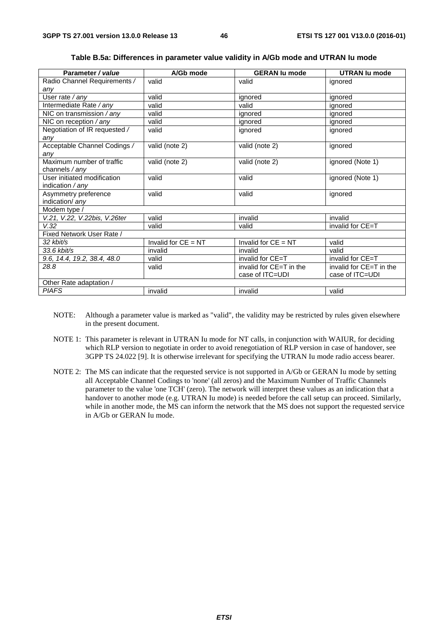| Parameter / value             | A/Gb mode             | <b>GERAN lu mode</b>    | <b>UTRAN lu mode</b>    |
|-------------------------------|-----------------------|-------------------------|-------------------------|
| Radio Channel Requirements /  | valid                 | valid                   | ignored                 |
| any                           |                       |                         |                         |
| User rate $/$ any             | valid                 | ignored                 | ignored                 |
| Intermediate Rate / any       | valid                 | valid                   | ignored                 |
| NIC on transmission / any     | valid                 | ignored                 | ignored                 |
| NIC on reception / any        | valid                 | ignored                 | ignored                 |
| Negotiation of IR requested / | valid                 | ignored                 | ignored                 |
| any                           |                       |                         |                         |
| Acceptable Channel Codings /  | valid (note 2)        | valid (note 2)          | ignored                 |
| any                           |                       |                         |                         |
| Maximum number of traffic     | valid (note 2)        | valid (note 2)          | ignored (Note 1)        |
| channels / any                |                       |                         |                         |
| User initiated modification   | valid                 | valid                   | ignored (Note 1)        |
| indication / any              |                       |                         |                         |
| Asymmetry preference          | valid                 | valid                   | ignored                 |
| indication/ any               |                       |                         |                         |
| Modem type /                  |                       |                         |                         |
| V.21, V.22, V.22bis, V.26ter  | valid                 | invalid                 | invalid                 |
| V.32                          | valid                 | valid                   | invalid for CE=T        |
| Fixed Network User Rate /     |                       |                         |                         |
| 32 kbit/s                     | Invalid for $CE = NT$ | Invalid for $CE = NT$   | valid                   |
| 33.6 kbit/s                   | invalid               | invalid                 | valid                   |
| 9.6, 14.4, 19.2, 38.4, 48.0   | valid                 | invalid for CE=T        | invalid for CE=T        |
| 28.8                          | valid                 | invalid for CE=T in the | invalid for CE=T in the |
|                               |                       | case of ITC=UDI         | case of ITC=UDI         |
| Other Rate adaptation /       |                       |                         |                         |
| <b>PIAFS</b>                  | invalid               | invalid                 | valid                   |

**Table B.5a: Differences in parameter value validity in A/Gb mode and UTRAN Iu mode** 

- NOTE: Although a parameter value is marked as "valid", the validity may be restricted by rules given elsewhere in the present document.
- NOTE 1: This parameter is relevant in UTRAN Iu mode for NT calls, in conjunction with WAIUR, for deciding which RLP version to negotiate in order to avoid renegotiation of RLP version in case of handover, see 3GPP TS 24.022 [9]. It is otherwise irrelevant for specifying the UTRAN Iu mode radio access bearer.
- NOTE 2: The MS can indicate that the requested service is not supported in A/Gb or GERAN Iu mode by setting all Acceptable Channel Codings to 'none' (all zeros) and the Maximum Number of Traffic Channels parameter to the value 'one TCH' (zero). The network will interpret these values as an indication that a handover to another mode (e.g. UTRAN Iu mode) is needed before the call setup can proceed. Similarly, while in another mode, the MS can inform the network that the MS does not support the requested service in A/Gb or GERAN Iu mode.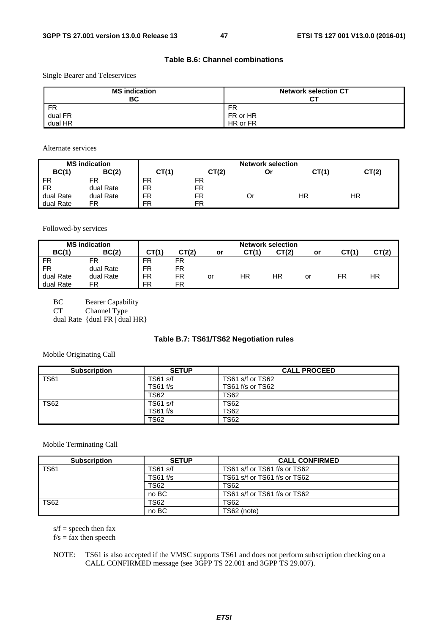### **Table B.6: Channel combinations**

Single Bearer and Teleservices

| <b>MS</b> indication<br>BC | <b>Network selection CT</b><br>CТ |
|----------------------------|-----------------------------------|
| <b>FR</b>                  | FR                                |
| dual FR                    | FR or HR                          |
| dual HR                    | HR or FR                          |

Alternate services

| <b>MS</b> indication |           | <b>Network selection</b> |           |    |       |       |  |  |
|----------------------|-----------|--------------------------|-----------|----|-------|-------|--|--|
| BC(1)                | BC(2)     | CT(1)                    | CT(2)     | Or | CT(1) | CT(2) |  |  |
| <b>FR</b>            | FR        | FR                       | <b>FR</b> |    |       |       |  |  |
| FR                   | dual Rate | FR                       | FR        |    |       |       |  |  |
| dual Rate            | dual Rate | FR                       | FR        | Or | ΗR    | ΗR    |  |  |
| dual Rate            | FR        | FR                       | FR        |    |       |       |  |  |

Followed-by services

|           | <b>MS</b> indication | <b>Network selection</b> |       |    |       |       |    |       |       |
|-----------|----------------------|--------------------------|-------|----|-------|-------|----|-------|-------|
| BC(1)     | BC(2)                | CT(1)                    | CT(2) | or | CT(1) | CT(2) | or | CT(1) | CT(2) |
| <b>FR</b> | FR                   | FR                       | FR    |    |       |       |    |       |       |
| <b>FR</b> | dual Rate            | FR                       | FR    |    |       |       |    |       |       |
| dual Rate | dual Rate            | <b>FR</b>                | FR    | or | HR    | ΗR    | or | FR    | ΗR    |
| dual Rate | FR                   | FR                       | FR    |    |       |       |    |       |       |

BC Bearer Capability

CT Channel Type

dual Rate {dual FR | dual HR}

### **Table B.7: TS61/TS62 Negotiation rules**

Mobile Originating Call

| <b>Subscription</b> | <b>SETUP</b>    | <b>CALL PROCEED</b> |
|---------------------|-----------------|---------------------|
| <b>TS61</b>         | <b>TS61 s/f</b> | TS61 s/f or TS62    |
|                     | $TS61$ f/s      | TS61 f/s or TS62    |
|                     | <b>TS62</b>     | <b>TS62</b>         |
| <b>TS62</b>         | <b>TS61 s/f</b> | <b>TS62</b>         |
|                     | $TS61$ f/s      | <b>TS62</b>         |
|                     | TS62            | TS62                |

Mobile Terminating Call

| <b>Subscription</b> | <b>SETUP</b>    | <b>CALL CONFIRMED</b>        |
|---------------------|-----------------|------------------------------|
| <b>TS61</b>         | <b>TS61 s/f</b> | TS61 s/f or TS61 f/s or TS62 |
|                     | $TS61$ f/s      | TS61 s/f or TS61 f/s or TS62 |
|                     | <b>TS62</b>     | TS62                         |
|                     | no BC           | TS61 s/f or TS61 f/s or TS62 |
| <b>TS62</b>         | TS62            | TS62                         |
|                     | no BC           | TS62 (note)                  |

 $s/f$  = speech then fax

 $f/s =$  fax then speech

NOTE: TS61 is also accepted if the VMSC supports TS61 and does not perform subscription checking on a CALL CONFIRMED message (see 3GPP TS 22.001 and 3GPP TS 29.007).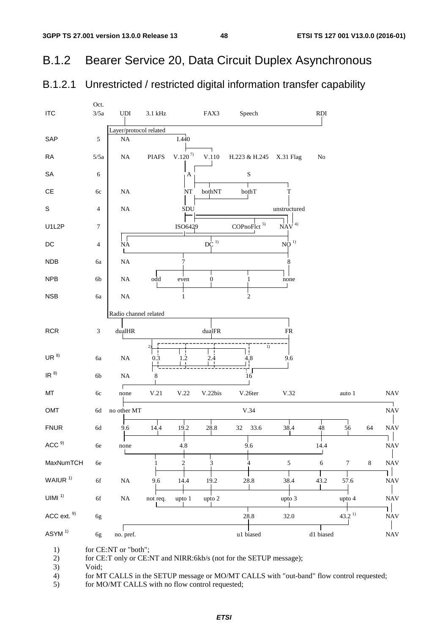#### Bearer Service 20, Data Circuit Duplex Asynchronous **B.1.2**

#### Unrestricted / restricted digital information transfer capability B.1.2.1



for CE:NT or "both";  $\left(1\right)$ 

 $(2)$ for CE:T only or CE:NT and NIRR:6kb/s (not for the SETUP message);

 $3)$ Void:

 $4)$ for MT CALLS in the SETUP message or MO/MT CALLS with "out-band" flow control requested;

 $5)$ for MO/MT CALLS with no flow control requested;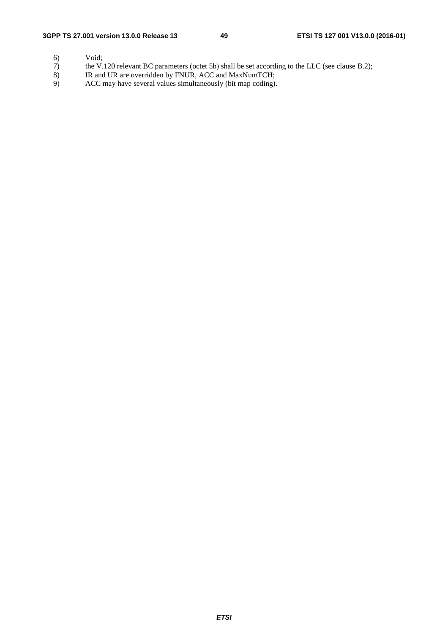- 
- 6) Void;<br>7) the V. 7) the V.120 relevant BC parameters (octet 5b) shall be set according to the LLC (see clause B.2);<br>8) IR and UR are overridden by FNUR, ACC and MaxNumTCH;
- 8) IR and UR are overridden by FNUR, ACC and MaxNumTCH;<br>9) ACC may have several values simultaneously (bit map coding).
- ACC may have several values simultaneously (bit map coding).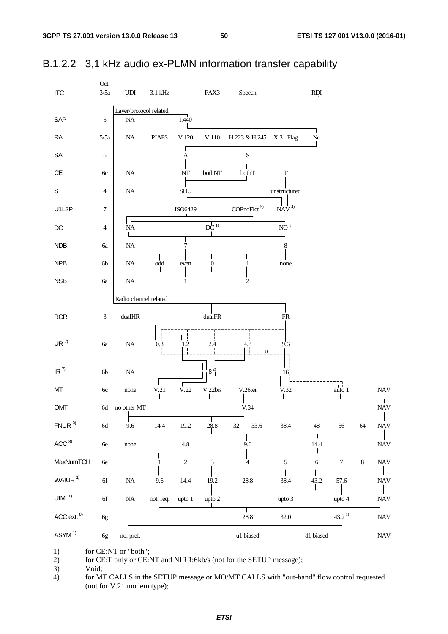

# B.1.2.2 3,1 kHz audio ex-PLMN information transfer capability

for CE:NT or "both";  $1)$ 

for CE:T only or CE:NT and NIRR:6kb/s (not for the SETUP message);  $2)$ 

<sup>3)</sup> Void;

 $4)$ for MT CALLS in the SETUP message or MO/MT CALLS with "out-band" flow control requested (not for V.21 modem type);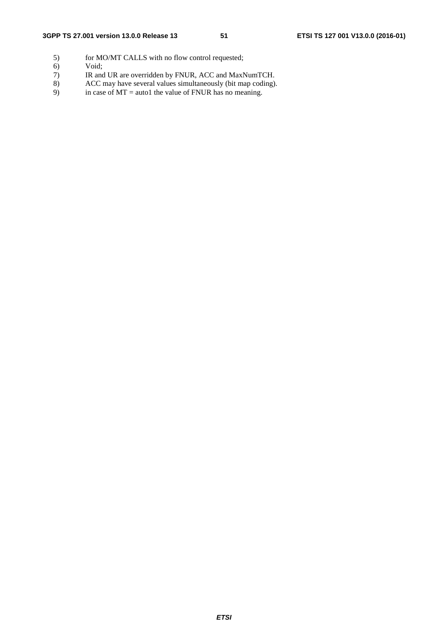- 5) for MO/MT CALLS with no flow control requested;<br>6) Void;
- 6) Void;<br>7) IR and
- 
- 7) IR and UR are overridden by FNUR, ACC and MaxNumTCH.<br>8) ACC may have several values simultaneously (bit map coding) 8) ACC may have several values simultaneously (bit map coding).<br>9) in case of  $MT =$  auto1 the value of FNUR has no meaning.
- in case of  $MT =$  auto1 the value of FNUR has no meaning.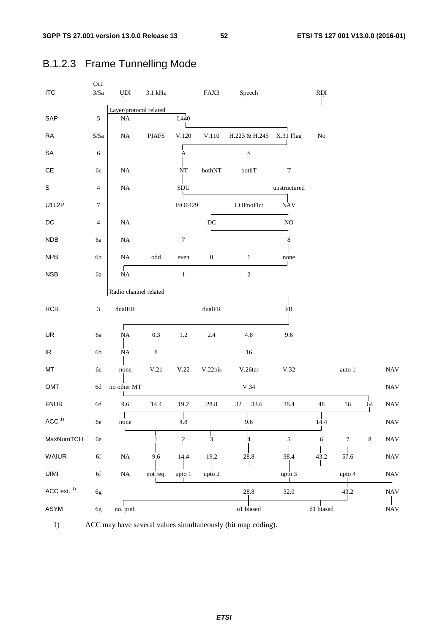| <b>ITC</b>                        | Oct.<br>$3/5a$   | $\ensuremath{\mathrm{UDI}}$ | $3.1\ \mathrm{kHz}$  |                  | FAX3             | Speech        |              | RDI         |            |         |                              |
|-----------------------------------|------------------|-----------------------------|----------------------|------------------|------------------|---------------|--------------|-------------|------------|---------|------------------------------|
|                                   |                  | Layer/protocol related      |                      |                  |                  |               |              |             |            |         |                              |
| SAP                               | $\sqrt{5}$       | NA                          |                      | I.440            |                  |               |              |             |            |         |                              |
| RA                                | $5/5a$           | $\rm NA$                    | <b>PIAFS</b>         | V.120            | V.110            | H.223 & H.245 | X.31 Flag    | No          |            |         |                              |
| ${\sf SA}$                        | $\sqrt{6}$       |                             |                      | A                |                  | $\mathbf S$   |              |             |            |         |                              |
| $\mathsf{CE}% _{\mathcal{A}}$     | $6c$             | $\rm NA$                    |                      | NT               | bothNT           | bothT         | $\mathbf T$  |             |            |         |                              |
| $\mathsf S$                       | $\overline{4}$   | $\rm NA$                    |                      | SDU              |                  |               | unstructured |             |            |         |                              |
| U1L2P                             | $\boldsymbol{7}$ |                             |                      | ISO6429          |                  | COPnoFlct     | <b>NAV</b>   |             |            |         |                              |
| $\mathsf{DC}$                     | $\overline{4}$   | $\rm NA$                    |                      |                  | DС               |               | NO           |             |            |         |                              |
| <b>NDB</b>                        | <b>6a</b>        | $\rm NA$                    |                      | $\boldsymbol{7}$ |                  |               | 8            |             |            |         |                              |
| NPB                               | 6b               | $\rm NA$                    | $\operatorname{odd}$ | even             | $\boldsymbol{0}$ | $\,1$         | none         |             |            |         |                              |
| NSB                               | 6a               | <b>NA</b>                   |                      | $\mathbf{1}$     |                  | $\sqrt{2}$    |              |             |            |         |                              |
|                                   |                  | Radio channel related       |                      |                  |                  |               |              |             |            |         |                              |
|                                   |                  |                             |                      |                  |                  |               |              |             |            |         |                              |
| <b>RCR</b>                        | $\sqrt{3}$       | $\text{dualHR}$             |                      |                  | $\text{dualFR}$  |               | ${\sf FR}$   |             |            |         |                              |
| UR                                | $6\mathrm{a}$    | <b>NA</b>                   | 0.3                  | $1.2\,$          | 2.4              | 4.8           | 9.6          |             |            |         |                              |
| $\ensuremath{\mathsf{IR}}\xspace$ | $6\mathrm{b}$    | $\rm NA$                    | $\,8\,$              |                  |                  | $16\,$        |              |             |            |         |                              |
| MT                                | 6c               | none                        | V.21                 | $\rm V.22$       | V.22bis          | V.26ter       | V.32         |             | auto $1\,$ |         | <b>NAV</b>                   |
| OMT                               | $6\mathrm{d}$    | no other MT                 |                      |                  |                  | $\rm V.34$    |              |             |            |         | <b>NAV</b>                   |
| <b>FNUR</b>                       | $6\mathrm{d}$    | 9.6                         | 14.4                 | 19.2             | 28.8             | 33.6<br>32    | 38.4         | $\sqrt{48}$ | 56         | 64      | $\ensuremath{\text{NAV}}$    |
| ACC <sup>1</sup>                  | $6\mathrm{e}$    | none                        |                      | 4.8              |                  | 9.6           |              | 14.4        |            |         | $\ensuremath{\text{NAV}}$    |
| MaxNumTCH                         | $6e\,$           |                             |                      | $\overline{c}$   | 3                | 4             | $\sqrt{5}$   | $\sqrt{6}$  | $\tau$     | $\,8\,$ | <b>NAV</b>                   |
| <b>WAIUR</b>                      | $6\mathrm{f}$    | $\rm NA$                    | 9.6                  | 14.4             | 19.2             | 28.8          | 38.4         | 43.2        | 57.6       |         | $\ensuremath{\text{NAV}}$    |
| UIMI                              | $6\mathrm{f}$    | $\rm NA$                    | not req.             | upto 1           | upto 2           |               | upto 3       |             | upto 4     |         | <b>NAV</b>                   |
| ACC ext. 1)                       | 6g               |                             |                      |                  |                  | 28.8          | 32.0         |             | 43.2       |         | $\blacksquare$<br><b>NAV</b> |

# B.1.2.3 Frame Tunnelling Mode

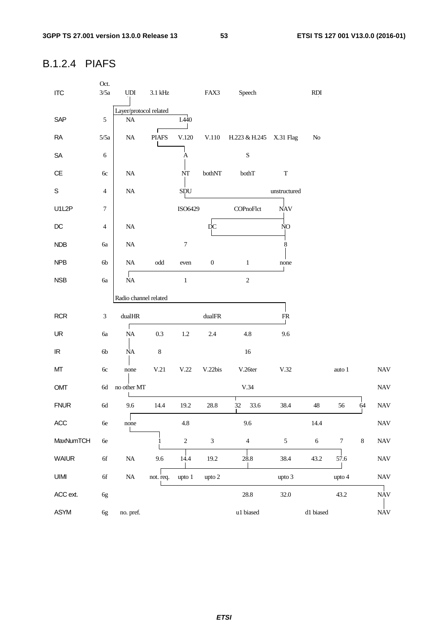# B.1.2.4 PIAFS

| <b>ITC</b>                        | Oct.<br>3/5a     | $\ensuremath{\mathrm{UDI}}$ | $3.1\,\mathrm{kHz}$  |                  | FAX3             | Speech                  |                | RDI         |                  |         |                           |
|-----------------------------------|------------------|-----------------------------|----------------------|------------------|------------------|-------------------------|----------------|-------------|------------------|---------|---------------------------|
|                                   |                  | Layer/protocol related      |                      |                  |                  |                         |                |             |                  |         |                           |
| SAP                               | 5                | $\rm NA$                    |                      | I.440            |                  |                         |                |             |                  |         |                           |
| RA                                | 5/5a             | $\rm NA$                    | <b>PIAFS</b>         | V.120            | V.110            | H.223 & H.245 X.31 Flag |                | No          |                  |         |                           |
| SA                                | $\boldsymbol{6}$ |                             |                      | $\mathbf{A}$     |                  | $\mathbf S$             |                |             |                  |         |                           |
| CE                                | 6c               | $\rm NA$                    |                      | NT               | bothNT           | bothT                   | $\mathbf T$    |             |                  |         |                           |
| $\mathbb S$                       | $\overline{4}$   | $\rm NA$                    |                      | SDU              |                  |                         | unstructured   |             |                  |         |                           |
| U1L2P                             | $\tau$           |                             |                      | ISO6429          |                  | COPnoFlct               | <b>NAV</b>     |             |                  |         |                           |
| $D C$                             | $\overline{4}$   | $\rm NA$                    |                      |                  | $\rm \dot{D}C$   |                         | NO             |             |                  |         |                           |
| <b>NDB</b>                        | <b>6a</b>        | $\rm NA$                    |                      | $\boldsymbol{7}$ |                  |                         | 8              |             |                  |         |                           |
| NPB                               | 6 <sub>b</sub>   | $\rm NA$                    | $\operatorname{odd}$ | even             | $\boldsymbol{0}$ | $\,1\,$                 | none           |             |                  |         |                           |
| <b>NSB</b>                        | 6a               | <b>NA</b>                   |                      | $\mathbf{1}$     |                  | $\overline{2}$          |                |             |                  |         |                           |
|                                   |                  | Radio channel related       |                      |                  |                  |                         |                |             |                  |         |                           |
| <b>RCR</b>                        | 3                | $\text{dualHR}$             |                      |                  | $\text{dualFR}$  |                         | FR             |             |                  |         |                           |
| UR                                | 6a               | г<br>$\rm NA$               | 0.3                  | $1.2\,$          | 2.4              | 4.8                     | 9.6            |             |                  |         |                           |
| $\ensuremath{\mathsf{IR}}\xspace$ | $6b$             | $\rm NA$                    | $\,8\,$              |                  |                  | 16                      |                |             |                  |         |                           |
| MT                                | 6c               | none                        | V.21                 | V.22             | V.22bis          | V.26ter                 | V.32           |             | auto 1           |         | <b>NAV</b>                |
| OMT                               | 6d               | no other MT                 |                      |                  |                  | V.34                    |                |             |                  |         | $\ensuremath{\text{NAV}}$ |
| <b>FNUR</b>                       | 6d               | 9.6                         | 14.4                 | 19.2             | 28.8             | 32<br>33.6              | 38.4           | $\sqrt{48}$ | 56               | 64      | <b>NAV</b>                |
| ACC                               | $6e$             | $\mathbf{I}$<br>none        |                      | $4.8\,$          |                  | 9.6                     |                | 14.4        |                  |         | $\ensuremath{\text{NAV}}$ |
| MaxNumTCH                         | $6e$             |                             |                      | $\sqrt{2}$       | $\mathfrak{Z}$   | $\overline{4}$          | $\mathfrak{S}$ | $\sqrt{6}$  | $\boldsymbol{7}$ | $\,8\,$ | $\ensuremath{\text{NAV}}$ |
| <b>WAIUR</b>                      | $6f$             | $\rm NA$                    | 9.6                  | 14.4             | 19.2             | 28.8                    | 38.4           | 43.2        | 57.6             |         | $\ensuremath{\text{NAV}}$ |
| UIMI                              | $6f$             | $\rm NA$                    | not. req.            | upto 1           | upto 2           |                         | upto 3         |             | upto 4           |         | $\ensuremath{\text{NAV}}$ |
| ACC ext.                          | 6g               |                             |                      |                  |                  | 28.8                    | 32.0           |             | 43.2             |         | <b>NAV</b>                |
| ASYM                              | 6g               | no. pref.                   |                      |                  |                  | u1 biased               |                | d1 biased   |                  |         | <b>NAV</b>                |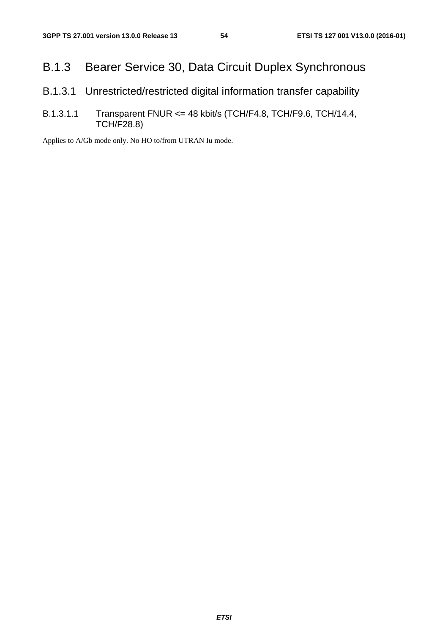# B.1.3 Bearer Service 30, Data Circuit Duplex Synchronous

- B.1.3.1 Unrestricted/restricted digital information transfer capability
- B.1.3.1.1 Transparent FNUR <= 48 kbit/s (TCH/F4.8, TCH/F9.6, TCH/14.4, TCH/F28.8)

Applies to A/Gb mode only. No HO to/from UTRAN Iu mode.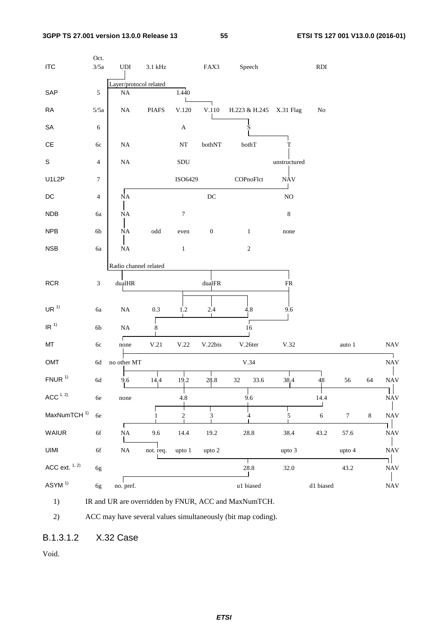| <b>ITC</b>              | Oct.<br>3/5a            | UDI                    | $3.1\ \mathrm{kHz}$  |                      | FAX3                | Speech                                               |              | RDI        |                  |         |                                 |
|-------------------------|-------------------------|------------------------|----------------------|----------------------|---------------------|------------------------------------------------------|--------------|------------|------------------|---------|---------------------------------|
|                         |                         | Layer/protocol related |                      |                      |                     |                                                      |              |            |                  |         |                                 |
| SAP                     | $\sqrt{5}$              | $\rm NA$               |                      | I.440                |                     |                                                      |              |            |                  |         |                                 |
| RA                      | 5/5a                    | $\rm NA$               | <b>PIAFS</b>         | V.120                | $V.110$             | H.223 & H.245                                        | X.31 Flag    | No         |                  |         |                                 |
| ${\sf SA}$              | 6                       |                        |                      | $\mathbf A$          |                     | S                                                    |              |            |                  |         |                                 |
| $\mathsf{CE}$           | 6c                      | $\rm NA$               |                      | NT                   | bothNT              | bothT                                                | T            |            |                  |         |                                 |
| $\mathbb S$             | $\overline{\mathbf{4}}$ | $\rm NA$               |                      | $\operatorname{SDU}$ |                     |                                                      | unstructured |            |                  |         |                                 |
| U1L2P                   | 7                       |                        |                      | ISO6429              |                     | COPnoFlct                                            | <b>NAV</b>   |            |                  |         |                                 |
| $\mathsf{DC}$           | 4                       | <b>NA</b>              |                      |                      | $\operatorname{DC}$ |                                                      | $\rm NO$     |            |                  |         |                                 |
| <b>NDB</b>              | 6a                      | $\rm NA$               |                      | $\boldsymbol{7}$     |                     |                                                      | $\,8$        |            |                  |         |                                 |
| <b>NPB</b>              | 6b                      | <b>NA</b>              | $\operatorname{odd}$ | even                 | $\boldsymbol{0}$    | $\mathbf{1}$                                         | none         |            |                  |         |                                 |
| <b>NSB</b>              | 6a                      | $\rm NA$               |                      | $\,1$                |                     | $\sqrt{2}$                                           |              |            |                  |         |                                 |
|                         |                         | Radio channel related  |                      |                      |                     |                                                      |              |            |                  |         |                                 |
| <b>RCR</b>              | 3                       | dualHR                 |                      |                      | $\text{dualFR}$     |                                                      | FR           |            |                  |         |                                 |
| UR <sup>1</sup>         |                         |                        |                      |                      |                     |                                                      |              |            |                  |         |                                 |
|                         | 6a                      | $\rm NA$               | $0.3\,$              | 1.2                  | 2.4                 | 4,8<br>Г                                             | 9.6          |            |                  |         |                                 |
| IR <sup>1</sup>         | 6b                      | $\rm NA$               | 8                    |                      |                     | 16                                                   |              |            |                  |         |                                 |
| MT                      | $6\mathrm{c}$           | none                   | V.21                 | V.22                 | V.22bis             | V.26ter                                              | V.32         |            | auto 1           |         | <b>NAV</b>                      |
| OMT                     | $6\mathrm{d}$           | no other MT            |                      |                      |                     | V.34                                                 |              |            |                  |         | ┑<br><b>NAV</b>                 |
| $FNUR$ <sup>1)</sup>    | $6\mathrm{d}$           | 9.6                    | 14,4                 | 19.2                 | 28.8                | 32<br>33.6                                           | 38.4         | 48         | 56               | 64      | $\it{NAV}$                      |
| $ACC$ $^{1, 2)}$        | $6e\,$                  | $none$                 |                      | 4.8                  |                     | 9.6                                                  |              | 14.4       |                  |         | $\ensuremath{\text{NAV}}$       |
| MaxNumTCH <sup>1)</sup> | $6e$                    |                        | 1                    | $\frac{2}{1}$        | 3                   | $\overline{4}$                                       | 5            | $\sqrt{6}$ | $\boldsymbol{7}$ | $\,8\,$ | $\ensuremath{\text{NAV}}$       |
| WAIUR                   | $6f$                    | Г<br>$\rm NA$          | 9.6                  | 14.4                 | 19.2                | 28.8                                                 | 38.4         | 43.2       | 57.6             |         | <b>NAV</b>                      |
| UIMI                    | 6f                      | $\rm NA$               | not. req.            | upto 1               | upto 2              |                                                      | upto 3       |            | upto 4           |         | $\ensuremath{\text{NAV}}$       |
| ACC ext. $1, 2)$        | 6g                      |                        |                      |                      |                     | 28.8                                                 | 32.0         |            | 43.2             |         | 11<br>$\ensuremath{\text{NAV}}$ |
| ASYM <sup>1)</sup>      | 6g                      | no. pref.              |                      |                      |                     | u1 biased                                            |              | d1 biased  |                  |         | $\ensuremath{\text{NAV}}$       |
| 1)                      |                         |                        |                      |                      |                     | IR and UR are overridden by FNUR, ACC and MaxNumTCH. |              |            |                  |         |                                 |

ACC may have several values simultaneously (bit map coding).

B.1.3.1.2 X.32 Case

Void.

 $2)$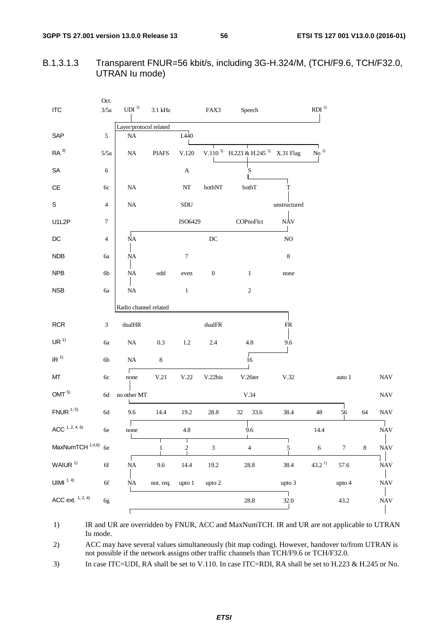#### Transparent FNUR=56 kbit/s, including 3G-H.324/M, (TCH/F9.6, TCH/F32.0, B.1.3.1.3 UTRAN lu mode)

|                           | Oct.             |                        |                      |                         |                  |                                                         |                   |                                     |        |         |                           |
|---------------------------|------------------|------------------------|----------------------|-------------------------|------------------|---------------------------------------------------------|-------------------|-------------------------------------|--------|---------|---------------------------|
| <b>ITC</b>                | 3/5a             | UDI <sup>3</sup>       | $3.1$ kHz            |                         | FAX3             | Speech                                                  |                   | $\mathbf{R}\mathbf{D}\mathbf{I}$ 3) |        |         |                           |
|                           |                  | Layer/protocol related |                      |                         |                  |                                                         |                   |                                     |        |         |                           |
| SAP                       | $\sqrt{5}$       | $\rm NA$               |                      | I.440                   |                  |                                                         |                   |                                     |        |         |                           |
| RA <sup>3</sup>           | 5/5a             | $\rm NA$               | <b>PIAFS</b>         | V.120                   |                  | V.110 <sup>3</sup> H.223 & H.245 <sup>3</sup> X.31 Flag |                   | $\mbox{No}^{\;3)}$                  |        |         |                           |
| ${\sf SA}$                | 6                |                        |                      | $\mathbf A$             |                  | 'S                                                      |                   |                                     |        |         |                           |
| $\mathsf{CE}$             | 6c               | $\rm NA$               |                      | $\rm{NT}$               | $\rm both NT$    | bothT                                                   | $\mathbf T$       |                                     |        |         |                           |
| S                         | 4                | $\rm NA$               |                      | SDU                     |                  |                                                         | $\;$ unstructured |                                     |        |         |                           |
| U1L2P                     | $\boldsymbol{7}$ |                        |                      | ISO6429                 |                  | COPnoFlct                                               | <b>NAV</b>        |                                     |        |         |                           |
| $\mathsf{DC}$             | 4                | <b>NA</b>              |                      |                         | $\rm DC$         |                                                         | $\rm NO$          |                                     |        |         |                           |
| <b>NDB</b>                | 6a               | $\rm NA$               |                      | $\boldsymbol{7}$        |                  |                                                         | $\bf 8$           |                                     |        |         |                           |
| <b>NPB</b>                | 6b               | $\rm NA$               | $\operatorname{odd}$ | even                    | $\boldsymbol{0}$ | $\,1\,$                                                 | none              |                                     |        |         |                           |
| <b>NSB</b>                | 6a               | $\rm NA$               |                      | $\mathbf{1}$            |                  | $\sqrt{2}$                                              |                   |                                     |        |         |                           |
|                           |                  | Radio channel related  |                      |                         |                  |                                                         |                   |                                     |        |         |                           |
| RCR                       | 3                | $\text{dualHR}$        |                      |                         | $dua$ IFR        |                                                         | ${\rm FR}$        |                                     |        |         |                           |
| UR <sup>1</sup>           | 6a               | $\rm NA$               | $0.3\,$              | $1.2\,$                 | 2.4              | $4.8\,$                                                 | 9.6               |                                     |        |         |                           |
| IR <sup>1</sup>           | 6b               | $\rm NA$               | $\,8\,$              |                         |                  | $\sqrt{16}$                                             |                   |                                     |        |         |                           |
| MT                        | 6c               | Г<br>none              | $\rm V.21$           | V.22                    | V.22bis          | V.26ter                                                 | V.32              |                                     | auto 1 |         | <b>NAV</b>                |
| OMT <sup>5</sup>          | 6d               | no other MT            |                      |                         |                  | V.34                                                    |                   |                                     |        |         | <b>NAV</b>                |
| $FNUR$ <sup>1, 5)</sup>   | $6\mathrm{d}$    | 9.6                    | 14.4                 | $19.2\,$                | $28.8\,$         | $32\,$<br>33.6                                          | 38.4              | 48                                  | 56     | 64      | <b>NAV</b>                |
| ACC <sup>1, 2, 4, 6</sup> | 6e               | none                   |                      | $4.8\,$                 |                  | 9.6                                                     |                   | 14.4                                |        |         | <b>NAV</b>                |
| MaxNumTCH 1,4,6) 6e       |                  |                        | 1                    | $\overline{\mathbf{c}}$ | 3                | $\overline{4}$                                          | 5                 | $\sqrt{6}$                          | $\tau$ | $\,8\,$ | $\ensuremath{\text{NAV}}$ |
| WAIUR <sup>1)</sup>       | $6f$             | $\rm NA$               | 9.6                  | 14.4                    | 19.2             | $28.8\,$                                                | 38.4              | $43.2^{\,1)}$                       | 57.6   |         | <b>NAV</b>                |
| UIMI $1, 4$               | $6f$             | $\rm NA$               | not. req.            | upto 1                  | upto 2           |                                                         | upto 3            |                                     | upto 4 |         | $\ensuremath{\text{NAV}}$ |
| ACC ext. $1, 2, 4$        | 6g               |                        |                      |                         |                  | $28.8\,$                                                | 32.0              |                                     | 43.2   |         | $\ensuremath{\text{NAV}}$ |
|                           |                  |                        |                      |                         |                  |                                                         |                   |                                     |        |         |                           |

IR and UR are overridden by FNUR, ACC and MaxNumTCH. IR and UR are not applicable to UTRAN  $1)$ Iu mode.

ACC may have several values simultaneously (bit map coding). However, handover to/from UTRAN is  $2)$ not possible if the network assigns other traffic channels than TCH/F9.6 or TCH/F32.0.

In case ITC=UDI, RA shall be set to V.110. In case ITC=RDI, RA shall be set to H.223 & H.245 or No.  $3)$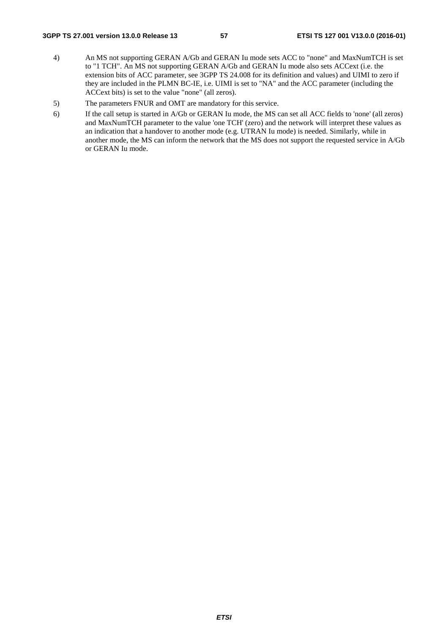### **3GPP TS 27.001 version 13.0.0 Release 13 57 ETSI TS 127 001 V13.0.0 (2016-01)**

- 4) An MS not supporting GERAN A/Gb and GERAN Iu mode sets ACC to "none" and MaxNumTCH is set to "1 TCH". An MS not supporting GERAN A/Gb and GERAN Iu mode also sets ACCext (i.e. the extension bits of ACC parameter, see 3GPP TS 24.008 for its definition and values) and UIMI to zero if they are included in the PLMN BC-IE, i.e. UIMI is set to "NA" and the ACC parameter (including the ACCext bits) is set to the value "none" (all zeros).
- 5) The parameters FNUR and OMT are mandatory for this service.
- 6) If the call setup is started in A/Gb or GERAN Iu mode, the MS can set all ACC fields to 'none' (all zeros) and MaxNumTCH parameter to the value 'one TCH' (zero) and the network will interpret these values as an indication that a handover to another mode (e.g. UTRAN Iu mode) is needed. Similarly, while in another mode, the MS can inform the network that the MS does not support the requested service in A/Gb or GERAN Iu mode.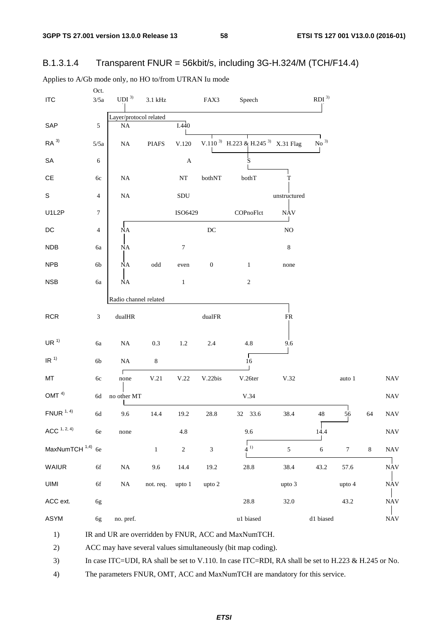#### Transparent FNUR = 56kbit/s, including 3G-H.324/M (TCH/F14.4) B.1.3.1.4

| <b>ITC</b>                   | Oct.<br>$3/5a$ | UDI <sup>3</sup>       | $3.1\ \mathrm{kHz}$  |                      | FAX3                | Speech                                                   |                   | RDI <sup>3</sup> |                  |             |            |
|------------------------------|----------------|------------------------|----------------------|----------------------|---------------------|----------------------------------------------------------|-------------------|------------------|------------------|-------------|------------|
|                              |                | Layer/protocol related |                      |                      |                     |                                                          |                   |                  |                  |             |            |
| SAP                          | $\sqrt{5}$     | $\rm NA$               |                      | I.440                |                     |                                                          |                   |                  |                  |             |            |
| RA <sup>3</sup>              | 5/5a           | $\rm NA$               | <b>PIAFS</b>         | V.120                |                     | V.110 <sup>3)</sup> H.223 & H.245 <sup>3</sup> X.31 Flag |                   | No <sup>3</sup>  |                  |             |            |
| SA                           | $\sqrt{6}$     |                        |                      | $\boldsymbol{A}$     |                     |                                                          |                   |                  |                  |             |            |
| СE                           | 6c             | <b>NA</b>              |                      | $\bf NT$             | bothNT              | bothT                                                    | T                 |                  |                  |             |            |
| S                            | $\overline{4}$ | <b>NA</b>              |                      | $\operatorname{SDU}$ |                     |                                                          | unstructured      |                  |                  |             |            |
| U1L2P                        | $\tau$         |                        |                      | ISO6429              |                     | COPnoFlct                                                | $_{\mathrm{NAV}}$ |                  |                  |             |            |
| DC                           | 4              | <b>NΑ</b>              |                      |                      | $\operatorname{DC}$ |                                                          | $\rm NO$          |                  |                  |             |            |
| NDB                          | 6a             | NA                     |                      | $\overline{7}$       |                     |                                                          | $\,8\,$           |                  |                  |             |            |
| <b>NPB</b>                   | 6b             | <b>NA</b>              | $\operatorname{odd}$ | even                 | $\boldsymbol{0}$    | $\mathbf{1}$                                             | none              |                  |                  |             |            |
| NSB                          | 6a             | <b>NΑ</b>              |                      | $\mathbf{1}$         |                     | 2                                                        |                   |                  |                  |             |            |
|                              |                | Radio channel related  |                      |                      |                     |                                                          |                   |                  |                  |             |            |
| <b>RCR</b>                   | 3              | $\text{dualHR}$        |                      |                      | dualFR              |                                                          | ${\sf FR}$        |                  |                  |             |            |
| UR $^{1)}$                   | <b>6a</b>      | $\rm NA$               | $0.3\,$              | $1.2\,$              | 2.4                 | 4.8                                                      | 9.6               |                  |                  |             |            |
| IR $1)$                      | 6b             | $\rm NA$               | $\,8\,$              |                      |                     | $\mathbf{L}$<br>16                                       |                   |                  |                  |             |            |
| МT                           | 6c             | none                   | V.21                 | V.22                 | V.22bis             | V.26ter                                                  | V.32              |                  | auto 1           |             | <b>NAV</b> |
| OMT $4)$                     | 6d             | no other MT            |                      |                      |                     | V.34                                                     |                   |                  |                  |             | <b>NAV</b> |
| $FWUR$ <sup>1, 4)</sup>      | 6d             | 9.6                    | 14.4                 | 19.2                 | 28.8                | 32 33.6                                                  | 38.4              | 48               | 56               | 64          | <b>NAV</b> |
| ACC <sup>1, 2, 4</sup>       | 6e             | none                   |                      | 4.8                  |                     | 9.6                                                      |                   | Г<br>14.4        |                  |             | <b>NAV</b> |
| MaxNumTCH <sup>1,4)</sup> 6e |                |                        | $\,1$                | $\sqrt{2}$           | $\mathfrak{Z}$      | $4\,$ $^{\rm 1)}$                                        | $\sqrt{5}$        | $\sqrt{6}$       | $\boldsymbol{7}$ | $\,$ 8 $\,$ | <b>NAV</b> |
| WAIUR                        | 6f             | $\rm NA$               | 9.6                  | 14.4                 | 19.2                | 28.8                                                     | 38.4              | 43.2             | 57.6             |             | <b>NAV</b> |
| <b>UIMI</b>                  | $6f$           | $\rm NA$               | not. req.            | upto 1               | upto 2              |                                                          | upto 3            |                  | upto 4           |             | <b>NAV</b> |
| ACC ext.                     | 6g             |                        |                      |                      |                     | 28.8                                                     | 32.0              |                  | 43.2             |             | <b>NAV</b> |
| ASYM                         | 6g             | no. pref.              |                      |                      |                     | u1 biased                                                |                   | d1 biased        |                  |             | <b>NAV</b> |
| 1)                           |                |                        |                      |                      |                     | IR and UR are overridden by FNUR, ACC and MaxNumTCH.     |                   |                  |                  |             |            |

Applies to A/Gb mode only, no HO to/from UTRAN Iu mode

 $1)$ 

 $2)$ ACC may have several values simultaneously (bit map coding).

 $3)$ In case ITC=UDI, RA shall be set to V.110. In case ITC=RDI, RA shall be set to H.223 & H.245 or No.

 $4)$ The parameters FNUR, OMT, ACC and MaxNumTCH are mandatory for this service.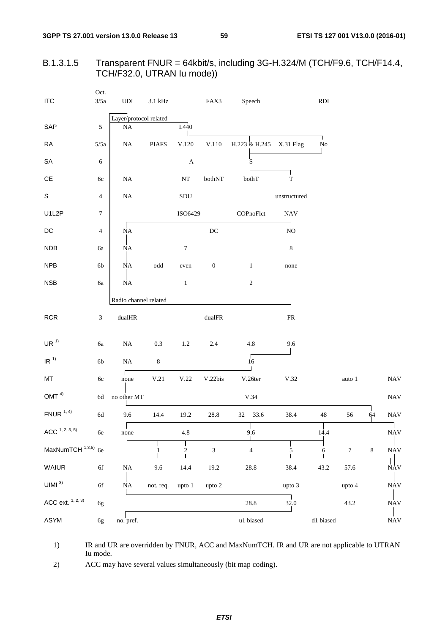### Transparent FNUR = 64kbit/s, including 3G-H.324/M (TCH/F9.6, TCH/F14.4, B.1.3.1.5 TCH/F32.0, UTRAN lu mode))

| <b>ITC</b>                     | Oct.<br>3/5a   | $\ensuremath{\mathrm{UDI}}$ | $3.1\ \mathrm{kHz}$  |                  | FAX3                | Speech              |              | $\mathbf{R}\mathbf{D}\mathbf{I}$ |        |         |                           |
|--------------------------------|----------------|-----------------------------|----------------------|------------------|---------------------|---------------------|--------------|----------------------------------|--------|---------|---------------------------|
|                                |                | Layer/protocol related      |                      |                  |                     |                     |              |                                  |        |         |                           |
| SAP                            | $\sqrt{5}$     | $\rm NA$                    |                      | I.440            |                     |                     |              |                                  |        |         |                           |
| ${\sf RA}$                     | 5/5a           | $\rm NA$                    | <b>PIAFS</b>         | V.120            | $V.110$             | H.223 & H.245       | X.31 Flag    | $\rm No$                         |        |         |                           |
| SA                             | $\sqrt{6}$     |                             |                      | $\mathbf A$      |                     | S                   |              |                                  |        |         |                           |
| $\mathsf{CE}% _{\mathcal{A}}$  | $6c$           | $\rm NA$                    |                      | $\bf NT$         | bothNT              | bothT               | T            |                                  |        |         |                           |
| $\mathsf S$                    | $\overline{4}$ | $\rm NA$                    |                      | SDU              |                     |                     | unstructured |                                  |        |         |                           |
| U1L2P                          | $\tau$         |                             |                      | ISO6429          |                     | COPnoFlct           | <b>NAV</b>   |                                  |        |         |                           |
| $\mathsf{DC}$                  | 4              | <b>N</b> <sup>A</sup>       |                      |                  | $\operatorname{DC}$ |                     | $\rm NO$     |                                  |        |         |                           |
| NDB                            | 6a             | <b>NA</b>                   |                      | $\boldsymbol{7}$ |                     |                     | $\,8\,$      |                                  |        |         |                           |
| NPB                            | 6b             | <b>NA</b>                   | $\operatorname{odd}$ | even             | $\boldsymbol{0}$    | $\mathbf{1}$        | none         |                                  |        |         |                           |
| <b>NSB</b>                     | 6a             | <i>NΑ</i>                   |                      | $\,1\,$          |                     | $\sqrt{2}$          |              |                                  |        |         |                           |
|                                |                | Radio channel related       |                      |                  |                     |                     |              |                                  |        |         |                           |
| <b>RCR</b>                     | $\mathfrak{Z}$ | $\text{dualHR}$             |                      |                  | $\text{dualFR}$     |                     | ${\sf FR}$   |                                  |        |         |                           |
| UR <sup>1</sup>                | 6a             | $\rm NA$                    | 0.3                  | $1.2\,$          | 2.4                 | $4.8\,$             | 9.6          |                                  |        |         |                           |
| IR <sup>1</sup>                | $6\mathrm{b}$  | $\rm NA$                    | $\,8\,$              |                  |                     | $\sqrt{16}$         |              |                                  |        |         |                           |
| МT                             | 6c             | г<br>none                   | V.21                 | $\rm V.22$       | V.22bis             | V.26ter             | V.32         |                                  | auto 1 |         | <b>NAV</b>                |
| OMT <sup>4</sup>               | 6d             | no other MT                 |                      |                  |                     | V.34                |              |                                  |        |         | <b>NAV</b>                |
| $FNUR$ <sup>1, 4)</sup>        | $6\mathrm{d}$  | 9.6                         | 14.4                 | 19.2             | 28.8                | 33.6<br>32          | 38.4         | $\sqrt{48}$                      | 56     | 64      | <b>NAV</b>                |
| ACC <sup>1, 2, 3, 5</sup>      | 6e             | $\mathbf{I}$<br>none        |                      | $4.8\,$          |                     | $\mathbf{I}$<br>9.6 |              | 14.4                             |        |         | <b>NAV</b>                |
| MaxNumTCH <sup>1,3,5)</sup> 6e |                |                             |                      | 2                | $\sqrt{3}$          | $\overline{4}$      | 5            | 6                                | $\tau$ | $\,8\,$ | <b>NAV</b>                |
| WAIUR                          | $6f$           | $\rm NA$                    | 9.6                  | 14.4             | 19.2                | $28.8\,$            | 38.4         | 43.2                             | 57.6   |         | <b>NAV</b>                |
| UIMI <sup>3</sup>              | $6f$           | <b>NA</b>                   | not. req.            | upto 1           | upto 2              |                     | upto 3       |                                  | upto 4 |         | $\ensuremath{\text{NAV}}$ |
| ACC ext. $1, 2, 3$             | 6g             |                             |                      |                  |                     | $28.8\,$            | 32.0         |                                  | 43.2   |         | <b>NAV</b>                |
| ASYM                           | 6g             | no. pref.                   |                      |                  |                     | u1 biased           |              | d1 biased                        |        |         | $\ensuremath{\text{NAV}}$ |

 $1)$ IR and UR are overridden by FNUR, ACC and MaxNumTCH. IR and UR are not applicable to UTRAN Iu mode.

ACC may have several values simultaneously (bit map coding).  $2)$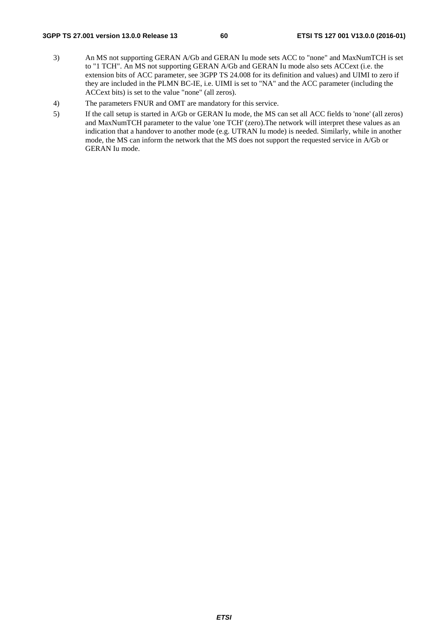### **3GPP TS 27.001 version 13.0.0 Release 13 60 ETSI TS 127 001 V13.0.0 (2016-01)**

- 3) An MS not supporting GERAN A/Gb and GERAN Iu mode sets ACC to "none" and MaxNumTCH is set to "1 TCH". An MS not supporting GERAN A/Gb and GERAN Iu mode also sets ACCext (i.e. the extension bits of ACC parameter, see 3GPP TS 24.008 for its definition and values) and UIMI to zero if they are included in the PLMN BC-IE, i.e. UIMI is set to "NA" and the ACC parameter (including the ACCext bits) is set to the value "none" (all zeros).
- 4) The parameters FNUR and OMT are mandatory for this service.
- 5) If the call setup is started in A/Gb or GERAN Iu mode, the MS can set all ACC fields to 'none' (all zeros) and MaxNumTCH parameter to the value 'one TCH' (zero).The network will interpret these values as an indication that a handover to another mode (e.g. UTRAN Iu mode) is needed. Similarly, while in another mode, the MS can inform the network that the MS does not support the requested service in A/Gb or GERAN Iu mode.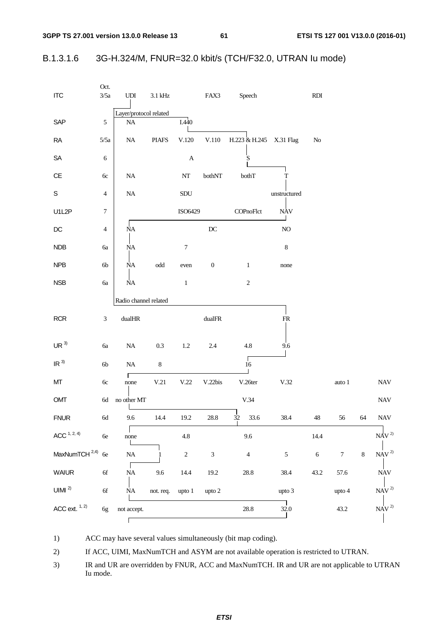#### 3G-H.324/M, FNUR=32.0 kbit/s (TCH/F32.0, UTRAN lu mode) B.1.3.1.6

| <b>ITC</b>                | Oct.<br>$3/5a$   | $\ensuremath{\mathrm{UDI}}$ | $3.1$ kHz            |                  | FAX3                    | Speech                  |                           | $\mathbf{R}\mathbf{D}\mathbf{I}$ |                  |       |                                            |
|---------------------------|------------------|-----------------------------|----------------------|------------------|-------------------------|-------------------------|---------------------------|----------------------------------|------------------|-------|--------------------------------------------|
|                           |                  | Layer/protocol related      |                      |                  |                         |                         |                           |                                  |                  |       |                                            |
| SAP                       | $\sqrt{5}$       | $\rm NA$                    |                      | I.440            |                         |                         |                           |                                  |                  |       |                                            |
| RA                        | 5/5a             | $\rm NA$                    | <b>PIAFS</b>         | V.120            | $\rm V.110$             | H.223 & H.245 X.31 Flag |                           | $\rm No$                         |                  |       |                                            |
| ${\sf SA}$                | $\sqrt{6}$       |                             |                      | $\mathbf A$      |                         | S                       |                           |                                  |                  |       |                                            |
| $\mathsf{CE}$             | $6c$             | $\rm NA$                    |                      | $\rm{NT}$        | $\mbox{both} \text{NT}$ | bothT                   | $\mathbf T$               |                                  |                  |       |                                            |
| S                         | $\overline{4}$   | $\rm NA$                    |                      | ${\rm SDU}$      |                         |                         | unstructured              |                                  |                  |       |                                            |
| U1L2P                     | $\boldsymbol{7}$ |                             |                      | ISO6429          |                         | COPnoFlct               | $\ensuremath{\text{NAV}}$ |                                  |                  |       |                                            |
| $_{\rm DC}$               | $\overline{4}$   | ΝA                          |                      |                  | $\operatorname{DC}$     |                         | $\rm NO$                  |                                  |                  |       |                                            |
| <b>NDB</b>                | 6a               | NA                          |                      | $\boldsymbol{7}$ |                         |                         | $\,8\,$                   |                                  |                  |       |                                            |
| <b>NPB</b>                | $6b$             | <b>NΑ</b>                   | $\operatorname{odd}$ | even             | $\boldsymbol{0}$        | $1\,$                   | none                      |                                  |                  |       |                                            |
| <b>NSB</b>                | 6a               | <b>NΑ</b>                   |                      | $\mathbf{1}$     |                         | $\sqrt{2}$              |                           |                                  |                  |       |                                            |
|                           |                  | Radio channel related       |                      |                  |                         |                         |                           |                                  |                  |       |                                            |
| <b>RCR</b>                | $\mathfrak{Z}$   | $\text{dualHR}$             |                      |                  | dualFR                  |                         | ${\rm FR}$                |                                  |                  |       |                                            |
| UR <sup>3</sup>           | 6a               | $\rm NA$                    | 0.3                  | $1.2\,$          | $2.4\,$                 | $4.8\,$                 | 9.6                       |                                  |                  |       |                                            |
| IR <sup>3</sup>           | $6b$             | $\rm NA$                    | $8\,$                |                  |                         | 16                      |                           |                                  |                  |       |                                            |
| МT                        | $6c$             | none                        | V.21                 | $\rm V.22$       | V.22bis                 | V.26ter                 | V.32                      |                                  | auto 1           |       | $\ensuremath{\text{NAV}}$                  |
| OMT                       | 6d               | no other MT                 |                      |                  |                         | V.34                    |                           |                                  |                  |       | $\ensuremath{\text{NAV}}$                  |
| <b>FNUR</b>               | $6\mathrm{d}$    | 9.6                         | 14.4                 | 19.2             | 28.8                    | 32<br>33.6              | 38.4                      | $\sqrt{48}$                      | 56               | 64    | <b>NAV</b>                                 |
| ACC <sup>1, 2, 4</sup>    | $6e\,$           | none                        |                      | 4.8              |                         | 9.6                     |                           | 14.4                             |                  |       | $\ensuremath{\mathop{\rm NAV}}\nolimits^2$ |
| MaxNumTCH <sup>2,4)</sup> | 6e               | $\rm NA$                    |                      | $\sqrt{2}$       | $\mathfrak{Z}$          | $\overline{4}$          | $\sqrt{5}$                | $\sqrt{6}$                       | $\boldsymbol{7}$ | $8\,$ | $\mbox{NAV}^{\,2)}$                        |
| <b>WAIUR</b>              | $6f$             | $\rm NA$                    | 9.6                  | 14.4             | $19.2\,$                | $28.8\,$                | 38.4                      | 43.2                             | 57.6             |       | $\ensuremath{\text{NAV}}$                  |
| $UIMI$ $^{2)}$            | $6f$             | $\rm NA$                    | not. req.            | upto 1           | upto 2                  |                         | upto 3                    |                                  | upto 4           |       | $\mbox{NAV}^{\,2)}$                        |
| ACC ext. $1, 2)$          | 6g               | not accept.                 |                      |                  |                         | 28.8                    | $32.0\,$                  |                                  | 43.2             |       | $\mbox{NAV}^{\,2)}$                        |
|                           |                  | Г                           |                      |                  |                         |                         |                           |                                  |                  |       |                                            |

 $1)$ ACC may have several values simultaneously (bit map coding).

If ACC, UIMI, MaxNumTCH and ASYM are not available operation is restricted to UTRAN. 2)

 $3)$ IR and UR are overridden by FNUR, ACC and MaxNumTCH. IR and UR are not applicable to UTRAN Iu mode.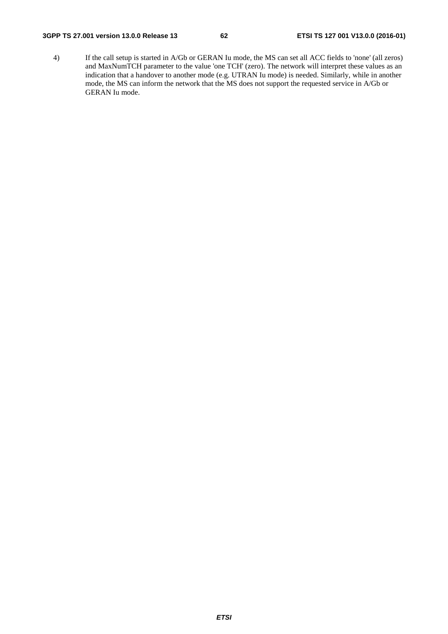### **3GPP TS 27.001 version 13.0.0 Release 13 62 ETSI TS 127 001 V13.0.0 (2016-01)**

4) If the call setup is started in A/Gb or GERAN Iu mode, the MS can set all ACC fields to 'none' (all zeros) and MaxNumTCH parameter to the value 'one TCH' (zero). The network will interpret these values as an indication that a handover to another mode (e.g. UTRAN Iu mode) is needed. Similarly, while in another mode, the MS can inform the network that the MS does not support the requested service in A/Gb or GERAN Iu mode.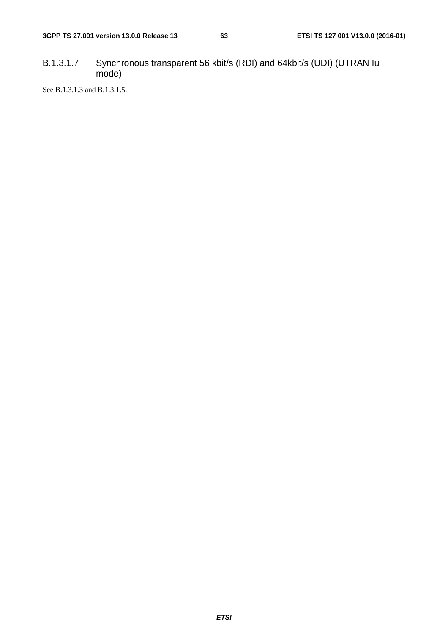B.1.3.1.7 Synchronous transparent 56 kbit/s (RDI) and 64kbit/s (UDI) (UTRAN Iu mode)

See B.1.3.1.3 and B.1.3.1.5.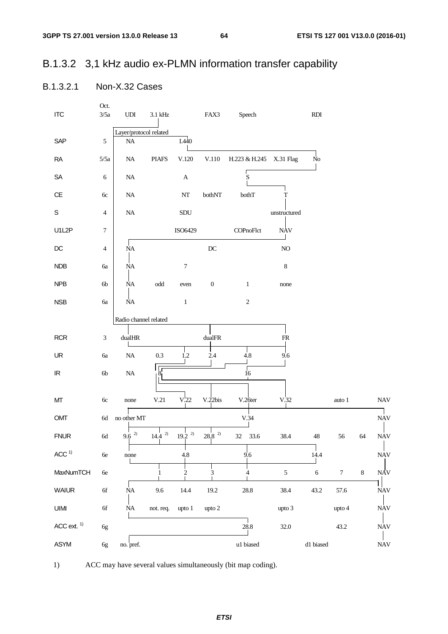# B.1.3.2 3,1 kHz audio ex-PLMN information transfer capability

#### B.1.3.2.1 Non-X.32 Cases

| <b>ITC</b>                        | Oct.<br>3/5a     | $\ensuremath{\mathrm{UDI}}$ | $3.1$ kHz            |                  | FAX3                | Speech                  |                           | RDI            |                |       |                           |
|-----------------------------------|------------------|-----------------------------|----------------------|------------------|---------------------|-------------------------|---------------------------|----------------|----------------|-------|---------------------------|
|                                   |                  | Layer/protocol related      |                      |                  |                     |                         |                           |                |                |       |                           |
| SAP                               | $\mathfrak{S}$   | $\rm NA$                    |                      | I.440            |                     |                         |                           |                |                |       |                           |
| <b>RA</b>                         | 5/5a             | $\rm NA$                    | <b>PIAFS</b>         | V.120            | $\rm V.110$         | H.223 & H.245 X.31 Flag |                           | N <sub>o</sub> |                |       |                           |
| SA                                | 6                | $\rm NA$                    |                      | $\mathbf A$      |                     | $\mathbf S$             |                           |                |                |       |                           |
| $\mathsf{CE}$                     | 6c               | $\rm NA$                    |                      | $\rm{NT}$        | bothNT              | $\rm both T$            | $\mathbf T$               |                |                |       |                           |
| $\mathsf S$                       | $\overline{4}$   | $\rm NA$                    |                      | ${\rm SDU}$      |                     |                         | unstructured              |                |                |       |                           |
| U1L2P                             | $\boldsymbol{7}$ |                             |                      | ISO6429          |                     | COPnoFlct               | $\ensuremath{\text{NAV}}$ |                |                |       |                           |
| $D C$                             | $\overline{4}$   | NA                          |                      |                  | $\operatorname{DC}$ |                         | NO                        |                |                |       |                           |
| <b>NDB</b>                        | бa               | NA                          |                      | $\boldsymbol{7}$ |                     |                         | $\,8\,$                   |                |                |       |                           |
| <b>NPB</b>                        | 6b               | $\rm NA$                    | $\operatorname{odd}$ | even             | $\boldsymbol{0}$    | $\mathbf{1}$            | none                      |                |                |       |                           |
| <b>NSB</b>                        | 6a               | <b>NΑ</b>                   |                      | $\,1\,$          |                     | $\sqrt{2}$              |                           |                |                |       |                           |
|                                   |                  | Radio channel related       |                      |                  |                     |                         |                           |                |                |       |                           |
|                                   |                  |                             |                      |                  |                     |                         |                           |                |                |       |                           |
| <b>RCR</b>                        | $\mathfrak{Z}$   | dualHR                      |                      |                  | $\text{dualFR}$     |                         | ${\sf FR}$                |                |                |       |                           |
| UR                                | 6a               | $\rm NA$                    | 0.3                  | 1.2              | 2.4                 | 4.8                     | 9.6                       |                |                |       |                           |
| $\ensuremath{\mathsf{IR}}\xspace$ | $6b$             | $\rm NA$                    | ŏ                    |                  |                     | $\sqrt{16}$             |                           |                |                |       |                           |
|                                   |                  |                             |                      |                  |                     |                         |                           |                |                |       |                           |
| MT                                | 6c               | none                        | V.21                 | V <sub>.22</sub> | V.22bis             | V.26ter                 | V.32                      |                | auto 1         |       | <b>NAV</b>                |
| OMT                               | 6d               | no other MT                 |                      |                  |                     | V.34                    |                           |                |                |       | <b>NAV</b>                |
| <b>FNUR</b>                       | 6d               | $9.6^{2}$                   | $14.4^{2}$           | $19.2^{2}$       | $28,8^{2}$          | 32<br>33.6              | 38.4                      | 48             | 56             | 64    | <b>NAV</b>                |
| ACC <sup>1</sup>                  | $6e$             | none                        |                      | 4.8              |                     | 9'6                     |                           | 14.4           |                |       | $\ensuremath{\text{NAV}}$ |
| MaxNumTCH                         | 6e               |                             | 1                    | $\sqrt{2}$       | 3                   | 4                       | $\mathfrak{S}$            | $\sqrt{6}$     | $\overline{7}$ | $8\,$ | <b>NAV</b>                |
| <b>WAIUR</b>                      | 6f               | <b>NA</b>                   | 9.6                  | 14.4             | 19.2                | 28.8                    | 38.4                      | 43.2           | 57.6           |       | <b>NAV</b>                |
| UIMI                              | 6f               | $\rm NA$                    | not. req.            | upto 1           | upto 2              |                         | upto 3                    |                | upto 4         |       | <b>NAV</b>                |
| ACC ext. $1)$                     | 6g               |                             |                      |                  |                     | 28.8                    | $32.0\,$                  |                | 43.2           |       | <b>NAV</b>                |
| ASYM                              | 6g               | no. pref.                   |                      |                  |                     | u1 biased               |                           | d1 biased      |                |       | <b>NAV</b>                |

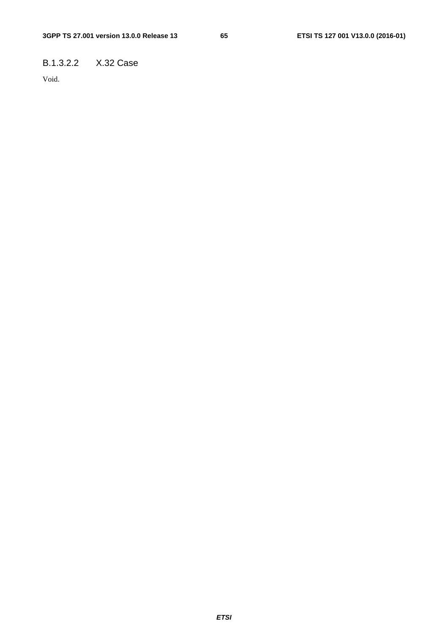### B.1.3.2.2 X.32 Case

Void.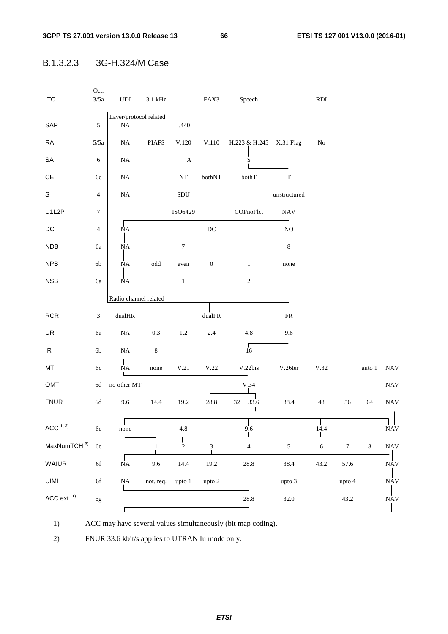### B.1.3.2.3 3G-H.324/M Case



1) ACC may have several values simultaneously (bit map coding).

2) FNUR 33.6 kbit/s applies to UTRAN Iu mode only.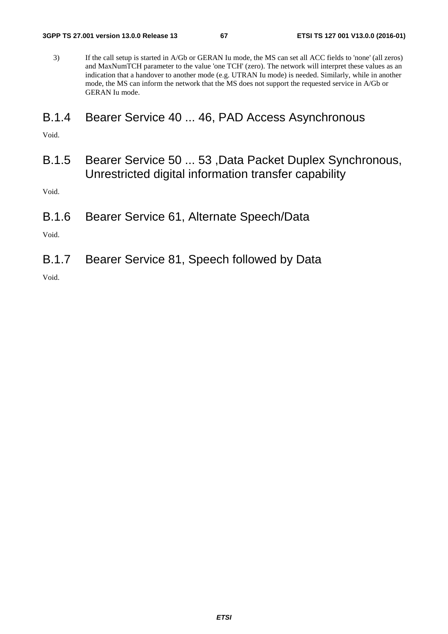3) If the call setup is started in A/Gb or GERAN Iu mode, the MS can set all ACC fields to 'none' (all zeros) and MaxNumTCH parameter to the value 'one TCH' (zero). The network will interpret these values as an indication that a handover to another mode (e.g. UTRAN Iu mode) is needed. Similarly, while in another mode, the MS can inform the network that the MS does not support the requested service in A/Gb or GERAN Iu mode.

# B.1.4 Bearer Service 40 ... 46, PAD Access Asynchronous

Void.

B.1.5 Bearer Service 50 ... 53 ,Data Packet Duplex Synchronous, Unrestricted digital information transfer capability

Void.

B.1.6 Bearer Service 61, Alternate Speech/Data

Void.

B.1.7 Bearer Service 81, Speech followed by Data

Void.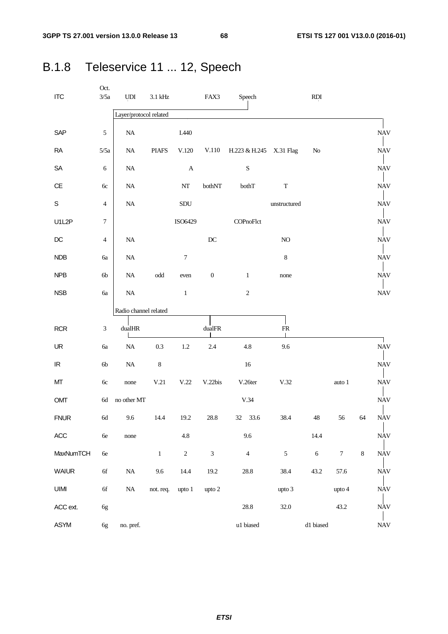Oct.

| <b>B.1.8</b> | Teleservice 11  12, Speech |  |
|--------------|----------------------------|--|
|--------------|----------------------------|--|

| <b>ITC</b>                        | 3/5a                        | $\ensuremath{\mathrm{UDI}}$ | $3.1\,\mathrm{kHz}$  |                  | FAX3             | Speech                  |                | <b>RDI</b>      |                  |         |                           |
|-----------------------------------|-----------------------------|-----------------------------|----------------------|------------------|------------------|-------------------------|----------------|-----------------|------------------|---------|---------------------------|
|                                   |                             | Layer/protocol related      |                      |                  |                  |                         |                |                 |                  |         |                           |
| SAP                               | $\sqrt{5}$                  | $\rm NA$                    |                      | I.440            |                  |                         |                |                 |                  |         | <b>NAV</b>                |
| RA                                | 5/5a                        | NA                          | <b>PIAFS</b>         | V.120            | V.110            | H.223 & H.245 X.31 Flag |                | No              |                  |         | <b>NAV</b>                |
| SA                                | $\sqrt{6}$                  | $\rm NA$                    |                      | $\mathbf A$      |                  | ${\bf S}$               |                |                 |                  |         | <b>NAV</b>                |
| CE                                | 6c                          | $\rm NA$                    |                      | $\mathbf{NT}$    | bothNT           | bothT                   | ${\bf T}$      |                 |                  |         | <b>NAV</b>                |
| S                                 | $\overline{4}$              | $\rm NA$                    |                      | SDU              |                  |                         | unstructured   |                 |                  |         | <b>NAV</b>                |
| U1L2P                             | $\tau$                      |                             |                      | ISO6429          |                  | COPnoFlct               |                |                 |                  |         | <b>NAV</b>                |
| $\mathsf{DC}$                     | $\overline{4}$              | NA                          |                      |                  | $D\!C$           |                         | $\rm NO$       |                 |                  |         | <b>NAV</b>                |
| NDB                               | 6a                          | $\rm NA$                    |                      | $\boldsymbol{7}$ |                  |                         | $\,8\,$        |                 |                  |         | <b>NAV</b>                |
| NPB                               | 6b                          | $\rm NA$                    | $\operatorname{odd}$ | even             | $\boldsymbol{0}$ | $\mathbf{1}$            | none           |                 |                  |         | <b>NAV</b>                |
| <b>NSB</b>                        | <b>6a</b>                   | $\rm NA$                    |                      | $\,1$            |                  | $\boldsymbol{2}$        |                |                 |                  |         | <b>NAV</b>                |
|                                   |                             | Radio channel related       |                      |                  |                  |                         |                |                 |                  |         |                           |
| <b>RCR</b>                        | $\ensuremath{\mathfrak{Z}}$ | dualHR                      |                      |                  | dualFR           |                         | ${\rm FR}$     |                 |                  |         |                           |
| UR                                | 6a                          | NA                          | $0.3\,$              | 1.2              | 2.4              | 4.8                     | 9.6            |                 |                  |         | <b>NAV</b>                |
| $\ensuremath{\mathsf{IR}}\xspace$ | 6 <sub>b</sub>              | $\rm NA$                    | $\,8\,$              |                  |                  | 16                      |                |                 |                  |         | <b>NAV</b>                |
| MT                                | 6c                          | none                        | V.21                 | V.22             | V.22bis          | V.26ter                 | V.32           |                 | auto 1           |         | <b>NAV</b>                |
| OMT                               | 6d                          | no other MT                 |                      |                  |                  | V.34                    |                |                 |                  |         | <b>NAV</b>                |
| <b>FNUR</b>                       | $6d$                        | 9.6                         | 14.4                 | 19.2             | 28.8             | 33.6<br>32              | 38.4           | 48              | 56               | 64      | <b>NAV</b>                |
| ACC                               | $6e$                        | none                        |                      | $4.8\,$          |                  | 9.6                     |                | 14.4            |                  |         | NAV                       |
| MaxNumTCH                         | $6e$                        |                             | $\,1\,$              | $\sqrt{2}$       | $\mathfrak{Z}$   | $\overline{4}$          | $\mathfrak{S}$ | $\sqrt{6}$      | $\boldsymbol{7}$ | $\,8\,$ | <b>NAV</b>                |
| <b>WAIUR</b>                      | $6f$                        | $\rm NA$                    | 9.6                  | 14.4             | 19.2             | 28.8                    | 38.4           | 43.2            | 57.6             |         | <b>NAV</b>                |
| <b>UIMI</b>                       | $6f$                        | $\rm NA$                    | not. req.            | upto 1           | upto 2           |                         | upto 3         |                 | upto 4           |         | $\ensuremath{\text{NAV}}$ |
| ACC ext.                          | 6g                          |                             |                      |                  |                  | 28.8                    | $32.0\,$       |                 | 43.2             |         | <b>NAV</b>                |
| <b>ASYM</b>                       | 6g                          | no. pref.                   |                      |                  |                  | u1 biased               |                | $\rm d1$ biased |                  |         | $\ensuremath{\text{NAV}}$ |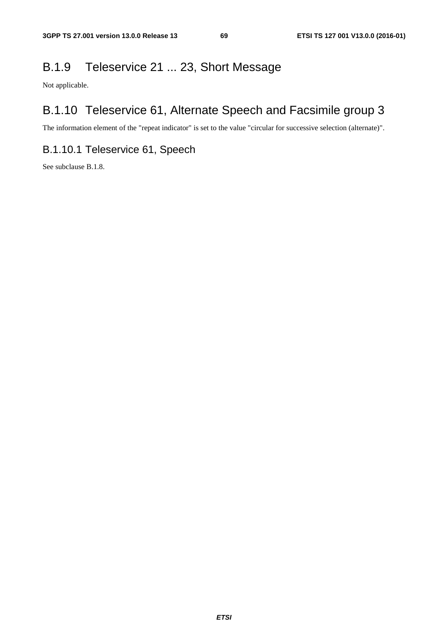# B.1.9 Teleservice 21 ... 23, Short Message

Not applicable.

# B.1.10 Teleservice 61, Alternate Speech and Facsimile group 3

The information element of the "repeat indicator" is set to the value "circular for successive selection (alternate)".

# B.1.10.1 Teleservice 61, Speech

See subclause B.1.8.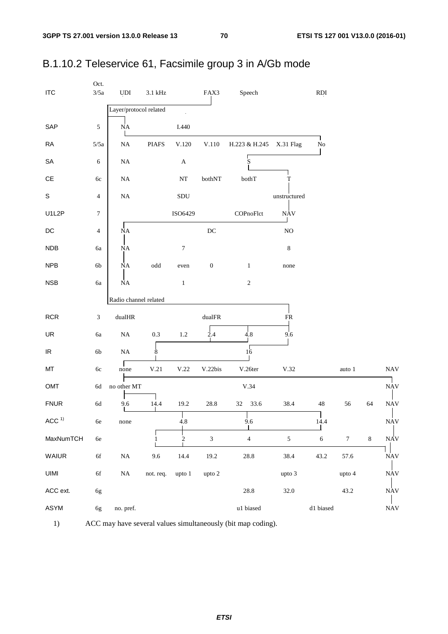| <b>ITC</b>                        | Oct.<br>3/5a                | <b>UDI</b>             | $3.1\ \mathrm{kHz}$  |                  | FAX3                | Speech                  |                           | RDI        |                  |         |                           |
|-----------------------------------|-----------------------------|------------------------|----------------------|------------------|---------------------|-------------------------|---------------------------|------------|------------------|---------|---------------------------|
|                                   |                             | Layer/protocol related |                      |                  |                     |                         |                           |            |                  |         |                           |
| SAP                               | 5                           | NA                     |                      | I.440            |                     |                         |                           |            |                  |         |                           |
| <b>RA</b>                         | 5/5a                        | $\rm NA$               | <b>PIAFS</b>         | V.120            | $\rm V.110$         | H.223 & H.245           | X.31 Flag                 | No         |                  |         |                           |
| SA                                | 6                           | $\rm NA$               |                      | $\mathbf A$      |                     | $\overline{\mathbf{S}}$ |                           |            |                  |         |                           |
| $\mathsf{CE}$                     | $6c$                        | $\rm NA$               |                      | $\mathbf{NT}$    | bothNT              | bothT                   | T                         |            |                  |         |                           |
| $\mathbb S$                       | $\overline{4}$              | $\rm NA$               |                      | ${\bf SDU}$      |                     |                         | unstructured              |            |                  |         |                           |
| U1L2P                             | $\boldsymbol{7}$            |                        |                      | ISO6429          |                     | $COP$ no $Flct$         | $\ensuremath{\text{NAV}}$ |            |                  |         |                           |
| $DC$                              | $\overline{4}$              | ŃA                     |                      |                  | $\operatorname{DC}$ |                         | $\rm NO$                  |            |                  |         |                           |
| NDB                               | 6a                          | <b>NΑ</b>              |                      | $\boldsymbol{7}$ |                     |                         | $\bf 8$                   |            |                  |         |                           |
| <b>NPB</b>                        | 6b                          | NΑ                     | $\operatorname{odd}$ | even             | $\boldsymbol{0}$    | $\mathbf{1}$            | none                      |            |                  |         |                           |
| <b>NSB</b>                        | <b>6a</b>                   | <b>NΑ</b>              |                      | $\,1$            |                     | $\sqrt{2}$              |                           |            |                  |         |                           |
|                                   |                             | Radio channel related  |                      |                  |                     |                         |                           |            |                  |         |                           |
| <b>RCR</b>                        | $\ensuremath{\mathfrak{Z}}$ | $\text{dualHR}$        |                      |                  | $\text{dualFR}$     |                         | ${\sf FR}$                |            |                  |         |                           |
| UR                                | 6a                          | $\rm NA$               | 0.3                  | 1.2              | 2.4                 | 4.8                     | 9.6                       |            |                  |         |                           |
| $\ensuremath{\mathsf{IR}}\xspace$ | $6\mathrm{b}$               | $\rm NA$               | 8                    |                  |                     | $\frac{1}{16}$          |                           |            |                  |         |                           |
| МT                                | 6c                          | none                   | V.21                 | $\rm V.22$       | V.22bis             | V.26ter                 | V.32                      |            | auto 1           |         | <b>NAV</b>                |
| OMT                               | $6\mathrm{d}$               | no other MT            |                      |                  |                     | V.34                    |                           |            |                  |         | <b>NAV</b>                |
| <b>FNUR</b>                       | $6\mathrm{d}$               | 9.6                    | 14.4                 | 19.2             | $28.8\,$            | 33.6<br>32              | 38.4                      | 48         | 56               | 64      | <b>NAV</b>                |
| ACC $1$                           | $6e$                        | $none$                 |                      | $4.8\,$          |                     | 9.6                     |                           | 14.4       |                  |         | <b>NAV</b>                |
| MaxNumTCH                         | $6\mathrm{e}$               |                        | 1                    | $\overline{c}$   | $\sqrt{3}$          | $\overline{4}$          | $\sqrt{5}$                | $\sqrt{6}$ | $\boldsymbol{7}$ | $\,8\,$ | NAV                       |
| <b>WAIUR</b>                      | $6\mathrm{f}$               | $\rm NA$               | $9.6\,$              | 14.4             | 19.2                | $28.8\,$                | 38.4                      | 43.2       | 57.6             |         | <b>NAV</b>                |
| <b>UIMI</b>                       | $6\mathrm{f}$               | NA                     | not. req.            | upto 1           | upto 2              |                         | upto 3                    |            | upto 4           |         | $\ensuremath{\text{NAV}}$ |
| ACC ext.                          | 6g                          |                        |                      |                  |                     | $28.8\,$                | 32.0                      |            | 43.2             |         | <b>NAV</b>                |
| ASYM                              | 6g                          | no. pref.              |                      |                  |                     | u1 biased               |                           | d1 biased  |                  |         | <b>NAV</b>                |

# B.1.10.2 Teleservice 61, Facsimile group 3 in A/Gb mode

 $1)$ ACC may have several values simultaneously (bit map coding).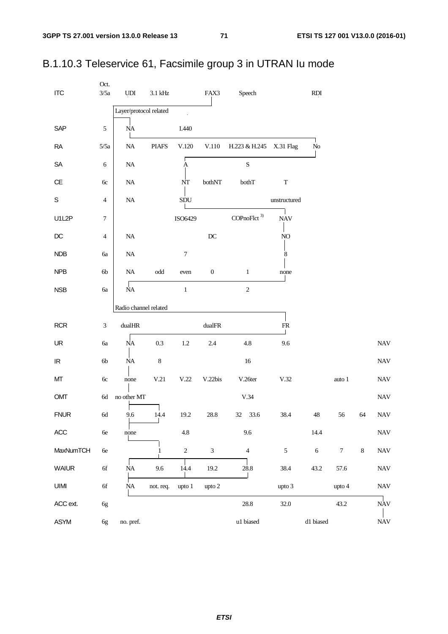| <b>ITC</b>                        | Oct.<br>3/5a                | $\ensuremath{\mathrm{UDI}}$ | $3.1\,\mathrm{kHz}$  |                  | FAX3                    | Speech                  |              | RDI        |                  |         |                           |
|-----------------------------------|-----------------------------|-----------------------------|----------------------|------------------|-------------------------|-------------------------|--------------|------------|------------------|---------|---------------------------|
|                                   |                             | Layer/protocol related      |                      | J.               |                         |                         |              |            |                  |         |                           |
| SAP                               | $\sqrt{5}$                  | <b>NA</b>                   |                      | I.440            |                         |                         |              |            |                  |         |                           |
| RA                                | 5/5a                        | $\rm NA$                    | <b>PIAFS</b>         | V.120            | V.110                   | H.223 & H.245 X.31 Flag |              | ${\rm No}$ |                  |         |                           |
| SA                                | $\sqrt{6}$                  | $\rm NA$                    |                      | Ą                |                         | $\mathbf S$             |              |            |                  |         |                           |
| CE                                | 6c                          | $\rm NA$                    |                      | NT               | $\mbox{both} \text{NT}$ | $\text{both}\mathbf{T}$ | $\mathbf T$  |            |                  |         |                           |
| $\mathbf S$                       | $\overline{4}$              | $\rm NA$                    |                      | SDU              |                         |                         | unstructured |            |                  |         |                           |
| U1L2P                             | $\boldsymbol{7}$            |                             |                      | ISO6429          |                         | COPnoFlct <sup>3)</sup> | <b>NAV</b>   |            |                  |         |                           |
| $D C$                             | $\overline{4}$              | $\rm NA$                    |                      |                  | $\operatorname{DC}$     |                         | $\rm NO$     |            |                  |         |                           |
| NDB                               | 6a                          | $\rm NA$                    |                      | $\boldsymbol{7}$ |                         |                         | 8            |            |                  |         |                           |
| <b>NPB</b>                        | 6b                          | $\rm NA$                    | $\operatorname{odd}$ | even             | $\boldsymbol{0}$        | $\mathbf{1}$            | none         |            |                  |         |                           |
| <b>NSB</b>                        | 6a                          | $\rm NA$                    |                      | $\,1\,$          |                         | $\sqrt{2}$              |              |            |                  |         |                           |
|                                   |                             | Radio channel related       |                      |                  |                         |                         |              |            |                  |         |                           |
| <b>RCR</b>                        | $\ensuremath{\mathfrak{Z}}$ | $\text{dualHR}$             |                      |                  | $\text{dualFR}$         |                         | FR           |            |                  |         |                           |
| UR                                | $6a$                        | $\rm NA$                    | 0.3                  | 1.2              | $2.4\,$                 | $4.8\,$                 | 9.6          |            |                  |         | <b>NAV</b>                |
| $\ensuremath{\mathsf{IR}}\xspace$ | 6 <sub>b</sub>              | $\rm NA$                    | $\,8\,$              |                  |                         | 16                      |              |            |                  |         | <b>NAV</b>                |
| MT                                | $6c$                        | none                        | V.21                 | $\rm V.22$       | V.22bis                 | V.26ter                 | V.32         |            | auto 1           |         | <b>NAV</b>                |
| OMT                               | $6\mathrm{d}$               | no other MT                 |                      |                  |                         | V.34                    |              |            |                  |         | <b>NAV</b>                |
| <b>FNUR</b>                       | $6\mathrm{d}$               | 9.6                         | 14.4                 | 19.2             | 28.8                    | 33.6<br>32              | 38.4         | 48         | 56               | 64      | <b>NAV</b>                |
| ACC                               | $6e$                        | none                        |                      | $4.8\,$          |                         | 9.6                     |              | 14.4       |                  |         | $\ensuremath{\text{NAV}}$ |
| MaxNumTCH                         | $6e$                        |                             | $\mathbf{1}$         | $\sqrt{2}$       | $\mathfrak{Z}$          | $\sqrt{4}$              | $\sqrt{5}$   | $\sqrt{6}$ | $\boldsymbol{7}$ | $\,8\,$ | <b>NAV</b>                |
| <b>WAIUR</b>                      | $6f$                        | <b>NA</b>                   | 9.6                  | 14.4             | $19.2\,$                | 28.8                    | 38.4         | 43.2       | 57.6             |         | <b>NAV</b>                |
| UIMI                              | 6f                          | NA                          | not. req.            | upto 1           | upto 2                  |                         | upto 3       |            | upto 4           |         | $\ensuremath{\text{NAV}}$ |
| ACC ext.                          | 6g                          |                             |                      |                  |                         | $28.8\,$                | 32.0         |            | 43.2             |         | <b>NAV</b>                |
| ASYM                              | 6g                          | no. pref.                   |                      |                  |                         | u1 biased               |              | d1 biased  |                  |         | <b>NAV</b>                |

# B.1.10.3 Teleservice 61, Facsimile group 3 in UTRAN Iu mode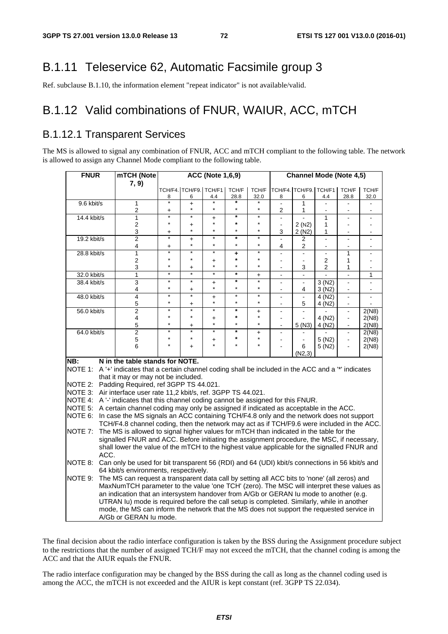### B.1.11 Teleservice 62, Automatic Facsimile group 3

Ref. subclause B.1.10, the information element "repeat indicator" is not available/valid.

# B.1.12 Valid combinations of FNUR, WAIUR, ACC, mTCH

#### B.1.12.1 Transparent Services

The MS is allowed to signal any combination of FNUR, ACC and mTCH compliant to the following table. The network is allowed to assign any Channel Mode compliant to the following table.

| <b>FNUR</b> |      | mTCH (Note                                                                                      |                      |                    | <b>ACC (Note 1,6,9)</b>       |                    |                    |                                  |                | <b>Channel Mode (Note 4,5)</b> |                                  |                          |
|-------------|------|-------------------------------------------------------------------------------------------------|----------------------|--------------------|-------------------------------|--------------------|--------------------|----------------------------------|----------------|--------------------------------|----------------------------------|--------------------------|
|             |      | 7, 9)                                                                                           |                      |                    |                               |                    |                    |                                  |                |                                |                                  |                          |
|             |      |                                                                                                 | 8                    | 6                  | TCH/F4. TCH/F9. TCH/F1<br>4.4 | TCH/F<br>28.8      | TCH/F<br>32.0      | 8                                | 6              | TCH/F4. TCH/F9. TCH/F1<br>4.4  | TCH/F<br>28.8                    | TCH/F<br>32.0            |
| 9.6 kbit/s  |      | 1                                                                                               | $\ast$               | <sup>+</sup>       | $\star$<br>$\star$            | $\ast$<br>$\star$  | ×<br>$\star$       |                                  | 1              |                                |                                  |                          |
|             |      | 2                                                                                               | $\ddot{}$<br>$\star$ | $\ast$             |                               | $\star$            | $\star$            | 2                                | 1              |                                |                                  | L.                       |
| 14.4 kbit/s |      | 1                                                                                               | $\star$              |                    | $\ddot{}$<br>$\star$          | $\star$            | $\star$            | L.                               |                | 1                              | $\overline{a}$                   |                          |
|             |      | $\overline{\mathbf{c}}$<br>3                                                                    | $\ddot{}$            | $\ddag$<br>$\star$ | $\star$                       | $\star$            | $\star$            | ä,<br>3                          | 2(N2)<br>2(N2) | 1<br>1                         | $\overline{a}$                   | $\overline{\phantom{0}}$ |
| 19.2 kbit/s |      | $\overline{2}$                                                                                  | $\star$              | $\ddot{}$          | $\star$                       | $\star$            | $\star$            | L,                               | 2              | $\overline{\phantom{a}}$       | $\overline{a}$                   | ÷,                       |
|             |      | 4                                                                                               | $\ddot{}$            | ÷                  | $\star$                       | $\star$            | $\star$            | 4                                | 2              |                                |                                  |                          |
| 28.8 kbit/s |      | 1                                                                                               | $\star$<br>$\star$   | $\star$<br>$\star$ | $\star$                       | ٠<br>$\star$       | $\star$<br>$\star$ |                                  | $\blacksquare$ | ÷,                             | 1                                |                          |
|             |      | $\overline{\mathbf{c}}$<br>3                                                                    | $\star$              |                    | $\ddot{}$<br>$\star$          | $\star$            | $\star$            |                                  | 3              | 2<br>2                         | 1<br>1                           |                          |
| 32.0 kbit/s |      | $\overline{1}$                                                                                  | $\ast$               | +<br>$\star$       | $\ast$                        | $\ast$             | $\ddot{}$          | $\blacksquare$                   | $\blacksquare$ |                                | ä,                               | 1                        |
| 38.4 kbit/s |      | $\overline{3}$                                                                                  | $\star$              | $\star$            | +                             | $\ast$             | $\star$            | $\blacksquare$                   | $\blacksquare$ | 3(N2)                          | $\blacksquare$                   | $\blacksquare$           |
|             |      | 4                                                                                               | $\star$              | $\ddot{}$          | $\star$                       | $\star$            | $\star$            | $\blacksquare$                   | 4              | 3(N2)                          | $\blacksquare$                   | ۰                        |
| 48.0 kbit/s |      | 4                                                                                               | $\star$              | $\star$            | $+$                           | $\star$            | $\star$            | ÷.                               | ä,             | 4 (N <sub>2</sub> )            | $\blacksquare$                   | L.                       |
|             |      | 5                                                                                               | $\star$              | +                  | $\star$                       | $\star$            | $\star$            | $\sim$                           | 5              | 4 (N <sub>2</sub> )            | $\blacksquare$                   | Ξ.                       |
| 56.0 kbit/s |      | $\overline{2}$                                                                                  | $\star$<br>$\star$   | $\star$<br>$\star$ | $\star$                       | $\star$<br>$\star$ | $\ddot{}$<br>*     | ÷,                               | L              |                                | ÷,                               | 2(N8)                    |
|             |      | 4<br>5                                                                                          | $\star$              | +                  | $\ddot{}$<br>$\star$          | $\star$            | $\star$            | $\blacksquare$<br>$\blacksquare$ | ÷.<br>5 (N3)   | 4 (N2)<br>4 (N <sub>2</sub> )  | $\blacksquare$<br>$\blacksquare$ | 2(N8)<br>2(N8)           |
| 64.0 kbit/s |      | $\overline{2}$                                                                                  |                      |                    |                               | $\star$            | $\ddot{}$          | $\overline{a}$                   |                |                                | $\blacksquare$                   | 2(N8)                    |
|             |      | 5                                                                                               | ÷                    | $\star$            | $\ddag$                       | $\star$            | *                  |                                  | $\blacksquare$ | 5(N2)                          | $\blacksquare$                   | 2(N8)                    |
|             |      | 6                                                                                               |                      | $\ddot{}$          | $\star$                       | $\star$            | $\star$            |                                  | 6              | 5 (N2)                         | $\overline{a}$                   | 2(N8)                    |
| NB:         |      | N in the table stands for NOTE.                                                                 |                      |                    |                               |                    |                    |                                  | (N2,3)         |                                |                                  |                          |
| NOTE 1:     |      | A '+' indicates that a certain channel coding shall be included in the ACC and a '*' indicates  |                      |                    |                               |                    |                    |                                  |                |                                |                                  |                          |
|             |      | that it may or may not be included.                                                             |                      |                    |                               |                    |                    |                                  |                |                                |                                  |                          |
| NOTE 2:     |      | Padding Required, ref 3GPP TS 44.021.                                                           |                      |                    |                               |                    |                    |                                  |                |                                |                                  |                          |
|             |      | NOTE 3: Air interface user rate 11,2 kbit/s, ref. 3GPP TS 44.021.                               |                      |                    |                               |                    |                    |                                  |                |                                |                                  |                          |
|             |      | NOTE 4: A '-' indicates that this channel coding cannot be assigned for this FNUR.              |                      |                    |                               |                    |                    |                                  |                |                                |                                  |                          |
| NOTE 5:     |      | A certain channel coding may only be assigned if indicated as acceptable in the ACC.            |                      |                    |                               |                    |                    |                                  |                |                                |                                  |                          |
|             |      | NOTE 6: In case the MS signals an ACC containing TCH/F4.8 only and the network does not support |                      |                    |                               |                    |                    |                                  |                |                                |                                  |                          |
|             |      | TCH/F4.8 channel coding, then the network may act as if TCH/F9.6 were included in the ACC.      |                      |                    |                               |                    |                    |                                  |                |                                |                                  |                          |
| NOTE 7:     |      | The MS is allowed to signal higher values for mTCH than indicated in the table for the          |                      |                    |                               |                    |                    |                                  |                |                                |                                  |                          |
|             |      | signalled FNUR and ACC. Before initiating the assignment procedure, the MSC, if necessary,      |                      |                    |                               |                    |                    |                                  |                |                                |                                  |                          |
|             |      | shall lower the value of the mTCH to the highest value applicable for the signalled FNUR and    |                      |                    |                               |                    |                    |                                  |                |                                |                                  |                          |
|             | ACC. |                                                                                                 |                      |                    |                               |                    |                    |                                  |                |                                |                                  |                          |
| NOTE 8:     |      | Can only be used for bit transparent 56 (RDI) and 64 (UDI) kbit/s connections in 56 kbit/s and  |                      |                    |                               |                    |                    |                                  |                |                                |                                  |                          |
|             |      | 64 kbit/s environments, respectively.                                                           |                      |                    |                               |                    |                    |                                  |                |                                |                                  |                          |
| NOTE 9:     |      | The MS can request a transparent data call by setting all ACC bits to 'none' (all zeros) and    |                      |                    |                               |                    |                    |                                  |                |                                |                                  |                          |
|             |      | MaxNumTCH parameter to the value 'one TCH' (zero). The MSC will interpret these values as       |                      |                    |                               |                    |                    |                                  |                |                                |                                  |                          |
|             |      | an indication that an intersystem handover from A/Gb or GERAN Iu mode to another (e.g.          |                      |                    |                               |                    |                    |                                  |                |                                |                                  |                          |
|             |      | UTRAN Iu) mode is required before the call setup is completed. Similarly, while in another      |                      |                    |                               |                    |                    |                                  |                |                                |                                  |                          |
|             |      | mode, the MS can inform the network that the MS does not support the requested service in       |                      |                    |                               |                    |                    |                                  |                |                                |                                  |                          |
|             |      | A/Gb or GERAN lu mode.                                                                          |                      |                    |                               |                    |                    |                                  |                |                                |                                  |                          |

The final decision about the radio interface configuration is taken by the BSS during the Assignment procedure subject to the restrictions that the number of assigned TCH/F may not exceed the mTCH, that the channel coding is among the ACC and that the AIUR equals the FNUR.

The radio interface configuration may be changed by the BSS during the call as long as the channel coding used is among the ACC, the mTCH is not exceeded and the AIUR is kept constant (ref. 3GPP TS 22.034).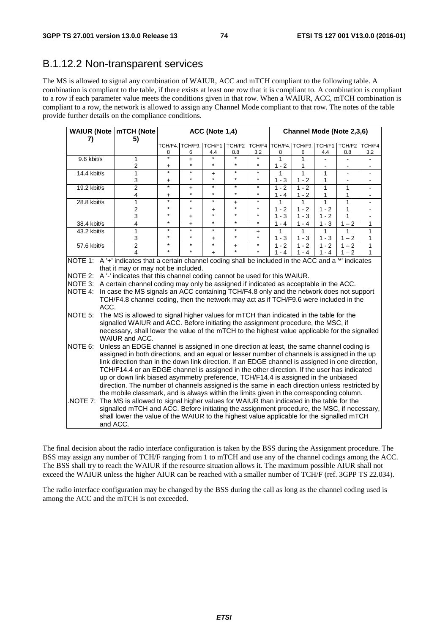#### B.1.12.2 Non-transparent services

The MS is allowed to signal any combination of WAIUR, ACC and mTCH compliant to the following table. A combination is compliant to the table, if there exists at least one row that it is compliant to. A combination is compliant to a row if each parameter value meets the conditions given in that row. When a WAIUR, ACC, mTCH combination is compliant to a row, the network is allowed to assign any Channel Mode compliant to that row. The notes of the table provide further details on the compliance conditions.

| <b>WAIUR (Note   mTCH (Note</b> |          |                                                                                                                                                                                    |                                                                                                                                                                                  |                      | ACC (Note 1,4) |                                                             |                      |                   |         | Channel Mode (Note 2,3,6) |                          |                |
|---------------------------------|----------|------------------------------------------------------------------------------------------------------------------------------------------------------------------------------------|----------------------------------------------------------------------------------------------------------------------------------------------------------------------------------|----------------------|----------------|-------------------------------------------------------------|----------------------|-------------------|---------|---------------------------|--------------------------|----------------|
| 7)                              |          | 5)                                                                                                                                                                                 |                                                                                                                                                                                  |                      |                |                                                             |                      |                   |         |                           |                          |                |
|                                 |          |                                                                                                                                                                                    |                                                                                                                                                                                  |                      |                | TCH/F4. TCH/F9. TCH/F1 TCH/F2 TCH/F4 TCH/F4. TCH/F9. TCH/F1 |                      |                   |         |                           | TCH/F2                   | TCH/F4         |
|                                 |          |                                                                                                                                                                                    | 8<br>$\ast$                                                                                                                                                                      | 6                    | 4.4            | 8.8                                                         | 3.2                  | 8<br>$\mathbf{1}$ | 6       | 4.4                       | 8.8                      | 3.2            |
| 9.6 kbit/s                      |          | $\mathbf{1}$<br>2                                                                                                                                                                  |                                                                                                                                                                                  | $\ddot{}$<br>$\star$ | $\star$        | $\star$                                                     | $\star$              | $1 - 2$           | 1<br>1  |                           |                          |                |
| 14.4 kbit/s                     |          | 1                                                                                                                                                                                  | +<br>$\ast$                                                                                                                                                                      | $\ast$               | $\ddot{}$      | $\star$                                                     | $\ast$               | 1                 | 1       | 1                         | L.                       |                |
|                                 |          | 3                                                                                                                                                                                  | $\ddot{}$                                                                                                                                                                        | $\star$              | $\star$        | *                                                           | $\star$              | $1 - 3$           | $1 - 2$ | 1                         | $\overline{\phantom{a}}$ | $\blacksquare$ |
| 19.2 kbit/s                     |          | $\overline{2}$                                                                                                                                                                     | $\star$                                                                                                                                                                          | $\ddot{}$            | $\star$        | $\star$                                                     | $\star$              | $1 - 2$           | $1 - 2$ | 1                         | 1                        |                |
|                                 |          | 4                                                                                                                                                                                  | $\ddot{}$                                                                                                                                                                        | $\star$              | $\star$        | *                                                           | $\star$              | $1 - 4$           | $1 - 2$ | 1                         | 1                        |                |
| 28.8 kbit/s                     |          | $\mathbf{1}$                                                                                                                                                                       | $\star$                                                                                                                                                                          | $\star$              | $\star$        | $\ddot{}$                                                   | $\star$              | 1                 | 1       | 1                         | 1                        |                |
|                                 |          | $\overline{2}$                                                                                                                                                                     | $\star$                                                                                                                                                                          | $\star$              | +              | *                                                           | $\star$              | $1 - 2$           | $1 - 2$ | $1 - 2$                   | 1                        |                |
|                                 |          | 3                                                                                                                                                                                  | $\star$                                                                                                                                                                          | $\ddot{}$            | $\star$        | $\star$                                                     | $\star$              | $1 - 3$           | $1 - 3$ | $1 - 2$                   | 1                        |                |
| 38.4 kbit/s                     |          | $\overline{4}$                                                                                                                                                                     | $\star$                                                                                                                                                                          | $\ddot{}$            | $\star$        | $\star$                                                     | $\ast$               | $1 - 4$           | $1 - 4$ | $1 - 3$                   | $1 - 2$                  | 1              |
| 43.2 kbit/s                     |          | $\mathbf{1}$                                                                                                                                                                       | $\star$<br>$\star$                                                                                                                                                               | $\star$<br>$\star$   | $\star$        | $\star$<br>$\star$                                          | $\ddot{}$<br>$\star$ | 1                 | 1       | 1                         | 1                        | $\mathbf{1}$   |
|                                 |          | 3                                                                                                                                                                                  | $\star$                                                                                                                                                                          | $\star$              | +<br>$\star$   |                                                             | $\star$              | $1 - 3$           | $1 - 3$ | $1 - 3$                   | $1 - 2$                  | 1              |
| 57.6 kbit/s                     |          | $\overline{2}$                                                                                                                                                                     |                                                                                                                                                                                  |                      |                | $\ddot{}$                                                   |                      | $1 - 2$           | $1 - 2$ | $1 - 2$                   | $1 - 2$                  | 1              |
|                                 |          | 4                                                                                                                                                                                  |                                                                                                                                                                                  |                      |                |                                                             |                      | $1 - 4$           | $1 - 4$ | $1 - 4$                   | $1 - 2$                  | 1              |
|                                 |          | NOTE 1: A '+' indicates that a certain channel coding shall be included in the ACC and a '*' indicates                                                                             |                                                                                                                                                                                  |                      |                |                                                             |                      |                   |         |                           |                          |                |
|                                 |          | that it may or may not be included.                                                                                                                                                |                                                                                                                                                                                  |                      |                |                                                             |                      |                   |         |                           |                          |                |
|                                 |          | NOTE 2: A '-' indicates that this channel coding cannot be used for this WAIUR.                                                                                                    |                                                                                                                                                                                  |                      |                |                                                             |                      |                   |         |                           |                          |                |
|                                 |          | NOTE 3: A certain channel coding may only be assigned if indicated as acceptable in the ACC.                                                                                       |                                                                                                                                                                                  |                      |                |                                                             |                      |                   |         |                           |                          |                |
| NOTE 4:                         |          |                                                                                                                                                                                    | In case the MS signals an ACC containing TCH/F4.8 only and the network does not support<br>TCH/F4.8 channel coding, then the network may act as if TCH/F9.6 were included in the |                      |                |                                                             |                      |                   |         |                           |                          |                |
|                                 |          |                                                                                                                                                                                    |                                                                                                                                                                                  |                      |                |                                                             |                      |                   |         |                           |                          |                |
|                                 | ACC.     |                                                                                                                                                                                    |                                                                                                                                                                                  |                      |                |                                                             |                      |                   |         |                           |                          |                |
| NOTE 5:                         |          | The MS is allowed to signal higher values for mTCH than indicated in the table for the                                                                                             |                                                                                                                                                                                  |                      |                |                                                             |                      |                   |         |                           |                          |                |
|                                 |          | signalled WAIUR and ACC. Before initiating the assignment procedure, the MSC, if<br>necessary, shall lower the value of the mTCH to the highest value applicable for the signalled |                                                                                                                                                                                  |                      |                |                                                             |                      |                   |         |                           |                          |                |
|                                 |          |                                                                                                                                                                                    |                                                                                                                                                                                  |                      |                |                                                             |                      |                   |         |                           |                          |                |
|                                 |          | WAIUR and ACC.                                                                                                                                                                     |                                                                                                                                                                                  |                      |                |                                                             |                      |                   |         |                           |                          |                |
| <b>NOTE 6:</b>                  |          | Unless an EDGE channel is assigned in one direction at least, the same channel coding is                                                                                           |                                                                                                                                                                                  |                      |                |                                                             |                      |                   |         |                           |                          |                |
|                                 |          | assigned in both directions, and an equal or lesser number of channels is assigned in the up                                                                                       |                                                                                                                                                                                  |                      |                |                                                             |                      |                   |         |                           |                          |                |
|                                 |          | link direction than in the down link direction. If an EDGE channel is assigned in one direction,                                                                                   |                                                                                                                                                                                  |                      |                |                                                             |                      |                   |         |                           |                          |                |
|                                 |          | TCH/F14.4 or an EDGE channel is assigned in the other direction. If the user has indicated                                                                                         |                                                                                                                                                                                  |                      |                |                                                             |                      |                   |         |                           |                          |                |
|                                 |          | up or down link biased asymmetry preference, TCH/F14.4 is assigned in the unbiased                                                                                                 |                                                                                                                                                                                  |                      |                |                                                             |                      |                   |         |                           |                          |                |
|                                 |          | direction. The number of channels assigned is the same in each direction unless restricted by                                                                                      |                                                                                                                                                                                  |                      |                |                                                             |                      |                   |         |                           |                          |                |
|                                 |          | the mobile classmark, and is always within the limits given in the corresponding column.                                                                                           |                                                                                                                                                                                  |                      |                |                                                             |                      |                   |         |                           |                          |                |
|                                 |          | NOTE 7: The MS is allowed to signal higher values for WAIUR than indicated in the table for the                                                                                    |                                                                                                                                                                                  |                      |                |                                                             |                      |                   |         |                           |                          |                |
|                                 |          | signalled mTCH and ACC. Before initiating the assignment procedure, the MSC, if necessary,                                                                                         |                                                                                                                                                                                  |                      |                |                                                             |                      |                   |         |                           |                          |                |
|                                 |          | shall lower the value of the WAIUR to the highest value applicable for the signalled mTCH                                                                                          |                                                                                                                                                                                  |                      |                |                                                             |                      |                   |         |                           |                          |                |
|                                 | and ACC. |                                                                                                                                                                                    |                                                                                                                                                                                  |                      |                |                                                             |                      |                   |         |                           |                          |                |

The final decision about the radio interface configuration is taken by the BSS during the Assignment procedure. The BSS may assign any number of TCH/F ranging from 1 to mTCH and use any of the channel codings among the ACC. The BSS shall try to reach the WAIUR if the resource situation allows it. The maximum possible AIUR shall not exceed the WAIUR unless the higher AIUR can be reached with a smaller number of TCH/F (ref. 3GPP TS 22.034).

The radio interface configuration may be changed by the BSS during the call as long as the channel coding used is among the ACC and the mTCH is not exceeded.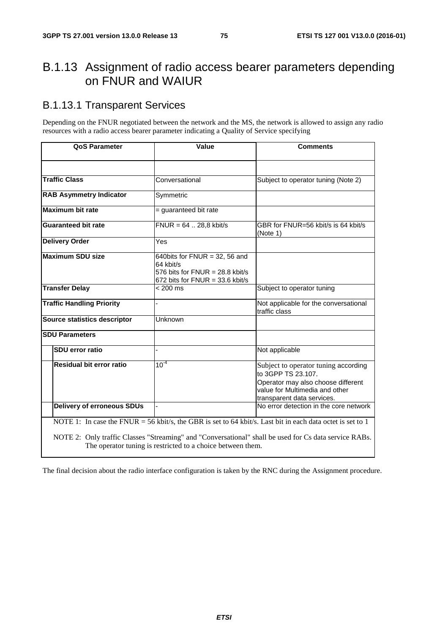# B.1.13 Assignment of radio access bearer parameters depending on FNUR and WAIUR

## B.1.13.1 Transparent Services

Depending on the FNUR negotiated between the network and the MS, the network is allowed to assign any radio resources with a radio access bearer parameter indicating a Quality of Service specifying

| QoS Parameter                     | Value                                                                                                                   | <b>Comments</b>                                                                                                                                                                                                     |
|-----------------------------------|-------------------------------------------------------------------------------------------------------------------------|---------------------------------------------------------------------------------------------------------------------------------------------------------------------------------------------------------------------|
|                                   |                                                                                                                         |                                                                                                                                                                                                                     |
| <b>Traffic Class</b>              | Conversational                                                                                                          | Subject to operator tuning (Note 2)                                                                                                                                                                                 |
| <b>RAB Asymmetry Indicator</b>    | Symmetric                                                                                                               |                                                                                                                                                                                                                     |
| <b>Maximum bit rate</b>           | = guaranteed bit rate                                                                                                   |                                                                                                                                                                                                                     |
| <b>Guaranteed bit rate</b>        | $FNUR = 64$ 28,8 kbit/s                                                                                                 | GBR for FNUR=56 kbit/s is 64 kbit/s<br>(Note 1)                                                                                                                                                                     |
| <b>Delivery Order</b>             | Yes                                                                                                                     |                                                                                                                                                                                                                     |
| <b>Maximum SDU size</b>           | 640 bits for $FWR = 32$ , 56 and<br>64 kbit/s<br>576 bits for $FWER = 28.8$ kbit/s<br>672 bits for $FWUR = 33.6$ kbit/s |                                                                                                                                                                                                                     |
| <b>Transfer Delay</b>             | $< 200$ ms                                                                                                              | Subject to operator tuning                                                                                                                                                                                          |
| <b>Traffic Handling Priority</b>  |                                                                                                                         | Not applicable for the conversational<br>traffic class                                                                                                                                                              |
| Source statistics descriptor      | Unknown                                                                                                                 |                                                                                                                                                                                                                     |
| <b>SDU Parameters</b>             |                                                                                                                         |                                                                                                                                                                                                                     |
| SDU error ratio                   |                                                                                                                         | Not applicable                                                                                                                                                                                                      |
| Residual bit error ratio          | $10^{-4}$                                                                                                               | Subject to operator tuning according<br>to 3GPP TS 23.107.<br>Operator may also choose different<br>value for Multimedia and other<br>transparent data services.                                                    |
| <b>Delivery of erroneous SDUs</b> |                                                                                                                         | No error detection in the core network                                                                                                                                                                              |
|                                   | The operator tuning is restricted to a choice between them.                                                             | NOTE 1: In case the FNUR = 56 kbit/s, the GBR is set to 64 kbit/s. Last bit in each data octet is set to 1<br>NOTE 2: Only traffic Classes "Streaming" and "Conversational" shall be used for Cs data service RABs. |

The final decision about the radio interface configuration is taken by the RNC during the Assignment procedure.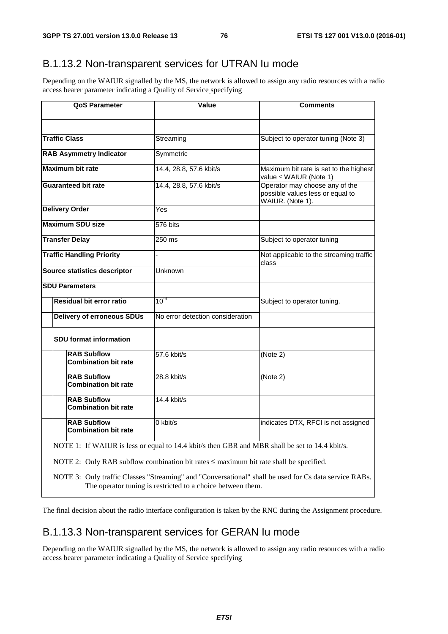#### B.1.13.2 Non-transparent services for UTRAN Iu mode

Depending on the WAIUR signalled by the MS, the network is allowed to assign any radio resources with a radio access bearer parameter indicating a Quality of Service specifying

| <b>QoS Parameter</b>                              | Value                                                                                          | Comments                                                                                              |
|---------------------------------------------------|------------------------------------------------------------------------------------------------|-------------------------------------------------------------------------------------------------------|
|                                                   |                                                                                                |                                                                                                       |
| <b>Traffic Class</b>                              | Streaming                                                                                      | Subject to operator tuning (Note 3)                                                                   |
| <b>RAB Asymmetry Indicator</b>                    | Symmetric                                                                                      |                                                                                                       |
| <b>Maximum bit rate</b>                           | 14.4, 28.8, 57.6 kbit/s                                                                        | Maximum bit rate is set to the highest<br>value ≤ WAIUR (Note 1)                                      |
| <b>Guaranteed bit rate</b>                        | 14.4, 28.8, 57.6 kbit/s                                                                        | Operator may choose any of the<br>possible values less or equal to<br>WAIUR. (Note 1).                |
| <b>Delivery Order</b>                             | Yes                                                                                            |                                                                                                       |
| <b>Maximum SDU size</b>                           | 576 bits                                                                                       |                                                                                                       |
| <b>Transfer Delay</b>                             | 250 ms                                                                                         | Subject to operator tuning                                                                            |
| <b>Traffic Handling Priority</b>                  |                                                                                                | Not applicable to the streaming traffic<br>class                                                      |
| Source statistics descriptor                      | Unknown                                                                                        |                                                                                                       |
| <b>SDU Parameters</b>                             |                                                                                                |                                                                                                       |
| Residual bit error ratio                          | $10^{-3}$                                                                                      | Subject to operator tuning.                                                                           |
| <b>Delivery of erroneous SDUs</b>                 | No error detection consideration                                                               |                                                                                                       |
| <b>SDU format information</b>                     |                                                                                                |                                                                                                       |
| <b>RAB Subflow</b><br><b>Combination bit rate</b> | 57.6 kbit/s                                                                                    | (Note 2)                                                                                              |
| <b>RAB Subflow</b><br><b>Combination bit rate</b> | 28.8 kbit/s                                                                                    | (Note 2)                                                                                              |
| <b>RAB Subflow</b><br><b>Combination bit rate</b> | $14.4$ kbit/s                                                                                  |                                                                                                       |
| <b>RAB Subflow</b><br><b>Combination bit rate</b> | 0 kbit/s                                                                                       | indicates DTX, RFCI is not assigned                                                                   |
|                                                   | NOTE 1: If WAIUR is less or equal to 14.4 kbit/s then GBR and MBR shall be set to 14.4 kbit/s. |                                                                                                       |
|                                                   | NOTE 2: Only RAB subflow combination bit rates $\leq$ maximum bit rate shall be specified.     |                                                                                                       |
|                                                   |                                                                                                | NOTE 3: Only traffic Classes "Streaming" and "Conversational" shall be used for Cs data service RABs. |
|                                                   | The operator tuning is restricted to a choice between them.                                    |                                                                                                       |

The final decision about the radio interface configuration is taken by the RNC during the Assignment procedure.

#### B.1.13.3 Non-transparent services for GERAN Iu mode

Depending on the WAIUR signalled by the MS, the network is allowed to assign any radio resources with a radio access bearer parameter indicating a Quality of Service specifying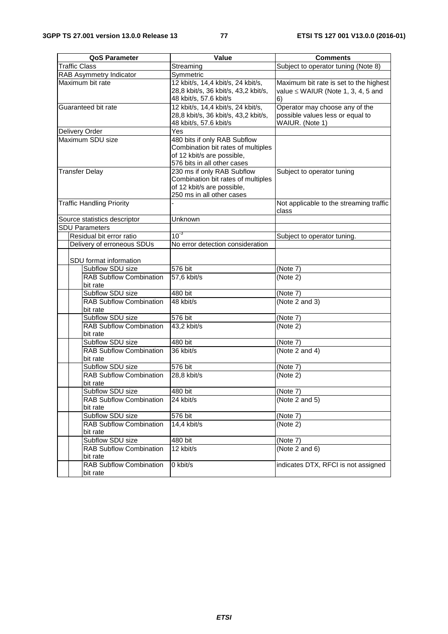| QoS Parameter                              | Value                                | <b>Comments</b>                         |
|--------------------------------------------|--------------------------------------|-----------------------------------------|
| <b>Traffic Class</b>                       | Streaming                            | Subject to operator tuning (Note 8)     |
| RAB Asymmetry Indicator                    | Symmetric                            |                                         |
| Maximum bit rate                           | 12 kbit/s, 14,4 kbit/s, 24 kbit/s,   | Maximum bit rate is set to the highest  |
|                                            | 28,8 kbit/s, 36 kbit/s, 43,2 kbit/s, | value $\leq$ WAIUR (Note 1, 3, 4, 5 and |
|                                            | 48 kbit/s, 57.6 kbit/s               | 6)                                      |
| Guaranteed bit rate                        | 12 kbit/s, 14,4 kbit/s, 24 kbit/s,   | Operator may choose any of the          |
|                                            | 28,8 kbit/s, 36 kbit/s, 43,2 kbit/s, | possible values less or equal to        |
|                                            | 48 kbit/s, 57.6 kbit/s               | WAIUR. (Note 1)                         |
| Delivery Order<br>Maximum SDU size         | Yes<br>480 bits if only RAB Subflow  |                                         |
|                                            | Combination bit rates of multiples   |                                         |
|                                            | of 12 kbit/s are possible,           |                                         |
|                                            | 576 bits in all other cases          |                                         |
| <b>Transfer Delay</b>                      | 230 ms if only RAB Subflow           | Subject to operator tuning              |
|                                            | Combination bit rates of multiples   |                                         |
|                                            | of 12 kbit/s are possible,           |                                         |
|                                            | 250 ms in all other cases            |                                         |
| <b>Traffic Handling Priority</b>           |                                      | Not applicable to the streaming traffic |
|                                            |                                      | class                                   |
| Source statistics descriptor               | Unknown                              |                                         |
| <b>SDU Parameters</b>                      |                                      |                                         |
| Residual bit error ratio                   | $10^{-3}$                            | Subject to operator tuning.             |
| Delivery of erroneous SDUs                 | No error detection consideration     |                                         |
|                                            |                                      |                                         |
| SDU format information                     |                                      |                                         |
| Subflow SDU size                           | 576 bit                              | (Note 7)                                |
| <b>RAB Subflow Combination</b><br>bit rate | 57,6 kbit/s                          | (Note 2)                                |
| Subflow SDU size                           | 480 bit                              | (Note 7)                                |
| <b>RAB Subflow Combination</b>             | 48 kbit/s                            | (Note 2 and 3)                          |
| bit rate                                   |                                      |                                         |
| Subflow SDU size                           | 576 bit                              | (Note 7)                                |
| <b>RAB Subflow Combination</b>             | 43,2 kbit/s                          | (Note 2)                                |
| bit rate                                   |                                      |                                         |
| Subflow SDU size                           | 480 bit                              | (Note 7)                                |
| <b>RAB Subflow Combination</b>             | 36 kbit/s                            | (Note 2 and 4)                          |
| bit rate                                   |                                      |                                         |
| Subflow SDU size                           | 576 bit                              | (Note 7)                                |
| <b>RAB Subflow Combination</b>             | 28,8 kbit/s                          | (Note 2)                                |
| bit rate                                   |                                      |                                         |
| Subflow SDU size                           | 480 bit                              | (Note 7)                                |
| <b>RAB Subflow Combination</b>             | 24 kbit/s                            | (Note 2 and 5)                          |
| bit rate                                   |                                      |                                         |
| Subflow SDU size                           | 576 bit                              | (Note 7)                                |
| <b>RAB Subflow Combination</b><br>bit rate | 14,4 kbit/s                          | (Note 2)                                |
| Subflow SDU size                           | 480 bit                              | (Note 7)                                |
| <b>RAB Subflow Combination</b>             | 12 kbit/s                            | (Note 2 and 6)                          |
| bit rate                                   |                                      |                                         |
| <b>RAB Subflow Combination</b>             | 0 kbit/s                             | indicates DTX, RFCI is not assigned     |
| bit rate                                   |                                      |                                         |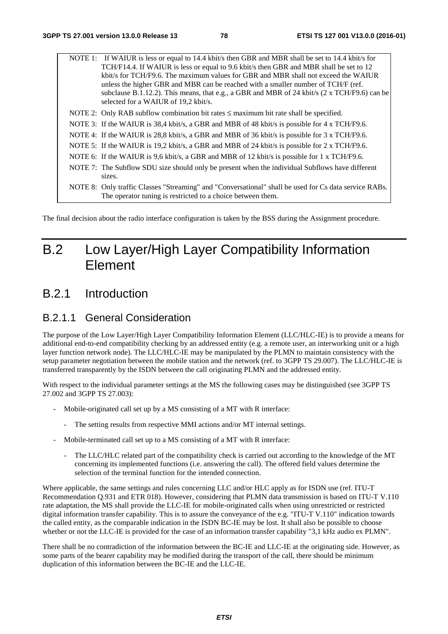NOTE 1: If WAIUR is less or equal to 14.4 kbit/s then GBR and MBR shall be set to 14.4 kbit/s for TCH/F14.4. If WAIUR is less or equal to 9.6 kbit/s then GBR and MBR shall be set to 12 kbit/s for TCH/F9.6. The maximum values for GBR and MBR shall not exceed the WAIUR unless the higher GBR and MBR can be reached with a smaller number of TCH/F (ref. subclause B.1.12.2). This means, that e.g., a GBR and MBR of 24 kbit/s  $(2 \times TCH/F9.6)$  can be selected for a WAIUR of 19,2 kbit/s. NOTE 2: Only RAB subflow combination bit rates ≤ maximum bit rate shall be specified. NOTE 3: If the WAIUR is 38,4 kbit/s, a GBR and MBR of 48 kbit/s is possible for 4 x TCH/F9.6. NOTE 4: If the WAIUR is 28,8 kbit/s, a GBR and MBR of 36 kbit/s is possible for 3 x TCH/F9.6. NOTE 5: If the WAIUR is 19,2 kbit/s, a GBR and MBR of 24 kbit/s is possible for 2 x TCH/F9.6. NOTE 6: If the WAIUR is 9,6 kbit/s, a GBR and MBR of 12 kbit/s is possible for 1 x TCH/F9.6. NOTE 7: The Subflow SDU size should only be present when the individual Subflows have different sizes. NOTE 8: Only traffic Classes "Streaming" and "Conversational" shall be used for Cs data service RABs. The operator tuning is restricted to a choice between them.

The final decision about the radio interface configuration is taken by the BSS during the Assignment procedure.

# B.2 Low Layer/High Layer Compatibility Information Element

### B.2.1 Introduction

#### B.2.1.1 General Consideration

The purpose of the Low Layer/High Layer Compatibility Information Element (LLC/HLC-IE) is to provide a means for additional end-to-end compatibility checking by an addressed entity (e.g. a remote user, an interworking unit or a high layer function network node). The LLC/HLC-IE may be manipulated by the PLMN to maintain consistency with the setup parameter negotiation between the mobile station and the network (ref. to 3GPP TS 29.007). The LLC/HLC-IE is transferred transparently by the ISDN between the call originating PLMN and the addressed entity.

With respect to the individual parameter settings at the MS the following cases may be distinguished (see 3GPP TS 27.002 and 3GPP TS 27.003):

- Mobile-originated call set up by a MS consisting of a MT with R interface:
	- The setting results from respective MMI actions and/or MT internal settings.
- Mobile-terminated call set up to a MS consisting of a MT with R interface:
	- The LLC/HLC related part of the compatibility check is carried out according to the knowledge of the MT concerning its implemented functions (i.e. answering the call). The offered field values determine the selection of the terminal function for the intended connection.

Where applicable, the same settings and rules concerning LLC and/or HLC apply as for ISDN use (ref. ITU-T) Recommendation Q.931 and ETR 018). However, considering that PLMN data transmission is based on ITU-T V.110 rate adaptation, the MS shall provide the LLC-IE for mobile-originated calls when using unrestricted or restricted digital information transfer capability. This is to assure the conveyance of the e.g. "ITU-T V.110" indication towards the called entity, as the comparable indication in the ISDN BC-IE may be lost. It shall also be possible to choose whether or not the LLC-IE is provided for the case of an information transfer capability "3,1 kHz audio ex PLMN".

There shall be no contradiction of the information between the BC-IE and LLC-IE at the originating side. However, as some parts of the bearer capability may be modified during the transport of the call, there should be minimum duplication of this information between the BC-IE and the LLC-IE.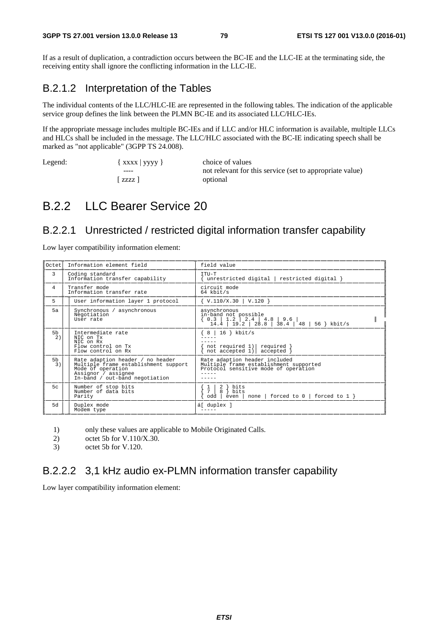If as a result of duplication, a contradiction occurs between the BC-IE and the LLC-IE at the terminating side, the receiving entity shall ignore the conflicting information in the LLC-IE.

#### B.2.1.2 Interpretation of the Tables

The individual contents of the LLC/HLC-IE are represented in the following tables. The indication of the applicable service group defines the link between the PLMN BC-IE and its associated LLC/HLC-IEs.

If the appropriate message includes multiple BC-IEs and if LLC and/or HLC information is available, multiple LLCs and HLCs shall be included in the message. The LLC/HLC associated with the BC-IE indicating speech shall be marked as "not applicable" (3GPP TS 24.008).

Legend: { xxxx | yyyy } choice of values ----[ zzzz ] optional

## B.2.2 LLC Bearer Service 20

#### B.2.2.1 Unrestricted / restricted digital information transfer capability

Low layer compatibility information element:

| Octet                | Information element field                                                                                                                              | field value                                                                                                                                                            |
|----------------------|--------------------------------------------------------------------------------------------------------------------------------------------------------|------------------------------------------------------------------------------------------------------------------------------------------------------------------------|
| 3                    | Coding standard<br>Information transfer capability                                                                                                     | TTU-T<br>unrestricted digital   restricted digital }                                                                                                                   |
| 4                    | Transfer mode<br>Information transfer rate                                                                                                             | circuit mode<br>$64$ kbit/s                                                                                                                                            |
| 5                    | User information layer 1 protocol                                                                                                                      | $\{ V.110/X.30 \mid V.120 \}$                                                                                                                                          |
| 5a                   | Synchronous / asynchronous<br>Negotiation<br>User rate                                                                                                 | asynchronous<br>in-band not possible<br>$\left[\begin{array}{c c c c c c} 0.3 & 1.2 & 2.4 & 4.8 & 9.6 & 14.4 & 19.2 & 28.8 & 38.4 & 48 & 56 \end{array}\right]$ kbit/s |
| 5 <sub>b</sub><br>2) | Intermediate rate<br>NTC on Tx<br>NTC on Rx<br>Flow control on Tx<br>Flow control on Rx                                                                | $8 \mid 16$ kbit/s<br>not required $1$ )   required }<br>not accepted $1$ ) accepted }                                                                                 |
| 5b<br>3)             | Rate adaption header / no header<br>Multiple frame establishment support<br>Mode of operation<br>Assignor / assignee<br>In-band / out-band negotiation | Rate adaption header included<br>Multiple frame establishment supported<br>Protocol sensitive mode of operation                                                        |
| 5c                   | Number of stop bits<br>Number of data bits<br>Parity                                                                                                   | bits<br>2<br>$\overline{7}$<br>8<br>} bits<br>$\text{even}$   none   forced to 0   forced to 1 }<br>odd                                                                |
| 5d                   | Duplex mode<br>Modem type                                                                                                                              | á[ duplex ]                                                                                                                                                            |

1) only these values are applicable to Mobile Originated Calls.

- 2) octet 5b for V.110/X.30.
- 3) octet 5b for V.120.

#### B.2.2.2 3,1 kHz audio ex-PLMN information transfer capability

Low layer compatibility information element: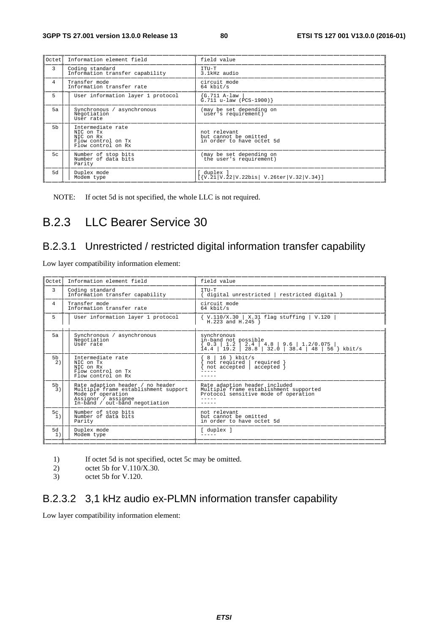| lOctet i       | Information element field                                                               | field value                                                        |
|----------------|-----------------------------------------------------------------------------------------|--------------------------------------------------------------------|
| 3              | Coding standard<br>Information transfer capability                                      | TTU-T<br>3.1kHz audio                                              |
| 4              | Transfer mode<br>Information transfer rate                                              | circuit mode<br>$64$ kbit/s                                        |
| 5              | User information layer 1 protocol                                                       | {G.711 A-law<br>$\texttt{G.711 u-law}$ (PCS-1900)}                 |
| 5a             | Synchronous / asynchronous<br>Negotiation<br>User rate                                  | (may be set depending on<br>user's requirement)                    |
| 5 <sub>b</sub> | Intermediate rate<br>NIC on Tx<br>NIC on Rx<br>Flow control on Tx<br>Flow control on Rx | not relevant<br>but cannot be omitted<br>in order to have octet 5d |
| 5c             | Number of stop bits<br>Number of data bits<br>Parity                                    | (may be set depending on<br>the user's requirement)                |
| 5d             | Duplex mode<br>Modem type                                                               | duplex ]<br>[N.21 V.22 V.22bis V.26ter V.32 V.34]                  |

NOTE: If octet 5d is not specified, the whole LLC is not required.

# B.2.3 LLC Bearer Service 30

### B.2.3.1 Unrestricted / restricted digital information transfer capability

Low layer compatibility information element:

| Oct.et.              | Information element field                                                                                                                              | field value                                                                                                     |
|----------------------|--------------------------------------------------------------------------------------------------------------------------------------------------------|-----------------------------------------------------------------------------------------------------------------|
| 3                    | Coding standard<br>Information transfer capability                                                                                                     | TTU-T<br>{ digital unrestricted   restricted digital }                                                          |
| 4                    | Transfer mode<br>Information transfer rate                                                                                                             | circuit mode<br>$64$ kbit/s                                                                                     |
| 5                    | User information layer 1 protocol                                                                                                                      | $\{ V.110/X.30   X.31 false \}$ Elag stuffing   V.120 H.223 and H.245 }                                         |
| 5a                   | Synchronous / asynchronous<br>Negotiation<br>User rate                                                                                                 | synchronous<br>in-band not possible                                                                             |
| 5 <sub>b</sub><br>2) | Intermediate rate<br>NIC on Tx<br>NTC on Rx<br>Flow control on Tx<br>Flow control on Rx                                                                | $16$ } kbit/s<br>8 <sup>1</sup><br>not required required<br>not accepted   accepted                             |
| 5 <sub>b</sub><br>3) | Rate adaption header / no header<br>Multiple frame establishment support<br>Mode of operation<br>Assignor / assignee<br>In-band / out-band negotiation | Rate adaption header included<br>Multiple frame establishment supported<br>Protocol sensitive mode of operation |
| 5c<br>1)             | Number of stop bits<br>Number of data bits<br>Parity                                                                                                   | not relevant<br>but cannot be omitted<br>in order to have octet 5d                                              |
| 5d<br>1)             | Duplex mode<br>Modem type                                                                                                                              | [ duplex ]                                                                                                      |

1) If octet 5d is not specified, octet 5c may be omitted.<br>2) octet 5b for V.110/X.30.

- 2) octet 5b for V.110/X.30.<br>3) octet 5b for V.120.
- octet 5b for V.120.

### B.2.3.2 3,1 kHz audio ex-PLMN information transfer capability

Low layer compatibility information element: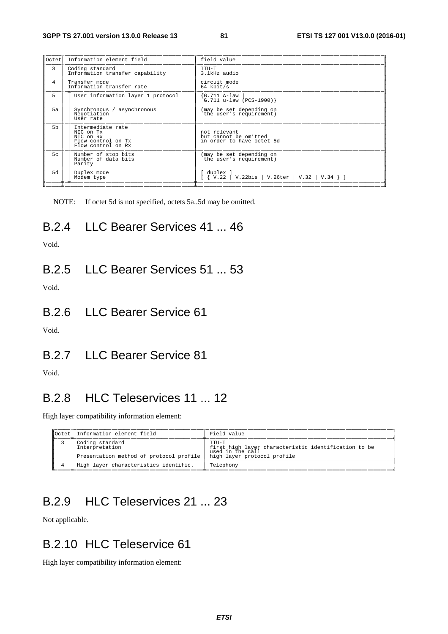| l0ctet'        | Information element field                                                               | field value                                                        |
|----------------|-----------------------------------------------------------------------------------------|--------------------------------------------------------------------|
| 3              | Coding standard<br>Information transfer capability                                      | TTU-T<br>3.1kHz audio                                              |
| 4              | Transfer mode<br>Information transfer rate                                              | circuit mode<br>$64$ kbit/s                                        |
| 5              | User information layer 1 protocol                                                       | [G.711 A-law<br>G.711 u-law (PCS-1900)}                            |
| 5a             | Synchronous / asynchronous<br>Negotiation<br>User rate                                  | (may be set depending on<br>the user's requirement)                |
| 5 <sub>b</sub> | Intermediate rate<br>NIC on Tx<br>NIC on Rx<br>Flow control on Tx<br>Flow control on Rx | not relevant<br>but cannot be omitted<br>in order to have octet 5d |
| 5c             | Number of stop bits<br>Number of data bits<br>Parity                                    | (may be set depending on<br>the user's requirement)                |
| 5d             | Duplex mode<br>Modem type                                                               | duplex<br>V.22bis   V.26ter   V.32   V.34 } ]<br>$\sqrt{V}$ . 22   |
|                |                                                                                         |                                                                    |

NOTE: If octet 5d is not specified, octets 5a..5d may be omitted.

# B.2.4 LLC Bearer Services 41 ... 46

Void.

### B.2.5 LLC Bearer Services 51 ... 53

Void.

### B.2.6 LLC Bearer Service 61

Void.

### B.2.7 LLC Bearer Service 81

Void.

## B.2.8 HLC Teleservices 11 ... 12

High layer compatibility information element:

| $ $ Octet $ $ | Information element field                                                    | Field value                                                                                                      |
|---------------|------------------------------------------------------------------------------|------------------------------------------------------------------------------------------------------------------|
|               | Coding standard<br>Interpretation<br>Presentation method of protocol profile | TTU-T<br>first high layer characteristic identification to be<br>used in the call<br>high layer protocol profile |
|               | High layer characteristics identific.                                        | Telephony                                                                                                        |

# B.2.9 HLC Teleservices 21 ... 23

Not applicable.

# B.2.10 HLC Teleservice 61

High layer compatibility information element: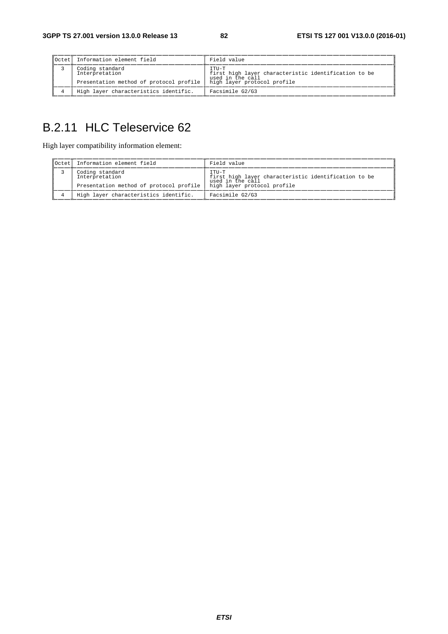| Coding standard<br>TTU-T<br>Interpretation<br>first high layer characteristic identification to be<br>used in the call<br>high layer protocol profile<br>Presentation method of protocol profile |  |
|--------------------------------------------------------------------------------------------------------------------------------------------------------------------------------------------------|--|
| High layer characteristics identific.<br>Facsimile G2/G3                                                                                                                                         |  |

# B.2.11 HLC Teleservice 62

High layer compatibility information element:

| loctet i | Information element field                                                    | Field value                                                                                                       |
|----------|------------------------------------------------------------------------------|-------------------------------------------------------------------------------------------------------------------|
|          | Coding standard<br>Interpretation<br>Presentation method of protocol profile | TTII-T<br>first high layer characteristic identification to be<br>used in the call<br>high layer protocol profile |
|          | High layer characteristics identific.                                        | Facsimile G2/G3                                                                                                   |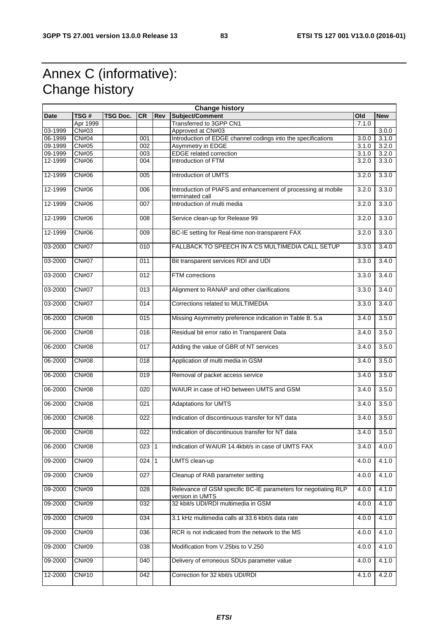# Annex C (informative): Change history

| <b>Change history</b> |              |                 |                  |              |                                                                                   |       |            |
|-----------------------|--------------|-----------------|------------------|--------------|-----------------------------------------------------------------------------------|-------|------------|
| <b>Date</b>           | TSG#         | <b>TSG Doc.</b> | <b>CR</b>        | Rev          | Subject/Comment                                                                   | Old   | <b>New</b> |
|                       | Apr 1999     |                 |                  |              | Transferred to 3GPP CN1                                                           | 7.1.0 |            |
| 03-1999               | CN#03        |                 |                  |              | Approved at CN#03                                                                 |       | 3.0.0      |
| 06-1999               | CN#04        |                 | 001              |              | Introduction of EDGE channel codings into the specifications                      | 3.0.0 | 3.1.0      |
| 09-1999               | <b>CN#05</b> |                 | 002              |              | Asymmetry in EDGE                                                                 | 3.1.0 | 3.2.0      |
| 09-1999               | <b>CN#05</b> |                 | 003              |              | <b>EDGE</b> related correction                                                    | 3.1.0 | 3.2.0      |
| 12-1999               | CN#06        |                 | 004              |              | Introduction of FTM                                                               | 3.2.0 | 3.3.0      |
| 12-1999               | <b>CN#06</b> |                 | 005              |              | Introduction of UMTS                                                              | 3.2.0 | 3.3.0      |
| 12-1999               | <b>CN#06</b> |                 | 006              |              | Introduction of PIAFS and enhancement of processing at mobile<br>terminated call  | 3.2.0 | 3.3.0      |
| 12-1999               | CN#06        |                 | 007              |              | Introduction of multi media                                                       | 3.2.0 | 3.3.0      |
| 12-1999               | <b>CN#06</b> |                 | 008              |              | Service clean-up for Release 99                                                   | 3.2.0 | 3.3.0      |
| 12-1999               | <b>CN#06</b> |                 | 009              |              | BC-IE setting for Real-time non-transparent FAX                                   | 3.2.0 | 3.3.0      |
| 03-2000               | <b>CN#07</b> |                 | 010              |              | FALLBACK TO SPEECH IN A CS MULTIMEDIA CALL SETUP                                  | 3.3.0 | 3.4.0      |
| 03-2000               | <b>CN#07</b> |                 | 011              |              | Bit transparent services RDI and UDI                                              | 3.3.0 | 3.4.0      |
| 03-2000               | <b>CN#07</b> |                 | 012              |              | FTM corrections                                                                   | 3.3.0 | 3.4.0      |
| 03-2000               | <b>CN#07</b> |                 | $\overline{013}$ |              | Alignment to RANAP and other clarifications                                       | 3.3.0 | 3.4.0      |
| 03-2000               | <b>CN#07</b> |                 | 014              |              | Corrections related to MULTIMEDIA                                                 | 3.3.0 | 3.4.0      |
| 06-2000               | <b>CN#08</b> |                 | 015              |              | Missing Asymmetry preference indication in Table B. 5.a                           | 3.4.0 | 3.5.0      |
| 06-2000               | <b>CN#08</b> |                 | 016              |              | Residual bit error ratio in Transparent Data                                      | 3.4.0 | 3.5.0      |
| 06-2000               | <b>CN#08</b> |                 | 017              |              | Adding the value of GBR of NT services                                            | 3.4.0 | 3.5.0      |
| 06-2000               | <b>CN#08</b> |                 | 018              |              | Application of multi media in GSM                                                 | 3.4.0 | 3.5.0      |
| 06-2000               | <b>CN#08</b> |                 | 019              |              | Removal of packet access service                                                  | 3.4.0 | 3.5.0      |
| 06-2000               | <b>CN#08</b> |                 | 020              |              | WAIUR in case of HO between UMTS and GSM                                          | 3.4.0 | 3.5.0      |
| 06-2000               | <b>CN#08</b> |                 | 021              |              | <b>Adaptations for UMTS</b>                                                       | 3.4.0 | 3.5.0      |
| 06-2000               | <b>CN#08</b> |                 | 022              |              | Indication of discontinuous transfer for NT data                                  | 3.4.0 | 3.5.0      |
| 06-2000               | <b>CN#08</b> |                 | 022              |              | Indication of discontinuous transfer for NT data                                  | 3.4.0 | 3.5.0      |
| 06-2000               | <b>CN#08</b> |                 | $023$ 1          |              | Indication of WAIUR 14.4kbit/s in case of UMTS FAX                                | 3.4.0 | 4.0.0      |
| 09-2000               | CN#09        |                 | 024              | $\mathbf{1}$ | UMTS clean-up                                                                     | 4.0.0 | 4.1.0      |
| 09-2000               | CN#09        |                 | 027              |              | Cleanup of RAB parameter setting                                                  | 4.0.0 | 4.1.0      |
| 09-2000               | <b>CN#09</b> |                 | 028              |              | Relevance of GSM specific BC-IE parameters for negotiating RLP<br>version in UMTS | 4.0.0 | 4.1.0      |
| 09-2000               | CN#09        |                 | 032              |              | 32 kbit/s UDI/RDI multimedia in GSM                                               | 4.0.0 | 4.1.0      |
| 09-2000               | CN#09        |                 | 034              |              | 3.1 kHz multimedia calls at 33.6 kbit/s data rate                                 | 4.0.0 | 4.1.0      |
| 09-2000               | CN#09        |                 | 036              |              | RCR is not indicated from the network to the MS                                   | 4.0.0 | 4.1.0      |
| 09-2000               | CN#09        |                 | 038              |              | Modification from V.25bis to V.250                                                | 4.0.0 | 4.1.0      |
| 09-2000               | CN#09        |                 | 040              |              | Delivery of erroneous SDUs parameter value                                        | 4.0.0 | 4.1.0      |
| 12-2000               | <b>CN#10</b> |                 | 042              |              | Correction for 32 kbit/s UDI/RDI                                                  | 4.1.0 | 4.2.0      |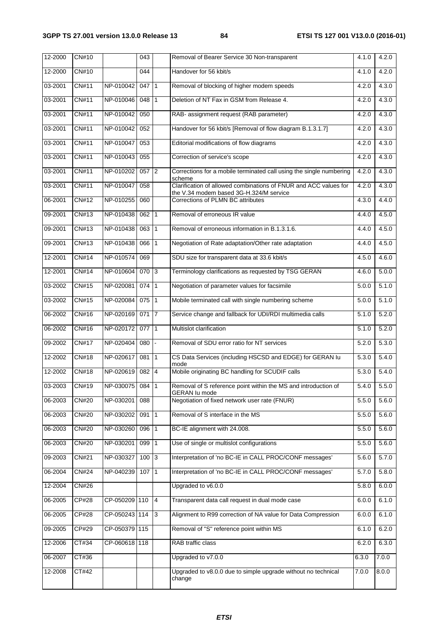| 12-2000 | CN#10        |               | 043           |                | Removal of Bearer Service 30 Non-transparent                                                                | 4.1.0              | 4.2.0 |
|---------|--------------|---------------|---------------|----------------|-------------------------------------------------------------------------------------------------------------|--------------------|-------|
| 12-2000 | CN#10        |               | 044           |                | Handover for 56 kbit/s                                                                                      | 4.1.0              | 4.2.0 |
| 03-2001 | <b>CN#11</b> | NP-010042     | 047           | $\mathbf{1}$   | Removal of blocking of higher modem speeds                                                                  | 4.2.0              | 4.3.0 |
| 03-2001 | <b>CN#11</b> | NP-010046     | 048           | $\mathbf{1}$   | Deletion of NT Fax in GSM from Release 4.                                                                   | 4.2.0              | 4.3.0 |
| 03-2001 | CN#11        | NP-010042     | 050           |                | RAB- assignment request (RAB parameter)                                                                     | 4.2.0              | 4.3.0 |
| 03-2001 | CN#11        | NP-010042     | 052           |                | Handover for 56 kbit/s [Removal of flow diagram B.1.3.1.7]                                                  | 4.2.0              | 4.3.0 |
| 03-2001 | CN#11        | NP-010047     | 053           |                | Editorial modifications of flow diagrams                                                                    | 4.2.0              | 4.3.0 |
| 03-2001 | <b>CN#11</b> | NP-010043     | 055           |                | Correction of service's scope                                                                               | 4.2.0              | 4.3.0 |
| 03-2001 | <b>CN#11</b> | NP-010202     | $057$ 2       |                | Corrections for a mobile terminated call using the single numbering<br>scheme                               | 4.2.0              | 4.3.0 |
| 03-2001 | CN#11        | NP-010047     | 058           |                | Clarification of allowed combinations of FNUR and ACC values for<br>the V.34 modem based 3G-H.324/M service | 4.2.0              | 4.3.0 |
| 06-2001 | CN#12        | NP-010255     | 060           |                | Corrections of PLMN BC attributes                                                                           | 4.3.0              | 4.4.0 |
| 09-2001 | CN#13        | NP-010438     | 062 1         |                | Removal of erroneous IR value                                                                               | 4.4.0              | 4.5.0 |
| 09-2001 | <b>CN#13</b> | NP-010438     | 063           | 1              | Removal of erroneous information in B.1.3.1.6.                                                              | 4.4.0              | 4.5.0 |
| 09-2001 | <b>CN#13</b> | NP-010438     | 066 1         |                | Negotiation of Rate adaptation/Other rate adaptation                                                        | 4.4.0              | 4.5.0 |
| 12-2001 | CN#14        | NP-010574     | 069           |                | SDU size for transparent data at 33.6 kbit/s                                                                | 4.5.0              | 4.6.0 |
| 12-2001 | CN#14        | NP-010604     | 070           | $\vert$ 3      | Terminology clarifications as requested by TSG GERAN                                                        | 4.6.0              | 5.0.0 |
| 03-2002 | CN#15        | NP-020081     | $074$ 1       |                | Negotiation of parameter values for facsimile                                                               | 5.0.0              | 5.1.0 |
| 03-2002 | CN#15        | NP-020084     | 075           | $ 1\rangle$    | Mobile terminated call with single numbering scheme                                                         | 5.0.0              | 5.1.0 |
| 06-2002 | <b>CN#16</b> | NP-020169     | $071$ 7       |                | Service change and fallback for UDI/RDI multimedia calls                                                    | 5.1.0              | 5.2.0 |
| 06-2002 | CN#16        | NP-020172     | 077           | $\vert$ 1      | Multislot clarification                                                                                     | 5.1.0              | 5.2.0 |
| 09-2002 | <b>CN#17</b> | NP-020404     | 080           |                | Removal of SDU error ratio for NT services                                                                  | 5.2.0              | 5.3.0 |
| 12-2002 | <b>CN#18</b> | NP-020617     | 081           | $\mathbf{1}$   | CS Data Services (including HSCSD and EDGE) for GERAN lu<br>mode                                            | 5.3.0              | 5.4.0 |
| 12-2002 | <b>CN#18</b> | NP-020619     | 082           | $\overline{4}$ | Mobile originating BC handling for SCUDIF calls                                                             | 5.3.0              | 5.4.0 |
| 03-2003 | CN#19        | NP-030075     | 084           | 1              | Removal of S reference point within the MS and introduction of<br>GERAN Iu mode                             | 5.4.0              | 5.5.0 |
| 06-2003 | CN#20        | NP-030201     | 088           |                | Negotiation of fixed network user rate (FNUR)                                                               | 5.5.0              | 5.6.0 |
| 06-2003 | <b>CN#20</b> | NP-030202     | 091 1         |                | Removal of S interface in the MS                                                                            | 5.5.0              | 5.6.0 |
| 06-2003 | <b>CN#20</b> | NP-030260     | 096 1         |                | BC-IE alignment with 24.008.                                                                                | $\overline{5.5.0}$ | 5.6.0 |
| 06-2003 | CN#20        | NP-030201     | 099           | 1              | Use of single or multislot configurations                                                                   | 5.5.0              | 5.6.0 |
| 09-2003 | <b>CN#21</b> | NP-030327     | $100 \vert 3$ |                | Interpretation of 'no BC-IE in CALL PROC/CONF messages'                                                     | 5.6.0              | 5.7.0 |
| 06-2004 | <b>CN#24</b> | NP-040239     | $107$  1      |                | Interpretation of 'no BC-IE in CALL PROC/CONF messages'                                                     | 5.7.0              | 5.8.0 |
| 12-2004 | <b>CN#26</b> |               |               |                | Upgraded to v6.0.0                                                                                          | 5.8.0              | 6.0.0 |
| 06-2005 | CP#28        | CP-050209 110 |               | $\overline{4}$ | Transparent data call request in dual mode case                                                             | 6.0.0              | 6.1.0 |
| 06-2005 | CP#28        | CP-050243 114 |               | 3              | Alignment to R99 correction of NA value for Data Compression                                                | 6.0.0              | 6.1.0 |
| 09-2005 | CP#29        | CP-050379 115 |               |                | Removal of "S" reference point within MS                                                                    | 6.1.0              | 6.2.0 |
| 12-2006 | CT#34        | CP-060618 118 |               |                | RAB traffic class                                                                                           | 6.2.0              | 6.3.0 |
| 06-2007 | CT#36        |               |               |                | Upgraded to v7.0.0                                                                                          | 6.3.0              | 7.0.0 |
| 12-2008 | CT#42        |               |               |                | Upgraded to v8.0.0 due to simple upgrade without no technical<br>change                                     | 7.0.0              | 8.0.0 |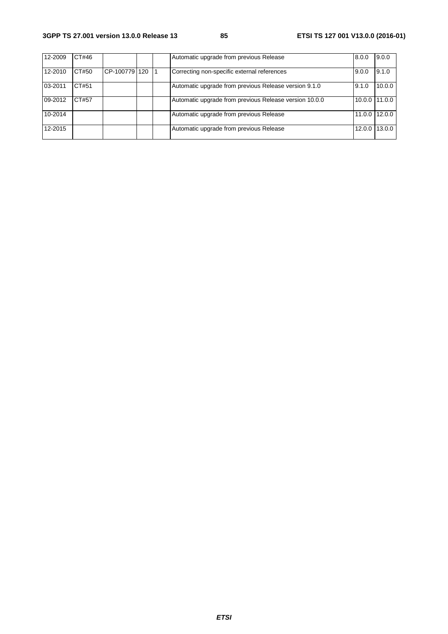| 12-2009 | CT#46 |               |  | Automatic upgrade from previous Release                | 8.0.0  | 9.0.0         |
|---------|-------|---------------|--|--------------------------------------------------------|--------|---------------|
| 12-2010 | CT#50 | CP-1007791120 |  | Correcting non-specific external references            | 9.0.0  | 9.1.0         |
| 03-2011 | CT#51 |               |  | Automatic upgrade from previous Release version 9.1.0  | 9.1.0  | 10.0.0        |
| 09-2012 | CT#57 |               |  | Automatic upgrade from previous Release version 10.0.0 |        | 10.0.0 11.0.0 |
| 10-2014 |       |               |  | Automatic upgrade from previous Release                | 11.0.0 | 12.0.0        |
| 12-2015 |       |               |  | Automatic upgrade from previous Release                | 12.0.0 | 13.0.0        |